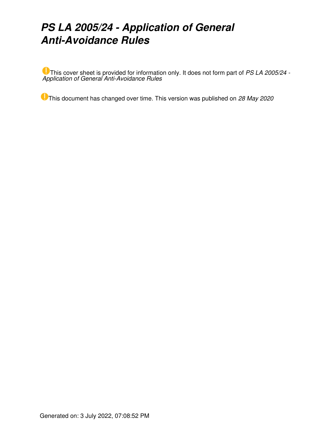# *PS LA 2005/24 - Application of General Anti-Avoidance Rules*

This cover sheet is provided for information only. It does not form part of *PS LA 2005/24 - Application of General Anti-Avoidance Rules*

This document has changed over time. This version was published on *28 May 2020*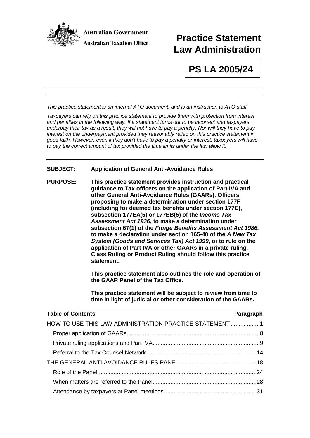

# **Practice Statement Law Administration**

**PS LA 2005/24**

*This practice statement is an internal ATO document, and is an instruction to ATO staff.*

*Taxpayers can rely on this practice statement to provide them with protection from interest and penalties in the following way. If a statement turns out to be incorrect and taxpayers underpay their tax as a result, they will not have to pay a penalty. Nor will they have to pay interest on the underpayment provided they reasonably relied on this practice statement in good faith. However, even if they don't have to pay a penalty or interest, taxpayers will have to pay the correct amount of tax provided the time limits under the law allow it.*

# **SUBJECT: Application of General Anti-Avoidance Rules**

**PURPOSE: This practice statement provides instruction and practical guidance to Tax officers on the application of Part IVA and other General Anti-Avoidance Rules (GAARs). Officers proposing to make a determination under section 177F (including for deemed tax benefits under section 177E), subsection 177EA(5) or 177EB(5) of the** *Income Tax Assessment Act 1936***, to make a determination under subsection 67(1) of the** *Fringe Benefits Assessment Act 1986***, to make a declaration under section 165-40 of the** *A New Tax System (Goods and Services Tax) Act 1999***, or to rule on the application of Part IVA or other GAARs in a private ruling, Class Ruling or Product Ruling should follow this practice statement.**

> **This practice statement also outlines the role and operation of the GAAR Panel of the Tax Office.**

**This practice statement will be subject to review from time to time in light of judicial or other consideration of the GAARs.**

| <b>Table of Contents</b>                                | Paragraph |
|---------------------------------------------------------|-----------|
| HOW TO USE THIS LAW ADMINISTRATION PRACTICE STATEMENT 1 |           |
|                                                         |           |
|                                                         |           |
|                                                         |           |
|                                                         |           |
|                                                         |           |
|                                                         |           |
|                                                         |           |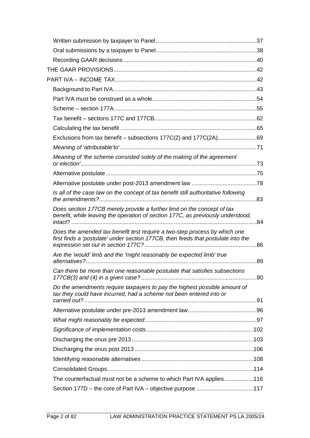| Exclusions from tax benefit - subsections 177C(2) and 177C(2A)69                                                                                               |  |
|----------------------------------------------------------------------------------------------------------------------------------------------------------------|--|
|                                                                                                                                                                |  |
| Meaning of 'the scheme consisted solely of the making of the agreement                                                                                         |  |
|                                                                                                                                                                |  |
|                                                                                                                                                                |  |
| Is all of the case law on the concept of tax benefit still authoritative following                                                                             |  |
|                                                                                                                                                                |  |
| Does section 177CB merely provide a further limit on the concept of tax<br>benefit, while leaving the operation of section 177C, as previously understood,     |  |
| Does the amended tax benefit test require a two-step process by which one<br>first finds a 'postulate' under section 177CB, then feeds that postulate into the |  |
| Are the 'would' limb and the 'might reasonably be expected limb' true                                                                                          |  |
| Can there be more than one reasonable postulate that satisfies subsections                                                                                     |  |
| Do the amendments require taxpayers to pay the highest possible amount of<br>tax they could have incurred, had a scheme not been entered into or               |  |
|                                                                                                                                                                |  |
|                                                                                                                                                                |  |
|                                                                                                                                                                |  |
|                                                                                                                                                                |  |
|                                                                                                                                                                |  |
|                                                                                                                                                                |  |
|                                                                                                                                                                |  |
|                                                                                                                                                                |  |
| The counterfactual must not be a scheme to which Part IVA applies116                                                                                           |  |
| Section 177D - the core of Part IVA - objective purpose 117                                                                                                    |  |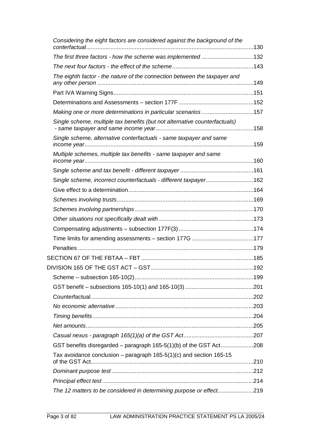| Considering the eight factors are considered against the background of the |  |
|----------------------------------------------------------------------------|--|
| The first three factors - how the scheme was implemented132                |  |
|                                                                            |  |
| The eighth factor - the nature of the connection between the taxpayer and  |  |
|                                                                            |  |
|                                                                            |  |
| Making one or more determinations in particular scenarios157               |  |
| Single scheme, multiple tax benefits (but not alternative counterfactuals) |  |
| Single scheme, alternative conterfactuals - same taxpayer and same         |  |
| Multiple schemes, multiple tax benefits - same taxpayer and same           |  |
|                                                                            |  |
| Single scheme, incorrect counterfactuals - different taxpayer162           |  |
|                                                                            |  |
|                                                                            |  |
|                                                                            |  |
|                                                                            |  |
|                                                                            |  |
|                                                                            |  |
|                                                                            |  |
|                                                                            |  |
|                                                                            |  |
|                                                                            |  |
|                                                                            |  |
|                                                                            |  |
|                                                                            |  |
|                                                                            |  |
|                                                                            |  |
|                                                                            |  |
|                                                                            |  |
| Tax avoidance conclusion – paragraph $165-5(1)(c)$ and section $165-15$    |  |
|                                                                            |  |
|                                                                            |  |
| The 12 matters to be considered in determining purpose or effect219        |  |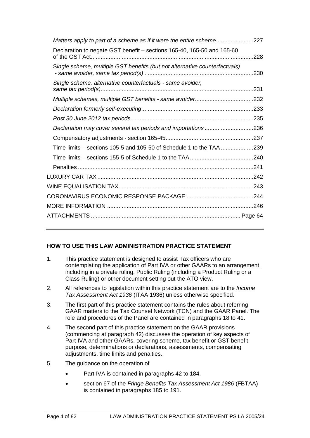| Matters apply to part of a scheme as if it were the entire scheme227       |      |
|----------------------------------------------------------------------------|------|
| Declaration to negate GST benefit - sections 165-40, 165-50 and 165-60     | .228 |
| Single scheme, multiple GST benefits (but not alternative counterfactuals) | .230 |
| Single scheme, alternative counterfactuals - same avoider,                 |      |
|                                                                            |      |
|                                                                            |      |
|                                                                            |      |
|                                                                            |      |
|                                                                            |      |
| Time limits – sections 105-5 and 105-50 of Schedule 1 to the TAA 239       |      |
|                                                                            |      |
|                                                                            |      |
|                                                                            |      |
|                                                                            |      |
|                                                                            |      |
|                                                                            |      |
|                                                                            |      |
|                                                                            |      |

# **HOW TO USE THIS LAW ADMINISTRATION PRACTICE STATEMENT**

- 1. This practice statement is designed to assist Tax officers who are contemplating the application of Part IVA or other GAARs to an arrangement, including in a private ruling, Public Ruling (including a Product Ruling or a Class Ruling) or other document setting out the ATO view.
- 2. All references to legislation within this practice statement are to the *Income Tax Assessment Act 1936* (ITAA 1936) unless otherwise specified.
- 3. The first part of this practice statement contains the rules about referring GAAR matters to the Tax Counsel Network (TCN) and the GAAR Panel. The role and procedures of the Panel are contained in paragraphs 18 to 41.
- 4. The second part of this practice statement on the GAAR provisions (commencing at paragraph 42) discusses the operation of key aspects of Part IVA and other GAARs, covering scheme, tax benefit or GST benefit, purpose, determinations or declarations, assessments, compensating adjustments, time limits and penalties.
- 5. The guidance on the operation of
	- Part IVA is contained in paragraphs 42 to 184.
	- section 67 of the *Fringe Benefits Tax Assessment Act 1986* (FBTAA) is contained in paragraphs 185 to 191.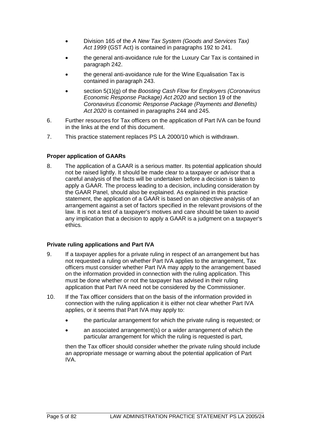- Division 165 of the *A New Tax System (Goods and Services Tax) Act 1999* (GST Act) is contained in paragraphs 192 to 241.
- the general anti-avoidance rule for the Luxury Car Tax is contained in paragraph 242.
- the general anti-avoidance rule for the Wine Equalisation Tax is contained in paragraph 243.
- section 5(1)(g) of the *Boosting Cash Flow for Employers (Coronavirus Economic Response Package) Act 2020* and section 19 of the *Coronavirus Economic Response Package (Payments and Benefits) Act 2020* is contained in paragraphs 244 and 245.
- 6. Further resources for Tax officers on the application of Part IVA can be found in the links at the end of this document.
- 7. This practice statement replaces PS LA 2000/10 which is withdrawn.

# **Proper application of GAARs**

8. The application of a GAAR is a serious matter. Its potential application should not be raised lightly. It should be made clear to a taxpayer or advisor that a careful analysis of the facts will be undertaken before a decision is taken to apply a GAAR. The process leading to a decision, including consideration by the GAAR Panel, should also be explained. As explained in this practice statement, the application of a GAAR is based on an objective analysis of an arrangement against a set of factors specified in the relevant provisions of the law. It is not a test of a taxpayer's motives and care should be taken to avoid any implication that a decision to apply a GAAR is a judgment on a taxpayer's ethics.

# **Private ruling applications and Part IVA**

- 9. If a taxpayer applies for a private ruling in respect of an arrangement but has not requested a ruling on whether Part IVA applies to the arrangement, Tax officers must consider whether Part IVA may apply to the arrangement based on the information provided in connection with the ruling application. This must be done whether or not the taxpayer has advised in their ruling application that Part IVA need not be considered by the Commissioner.
- 10. If the Tax officer considers that on the basis of the information provided in connection with the ruling application it is either not clear whether Part IVA applies, or it seems that Part IVA may apply to:
	- the particular arrangement for which the private ruling is requested; or
	- an associated arrangement(s) or a wider arrangement of which the particular arrangement for which the ruling is requested is part,

then the Tax officer should consider whether the private ruling should include an appropriate message or warning about the potential application of Part IVA.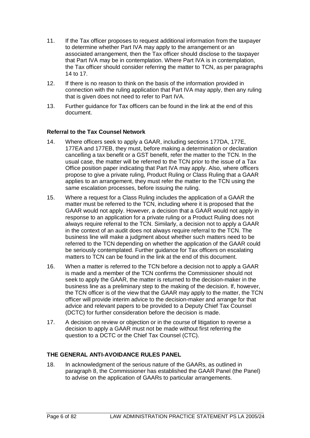- 11. If the Tax officer proposes to request additional information from the taxpayer to determine whether Part IVA may apply to the arrangement or an associated arrangement, then the Tax officer should disclose to the taxpayer that Part IVA may be in contemplation. Where Part IVA is in contemplation, the Tax officer should consider referring the matter to TCN, as per paragraphs 14 to 17.
- 12. If there is no reason to think on the basis of the information provided in connection with the ruling application that Part IVA may apply, then any ruling that is given does not need to refer to Part IVA.
- 13. Further guidance for Tax officers can be found in the link at the end of this document.

# **Referral to the Tax Counsel Network**

- 14. Where officers seek to apply a GAAR, including sections 177DA, 177E, 177EA and 177EB, they must, before making a determination or declaration cancelling a tax benefit or a GST benefit, refer the matter to the TCN. In the usual case, the matter will be referred to the TCN prior to the issue of a Tax Office position paper indicating that Part IVA may apply. Also, where officers propose to give a private ruling, Product Ruling or Class Ruling that a GAAR applies to an arrangement, they must refer the matter to the TCN using the same escalation processes, before issuing the ruling.
- 15. Where a request for a Class Ruling includes the application of a GAAR the matter must be referred to the TCN, including where it is proposed that the GAAR would not apply. However, a decision that a GAAR would not apply in response to an application for a private ruling or a Product Ruling does not always require referral to the TCN. Similarly, a decision not to apply a GAAR in the context of an audit does not always require referral to the TCN. The business line will make a judgment about whether such matters need to be referred to the TCN depending on whether the application of the GAAR could be seriously contemplated. Further guidance for Tax officers on escalating matters to TCN can be found in the link at the end of this document.
- 16. When a matter is referred to the TCN before a decision not to apply a GAAR is made and a member of the TCN confirms the Commissioner should not seek to apply the GAAR, the matter is returned to the decision-maker in the business line as a preliminary step to the making of the decision. If, however, the TCN officer is of the view that the GAAR may apply to the matter, the TCN officer will provide interim advice to the decision-maker and arrange for that advice and relevant papers to be provided to a Deputy Chief Tax Counsel (DCTC) for further consideration before the decision is made.
- 17. A decision on review or objection or in the course of litigation to reverse a decision to apply a GAAR must not be made without first referring the question to a DCTC or the Chief Tax Counsel (CTC).

# **THE GENERAL ANTI-AVOIDANCE RULES PANEL**

18. In acknowledgment of the serious nature of the GAARs, as outlined in paragraph 8, the Commissioner has established the GAAR Panel (the Panel) to advise on the application of GAARs to particular arrangements.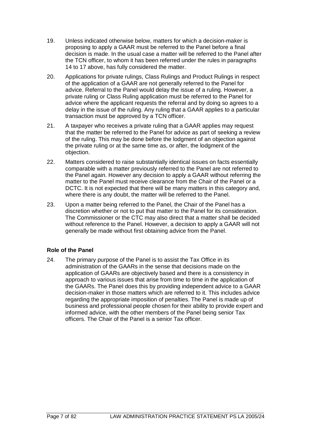- 19. Unless indicated otherwise below, matters for which a decision-maker is proposing to apply a GAAR must be referred to the Panel before a final decision is made. In the usual case a matter will be referred to the Panel after the TCN officer, to whom it has been referred under the rules in paragraphs 14 to 17 above, has fully considered the matter.
- 20. Applications for private rulings, Class Rulings and Product Rulings in respect of the application of a GAAR are not generally referred to the Panel for advice. Referral to the Panel would delay the issue of a ruling. However, a private ruling or Class Ruling application must be referred to the Panel for advice where the applicant requests the referral and by doing so agrees to a delay in the issue of the ruling. Any ruling that a GAAR applies to a particular transaction must be approved by a TCN officer.
- 21. A taxpayer who receives a private ruling that a GAAR applies may request that the matter be referred to the Panel for advice as part of seeking a review of the ruling. This may be done before the lodgment of an objection against the private ruling or at the same time as, or after, the lodgment of the objection.
- 22. Matters considered to raise substantially identical issues on facts essentially comparable with a matter previously referred to the Panel are not referred to the Panel again. However any decision to apply a GAAR without referring the matter to the Panel must receive clearance from the Chair of the Panel or a DCTC. It is not expected that there will be many matters in this category and, where there is any doubt, the matter will be referred to the Panel.
- 23. Upon a matter being referred to the Panel, the Chair of the Panel has a discretion whether or not to put that matter to the Panel for its consideration. The Commissioner or the CTC may also direct that a matter shall be decided without reference to the Panel. However, a decision to apply a GAAR will not generally be made without first obtaining advice from the Panel.

# **Role of the Panel**

24. The primary purpose of the Panel is to assist the Tax Office in its administration of the GAARs in the sense that decisions made on the application of GAARs are objectively based and there is a consistency in approach to various issues that arise from time to time in the application of the GAARs. The Panel does this by providing independent advice to a GAAR decision-maker in those matters which are referred to it. This includes advice regarding the appropriate imposition of penalties. The Panel is made up of business and professional people chosen for their ability to provide expert and informed advice, with the other members of the Panel being senior Tax officers. The Chair of the Panel is a senior Tax officer.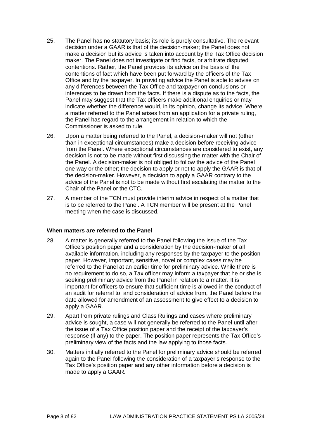- 25. The Panel has no statutory basis; its role is purely consultative. The relevant decision under a GAAR is that of the decision-maker; the Panel does not make a decision but its advice is taken into account by the Tax Office decision maker. The Panel does not investigate or find facts, or arbitrate disputed contentions. Rather, the Panel provides its advice on the basis of the contentions of fact which have been put forward by the officers of the Tax Office and by the taxpayer. In providing advice the Panel is able to advise on any differences between the Tax Office and taxpayer on conclusions or inferences to be drawn from the facts. If there is a dispute as to the facts, the Panel may suggest that the Tax officers make additional enquiries or may indicate whether the difference would, in its opinion, change its advice. Where a matter referred to the Panel arises from an application for a private ruling, the Panel has regard to the arrangement in relation to which the Commissioner is asked to rule.
- 26. Upon a matter being referred to the Panel, a decision-maker will not (other than in exceptional circumstances) make a decision before receiving advice from the Panel. Where exceptional circumstances are considered to exist, any decision is not to be made without first discussing the matter with the Chair of the Panel. A decision-maker is not obliged to follow the advice of the Panel one way or the other; the decision to apply or not to apply the GAAR is that of the decision-maker. However, a decision to apply a GAAR contrary to the advice of the Panel is not to be made without first escalating the matter to the Chair of the Panel or the CTC.
- 27. A member of the TCN must provide interim advice in respect of a matter that is to be referred to the Panel. A TCN member will be present at the Panel meeting when the case is discussed.

# **When matters are referred to the Panel**

- 28. A matter is generally referred to the Panel following the issue of the Tax Office's position paper and a consideration by the decision-maker of all available information, including any responses by the taxpayer to the position paper. However, important, sensitive, novel or complex cases may be referred to the Panel at an earlier time for preliminary advice. While there is no requirement to do so, a Tax officer may inform a taxpayer that he or she is seeking preliminary advice from the Panel in relation to a matter. It is important for officers to ensure that sufficient time is allowed in the conduct of an audit for referral to, and consideration of advice from, the Panel before the date allowed for amendment of an assessment to give effect to a decision to apply a GAAR.
- 29. Apart from private rulings and Class Rulings and cases where preliminary advice is sought, a case will not generally be referred to the Panel until after the issue of a Tax Office position paper and the receipt of the taxpayer's response (if any) to the paper. The position paper represents the Tax Office's preliminary view of the facts and the law applying to those facts.
- 30. Matters initially referred to the Panel for preliminary advice should be referred again to the Panel following the consideration of a taxpayer's response to the Tax Office's position paper and any other information before a decision is made to apply a GAAR.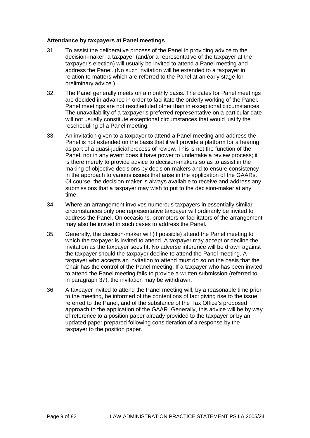# **Attendance by taxpayers at Panel meetings**

- 31. To assist the deliberative process of the Panel in providing advice to the decision-maker, a taxpayer (and/or a representative of the taxpayer at the taxpayer's election) will usually be invited to attend a Panel meeting and address the Panel. (No such invitation will be extended to a taxpayer in relation to matters which are referred to the Panel at an early stage for preliminary advice.)
- 32. The Panel generally meets on a monthly basis. The dates for Panel meetings are decided in advance in order to facilitate the orderly working of the Panel. Panel meetings are not rescheduled other than in exceptional circumstances. The unavailability of a taxpayer's preferred representative on a particular date will not usually constitute exceptional circumstances that would justify the rescheduling of a Panel meeting.
- 33. An invitation given to a taxpayer to attend a Panel meeting and address the Panel is not extended on the basis that it will provide a platform for a hearing as part of a quasi-judicial process of review. This is not the function of the Panel, nor in any event does it have power to undertake a review process; it is there merely to provide advice to decision-makers so as to assist in the making of objective decisions by decision-makers and to ensure consistency in the approach to various issues that arise in the application of the GAARs. Of course, the decision-maker is always available to receive and address any submissions that a taxpayer may wish to put to the decision-maker at any time.
- 34. Where an arrangement involves numerous taxpayers in essentially similar circumstances only one representative taxpayer will ordinarily be invited to address the Panel. On occasions, promoters or facilitators of the arrangement may also be invited in such cases to address the Panel.
- 35. Generally, the decision-maker will (if possible) attend the Panel meeting to which the taxpayer is invited to attend. A taxpayer may accept or decline the invitation as the taxpayer sees fit. No adverse inference will be drawn against the taxpayer should the taxpayer decline to attend the Panel meeting. A taxpayer who accepts an invitation to attend must do so on the basis that the Chair has the control of the Panel meeting. If a taxpayer who has been invited to attend the Panel meeting fails to provide a written submission (referred to in paragraph 37), the invitation may be withdrawn.
- 36. A taxpayer invited to attend the Panel meeting will, by a reasonable time prior to the meeting, be informed of the contentions of fact giving rise to the issue referred to the Panel, and of the substance of the Tax Office's proposed approach to the application of the GAAR. Generally, this advice will be by way of reference to a position paper already provided to the taxpayer or by an updated paper prepared following consideration of a response by the taxpayer to the position paper.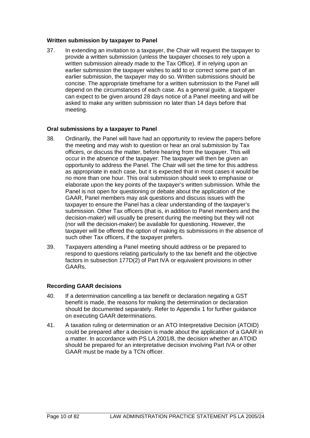# **Written submission by taxpayer to Panel**

37. In extending an invitation to a taxpayer, the Chair will request the taxpayer to provide a written submission (unless the taxpayer chooses to rely upon a written submission already made to the Tax Office). If in relying upon an earlier submission the taxpayer wishes to add to or correct some part of an earlier submission, the taxpayer may do so. Written submissions should be concise. The appropriate timeframe for a written submission to the Panel will depend on the circumstances of each case. As a general guide, a taxpayer can expect to be given around 28 days notice of a Panel meeting and will be asked to make any written submission no later than 14 days before that meeting.

# **Oral submissions by a taxpayer to Panel**

- 38. Ordinarily, the Panel will have had an opportunity to review the papers before the meeting and may wish to question or hear an oral submission by Tax officers, or discuss the matter, before hearing from the taxpayer. This will occur in the absence of the taxpayer. The taxpayer will then be given an opportunity to address the Panel. The Chair will set the time for this address as appropriate in each case, but it is expected that in most cases it would be no more than one hour. This oral submission should seek to emphasise or elaborate upon the key points of the taxpayer's written submission. While the Panel is not open for questioning or debate about the application of the GAAR, Panel members may ask questions and discuss issues with the taxpayer to ensure the Panel has a clear understanding of the taxpayer's submission. Other Tax officers (that is, in addition to Panel members and the decision-maker) will usually be present during the meeting but they will not (nor will the decision-maker) be available for questioning. However, the taxpayer will be offered the option of making its submissions in the absence of such other Tax officers, if the taxpayer prefers.
- 39. Taxpayers attending a Panel meeting should address or be prepared to respond to questions relating particularly to the tax benefit and the objective factors in subsection 177D(2) of Part IVA or equivalent provisions in other GAARs.

# **Recording GAAR decisions**

- 40. If a determination cancelling a tax benefit or declaration negating a GST benefit is made, the reasons for making the determination or declaration should be documented separately. Refer to Appendix 1 for further guidance on executing GAAR determinations.
- 41. A taxation ruling or determination or an ATO Interpretative Decision (ATOID) could be prepared after a decision is made about the application of a GAAR in a matter. In accordance with PS LA 2001/8, the decision whether an ATOID should be prepared for an interpretative decision involving Part IVA or other GAAR must be made by a TCN officer.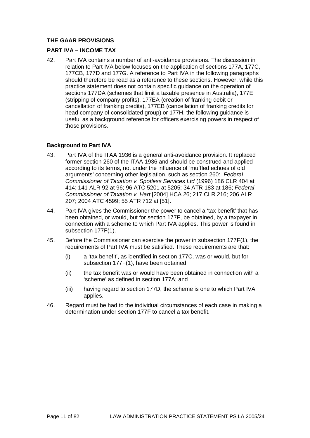# **THE GAAR PROVISIONS**

# **PART IVA – INCOME TAX**

42. Part IVA contains a number of anti-avoidance provisions. The discussion in relation to Part IVA below focuses on the application of sections 177A, 177C, 177CB, 177D and 177G. A reference to Part IVA in the following paragraphs should therefore be read as a reference to these sections. However, while this practice statement does not contain specific guidance on the operation of sections 177DA (schemes that limit a taxable presence in Australia), 177E (stripping of company profits), 177EA (creation of franking debit or cancellation of franking credits), 177EB (cancellation of franking credits for head company of consolidated group) or 177H, the following guidance is useful as a background reference for officers exercising powers in respect of those provisions.

# **Background to Part IVA**

- 43. Part IVA of the ITAA 1936 is a general anti-avoidance provision. It replaced former section 260 of the ITAA 1936 and should be construed and applied according to its terms, not under the influence of 'muffled echoes of old arguments' concerning other legislation, such as section 260: *Federal Commissioner of Taxation v. Spotless Services Ltd* (1996) 186 CLR 404 at 414; 141 ALR 92 at 96; 96 ATC 5201 at 5205; 34 ATR 183 at 186; *Federal Commissioner of Taxation v. Hart* [2004] HCA 26; 217 CLR 216; 206 ALR 207; 2004 ATC 4599; 55 ATR 712 at [51].
- 44. Part IVA gives the Commissioner the power to cancel a 'tax benefit' that has been obtained, or would, but for section 177F, be obtained, by a taxpayer in connection with a scheme to which Part IVA applies. This power is found in subsection 177F(1).
- 45. Before the Commissioner can exercise the power in subsection 177F(1), the requirements of Part IVA must be satisfied. These requirements are that:
	- (i) a 'tax benefit', as identified in section 177C, was or would, but for subsection 177F(1), have been obtained;
	- (ii) the tax benefit was or would have been obtained in connection with a 'scheme' as defined in section 177A; and
	- (iii) having regard to section 177D, the scheme is one to which Part IVA applies.
- 46. Regard must be had to the individual circumstances of each case in making a determination under section 177F to cancel a tax benefit.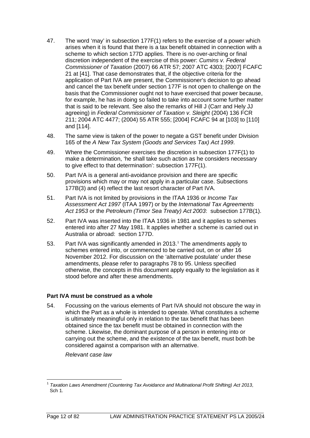- 47. The word 'may' in subsection 177F(1) refers to the exercise of a power which arises when it is found that there is a tax benefit obtained in connection with a scheme to which section 177D applies. There is no over-arching or final discretion independent of the exercise of this power: *Cumins v. Federal Commissioner of Taxation* (2007) 66 ATR 57; 2007 ATC 4303; [2007] FCAFC 21 at [41]. That case demonstrates that, if the objective criteria for the application of Part IVA are present, the Commissioner's decision to go ahead and cancel the tax benefit under section 177F is not open to challenge on the basis that the Commissioner ought not to have exercised that power because, for example, he has in doing so failed to take into account some further matter that is said to be relevant. See also the remarks of Hill J (Carr and Hely JJ agreeing) in *Federal Commissioner of Taxation v. Sleight* (2004) 136 FCR 211; 2004 ATC 4477; (2004) 55 ATR 555; [2004] FCAFC 94 at [103] to [110] and [114].
- 48. The same view is taken of the power to negate a GST benefit under Division 165 of the *A New Tax System (Goods and Services Tax) Act 1999*.
- 49. Where the Commissioner exercises the discretion in subsection 177F(1) to make a determination, 'he shall take such action as he considers necessary to give effect to that determination': subsection 177F(1).
- 50. Part IVA is a general anti-avoidance provision and there are specific provisions which may or may not apply in a particular case. Subsections 177B(3) and (4) reflect the last resort character of Part IVA.
- 51. Part IVA is not limited by provisions in the ITAA 1936 or *Income Tax Assessment Act 1997* (ITAA 1997) or by the *International Tax Agreements Act 1953* or the *Petroleum (Timor Sea Treaty) Act 2003*: subsection 177B(1).
- 52. Part IVA was inserted into the ITAA 1936 in 1981 and it applies to schemes entered into after 27 May 1981. It applies whether a scheme is carried out in Australia or abroad: section 177D.
- 53. Part IVA was significantly amended in 2013.[1](#page-12-0) The amendments apply to schemes entered into, or commenced to be carried out, on or after 16 November 2012. For discussion on the 'alternative postulate' under these amendments, please refer to paragraphs 78 to 95. Unless specified otherwise, the concepts in this document apply equally to the legislation as it stood before and after these amendments.

# **Part IVA must be construed as a whole**

54. Focussing on the various elements of Part IVA should not obscure the way in which the Part as a whole is intended to operate. What constitutes a scheme is ultimately meaningful only in relation to the tax benefit that has been obtained since the tax benefit must be obtained in connection with the scheme. Likewise, the dominant purpose of a person in entering into or carrying out the scheme, and the existence of the tax benefit, must both be considered against a comparison with an alternative.

*Relevant case law*

<span id="page-12-0"></span><sup>1</sup> *Taxation Laws Amendment (Countering Tax Avoidance and Multinational Profit Shifting) Act 2013*, Sch 1.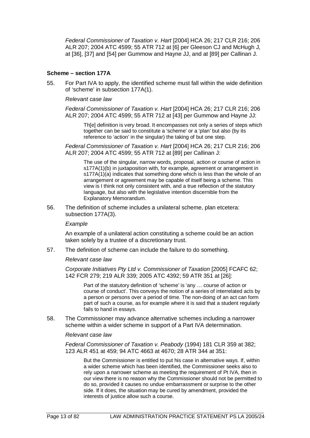*Federal Commissioner of Taxation v. Hart* [2004] HCA 26; 217 CLR 216; 206 ALR 207; 2004 ATC 4599; 55 ATR 712 at [6] per Gleeson CJ and McHugh J, at [36], [37] and [54] per Gummow and Hayne JJ, and at [89] per Callinan J.

## **Scheme – section 177A**

55. For Part IVA to apply, the identified scheme must fall within the wide definition of 'scheme' in subsection 177A(1).

#### *Relevant case law*

*Federal Commissioner of Taxation v. Hart* [2004] HCA 26; 217 CLR 216; 206 ALR 207; 2004 ATC 4599; 55 ATR 712 at [43] per Gummow and Hayne JJ:

Th[e] definition is very broad. It encompasses not only a series of steps which together can be said to constitute a 'scheme' or a 'plan' but also (by its reference to 'action' in the singular) the taking of but one step.

*Federal Commissioner of Taxation v. Hart* [2004] HCA 26; 217 CLR 216; 206 ALR 207; 2004 ATC 4599; 55 ATR 712 at [89] per Callinan J:

The use of the singular, narrow words, proposal, action or course of action in s177A(1)(b) in juxtaposition with, for example, agreement or arrangement in s177A(1)(a) indicates that something done which is less than the whole of an arrangement or agreement may be capable of itself being a scheme. This view is I think not only consistent with, and a true reflection of the statutory language, but also with the legislative intention discernible from the Explanatory Memorandum.

56. The definition of scheme includes a unilateral scheme, plan etcetera: subsection 177A(3).

#### *Example*

An example of a unilateral action constituting a scheme could be an action taken solely by a trustee of a discretionary trust.

57. The definition of scheme can include the failure to do something.

#### *Relevant case law*

*Corporate Initiatives Pty Ltd v. Commissioner of Taxation* [2005] FCAFC 62; 142 FCR 279; 219 ALR 339; 2005 ATC 4392; 59 ATR 351 at [26]:

Part of the statutory definition of 'scheme' is 'any … course of action or course of conduct'. This conveys the notion of a series of interrelated acts by a person or persons over a period of time. The non-doing of an act can form part of such a course, as for example where it is said that a student regularly fails to hand in essays.

58. The Commissioner may advance alternative schemes including a narrower scheme within a wider scheme in support of a Part IVA determination.

#### *Relevant case law*

*Federal Commissioner of Taxation v. Peabody* (1994) 181 CLR 359 at 382; 123 ALR 451 at 459; 94 ATC 4663 at 4670; 28 ATR 344 at 351:

But the Commissioner is entitled to put his case in alternative ways. If, within a wider scheme which has been identified, the Commissioner seeks also to rely upon a narrower scheme as meeting the requirement of Pt IVA, then in our view there is no reason why the Commissioner should not be permitted to do so, provided it causes no undue embarrassment or surprise to the other side. If it does, the situation may be cured by amendment, provided the interests of justice allow such a course.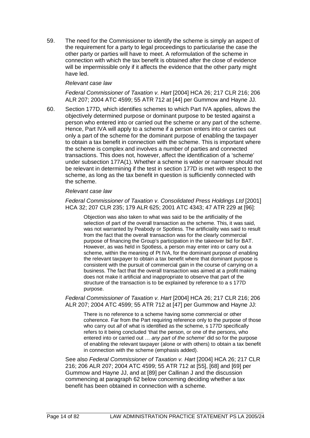59. The need for the Commissioner to identify the scheme is simply an aspect of the requirement for a party to legal proceedings to particularise the case the other party or parties will have to meet. A reformulation of the scheme in connection with which the tax benefit is obtained after the close of evidence will be impermissible only if it affects the evidence that the other party might have led.

## *Relevant case law*

*Federal Commissioner of Taxation v. Hart* [2004] HCA 26; 217 CLR 216; 206 ALR 207; 2004 ATC 4599; 55 ATR 712 at [44] per Gummow and Hayne JJ.

60. Section 177D, which identifies schemes to which Part IVA applies, allows the objectively determined purpose or dominant purpose to be tested against a person who entered into or carried out the scheme or any part of the scheme. Hence, Part IVA will apply to a scheme if a person enters into or carries out only a part of the scheme for the dominant purpose of enabling the taxpayer to obtain a tax benefit in connection with the scheme. This is important where the scheme is complex and involves a number of parties and connected transactions. This does not, however, affect the identification of a 'scheme' under subsection 177A(1). Whether a scheme is wider or narrower should not be relevant in determining if the test in section 177D is met with respect to the scheme, as long as the tax benefit in question is sufficiently connected with the scheme.

#### *Relevant case law*

*Federal Commissioner of Taxation v. Consolidated Press Holdings Ltd* [2001] HCA 32; 207 CLR 235; 179 ALR 625; 2001 ATC 4343; 47 ATR 229 at [96]:

Objection was also taken to what was said to be the artificiality of the selection of part of the overall transaction as the scheme. This, it was said, was not warranted by Peabody or Spotless. The artificiality was said to result from the fact that the overall transaction was for the clearly commercial purpose of financing the Group's participation in the takeover bid for BAT. However, as was held in Spotless, a person may enter into or carry out a scheme, within the meaning of Pt IVA, for the dominant purpose of enabling the relevant taxpayer to obtain a tax benefit where that dominant purpose is consistent with the pursuit of commercial gain in the course of carrying on a business. The fact that the overall transaction was aimed at a profit making does not make it artificial and inappropriate to observe that part of the structure of the transaction is to be explained by reference to a s 177D purpose.

*Federal Commissioner of Taxation v. Hart* [2004] HCA 26; 217 CLR 216; 206 ALR 207; 2004 ATC 4599; 55 ATR 712 at [47] per Gummow and Hayne JJ:

There is no reference to a scheme having some commercial or other coherence. Far from the Part requiring reference only to the purpose of those who carry out *all* of what is identified as the scheme, s 177D specifically refers to it being concluded 'that the person, or one of the persons, who entered into or carried out … *any part of the scheme*' did so for the purpose of enabling the relevant taxpayer (alone or with others) to obtain a tax benefit in connection with the scheme (emphasis added).

See also *Federal Commissioner of Taxation v. Hart* [2004] HCA 26; 217 CLR 216; 206 ALR 207; 2004 ATC 4599; 55 ATR 712 at [55], [68] and [69] per Gummow and Hayne JJ, and at [89] per Callinan J and the discussion commencing at paragraph 62 below concerning deciding whether a tax benefit has been obtained in connection with a scheme.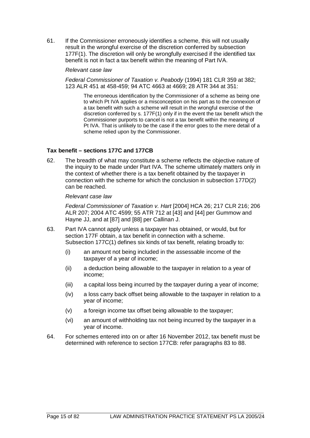61. If the Commissioner erroneously identifies a scheme, this will not usually result in the wrongful exercise of the discretion conferred by subsection 177F(1). The discretion will only be wrongfully exercised if the identified tax benefit is not in fact a tax benefit within the meaning of Part IVA.

# *Relevant case law*

*Federal Commissioner of Taxation v. Peabody* (1994) 181 CLR 359 at 382; 123 ALR 451 at 458-459; 94 ATC 4663 at 4669; 28 ATR 344 at 351:

The erroneous identification by the Commissioner of a scheme as being one to which Pt IVA applies or a misconception on his part as to the connexion of a tax benefit with such a scheme will result in the wrongful exercise of the discretion conferred by s. 177F(1) only if in the event the tax benefit which the Commissioner purports to cancel is not a tax benefit within the meaning of Pt IVA. That is unlikely to be the case if the error goes to the mere detail of a scheme relied upon by the Commissioner.

# **Tax benefit – sections 177C and 177CB**

62. The breadth of what may constitute a scheme reflects the objective nature of the inquiry to be made under Part IVA. The scheme ultimately matters only in the context of whether there is a tax benefit obtained by the taxpayer in connection with the scheme for which the conclusion in subsection 177D(2) can be reached.

#### *Relevant case law*

*Federal Commissioner of Taxation v. Hart* [2004] HCA 26; 217 CLR 216; 206 ALR 207; 2004 ATC 4599; 55 ATR 712 at [43] and [44] per Gummow and Hayne JJ, and at [87] and [88] per Callinan J.

- 63. Part IVA cannot apply unless a taxpayer has obtained, or would, but for section 177F obtain, a tax benefit in connection with a scheme. Subsection 177C(1) defines six kinds of tax benefit, relating broadly to:
	- (i) an amount not being included in the assessable income of the taxpayer of a year of income;
	- (ii) a deduction being allowable to the taxpayer in relation to a year of income;
	- (iii) a capital loss being incurred by the taxpayer during a year of income;
	- (iv) a loss carry back offset being allowable to the taxpayer in relation to a year of income;
	- (v) a foreign income tax offset being allowable to the taxpayer;
	- (vi) an amount of withholding tax not being incurred by the taxpayer in a year of income.
- 64. For schemes entered into on or after 16 November 2012, tax benefit must be determined with reference to section 177CB: refer paragraphs 83 to 88.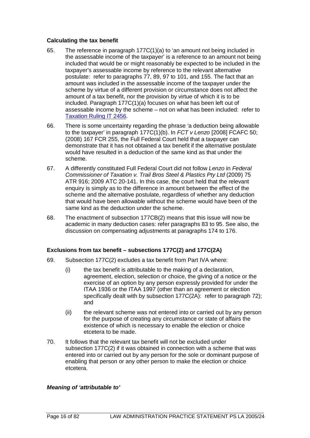# **Calculating the tax benefit**

- 65. The reference in paragraph 177C(1)(a) to 'an amount not being included in the assessable income of the taxpayer' is a reference to an amount not being included that would be or might reasonably be expected to be included in the taxpayer's assessable income by reference to the relevant alternative postulate: refer to paragraphs 77, 89, 97 to 101, and 155. The fact that an amount was included in the assessable income of the taxpayer under the scheme by virtue of a different provision or circumstance does not affect the amount of a tax benefit, nor the provision by virtue of which it is to be included. Paragraph 177C(1)(a) focuses on what has been left out of assessable income by the scheme – not on what has been included: refer to [Taxation Ruling IT](http://atolaw/050916140948/ViewDocument.htm?DocID=ITR/IT2456/NAT/ATO/00001) 2456.
- 66. There is some uncertainty regarding the phrase 'a deduction being allowable to the taxpayer' in paragraph 177C(1)(b). In *FCT v Lenzo* [2008] FCAFC 50; (2008) 167 FCR 255, the Full Federal Court held that a taxpayer can demonstrate that it has not obtained a tax benefit if the alternative postulate would have resulted in a deduction of the same kind as that under the scheme.
- 67. A differently constituted Full Federal Court did not follow *Lenzo* in *Federal Commissioner of Taxation v. Trail Bros Steel & Plastics Pty Ltd* (2009) 75 ATR 916; 2009 ATC 20-141. In this case, the court held that the relevant enquiry is simply as to the difference in amount between the effect of the scheme and the alternative postulate, regardless of whether any deduction that would have been allowable without the scheme would have been of the same kind as the deduction under the scheme.
- 68. The enactment of subsection 177CB(2) means that this issue will now be academic in many deduction cases: refer paragraphs 83 to 95. See also, the discussion on compensating adjustments at paragraphs 174 to 176.

# **Exclusions from tax benefit – subsections 177C(2) and 177C(2A)**

- 69. Subsection 177C(2) excludes a tax benefit from Part IVA where:
	- (i) the tax benefit is attributable to the making of a declaration, agreement, election, selection or choice, the giving of a notice or the exercise of an option by any person expressly provided for under the ITAA 1936 or the ITAA 1997 (other than an agreement or election specifically dealt with by subsection 177C(2A): refer to paragraph 72); and
	- (ii) the relevant scheme was not entered into or carried out by any person for the purpose of creating any circumstance or state of affairs the existence of which is necessary to enable the election or choice etcetera to be made.
- 70. It follows that the relevant tax benefit will not be excluded under subsection 177C(2) if it was obtained in connection with a scheme that was entered into or carried out by any person for the sole or dominant purpose of enabling that person or any other person to make the election or choice etcetera.

# *Meaning of 'attributable to'*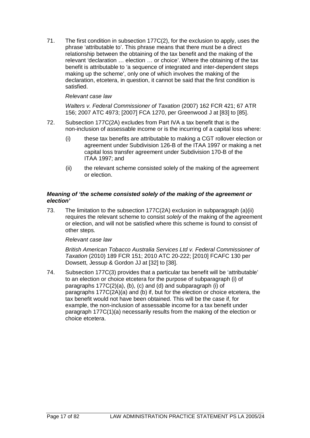71. The first condition in subsection 177C(2), for the exclusion to apply, uses the phrase 'attributable to'. This phrase means that there must be a direct relationship between the obtaining of the tax benefit and the making of the relevant 'declaration … election … or choice'. Where the obtaining of the tax benefit is attributable to 'a sequence of integrated and inter-dependent steps making up the scheme', only one of which involves the making of the declaration, etcetera, in question, it cannot be said that the first condition is satisfied.

# *Relevant case law*

*Walters v. Federal Commissioner of Taxation* (2007) 162 FCR 421; 67 ATR 156; 2007 ATC 4973; [2007] FCA 1270, per Greenwood J at [83] to [85].

- 72. Subsection 177C(2A) excludes from Part IVA a tax benefit that is the non-inclusion of assessable income or is the incurring of a capital loss where:
	- (i) these tax benefits are attributable to making a CGT rollover election or agreement under Subdivision 126-B of the ITAA 1997 or making a net capital loss transfer agreement under Subdivision 170-B of the ITAA 1997; and
	- (ii) the relevant scheme consisted solely of the making of the agreement or election.

# *Meaning of 'the scheme consisted solely of the making of the agreement or election'*

73. The limitation to the subsection 177C(2A) exclusion in subparagraph (a)(ii) requires the relevant scheme to consist *solely* of the making of the agreement or election, and will not be satisfied where this scheme is found to consist of other steps.

# *Relevant case law*

*British American Tobacco Australia Services Ltd v. Federal Commissioner of Taxation* (2010) 189 FCR 151; 2010 ATC 20-222; [2010] FCAFC 130 per Dowsett, Jessup & Gordon JJ at [32] to [38].

74. Subsection 177C(3) provides that a particular tax benefit will be 'attributable' to an election or choice etcetera for the purpose of subparagraph (i) of paragraphs 177C(2)(a), (b), (c) and (d) and subparagraph (i) of paragraphs 177C(2A)(a) and (b) if, but for the election or choice etcetera, the tax benefit would not have been obtained. This will be the case if, for example, the non-inclusion of assessable income for a tax benefit under paragraph 177C(1)(a) necessarily results from the making of the election or choice etcetera.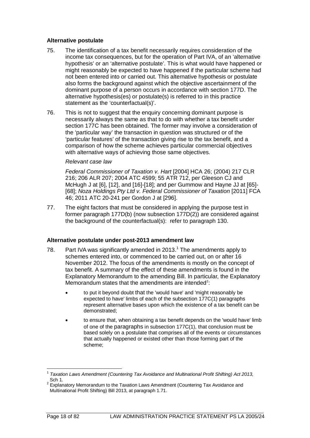# **Alternative postulate**

- 75. The identification of a tax benefit necessarily requires consideration of the income tax consequences, but for the operation of Part IVA, of an 'alternative hypothesis' or an 'alternative postulate'. This is what would have happened or might reasonably be expected to have happened if the particular scheme had not been entered into or carried out. This alternative hypothesis or postulate also forms the background against which the objective ascertainment of the dominant purpose of a person occurs in accordance with section 177D. The alternative hypothesis(es) or postulate(s) is referred to in this practice statement as the 'counterfactual(s)'.
- 76. This is not to suggest that the enquiry concerning dominant purpose is necessarily always the same as that to do with whether a tax benefit under section 177C has been obtained. The former may involve a consideration of the 'particular way' the transaction in question was structured or of the 'particular features' of the transaction giving rise to the tax benefit, and a comparison of how the scheme achieves particular commercial objectives with alternative ways of achieving those same objectives.

# *Relevant case law*

*Federal Commissioner of Taxation v. Hart* [2004] HCA 26; (2004) 217 CLR 216; 206 ALR 207; 2004 ATC 4599; 55 ATR 712, per Gleeson CJ and McHugh J at [6], [12], and [16]-[18]; and per Gummow and Hayne JJ at [65]- [68]; *Noza Holdings Pty Ltd v. Federal Commissioner of Taxation* [2011] FCA 46; 2011 ATC 20-241 per Gordon J at [296].

77. The eight factors that must be considered in applying the purpose test in former paragraph 177D(b) (now subsection 177D(2)) are considered against the background of the counterfactual(s): refer to paragraph 130.

# **Alternative postulate under post-2013 amendment law**

- 78. Part IVA was significantly amended in 20[1](#page-18-0)3.<sup>1</sup> The amendments apply to schemes entered into, or commenced to be carried out, on or after 16 November 2012. The focus of the amendments is mostly on the concept of tax benefit. A summary of the effect of these amendments is found in the Explanatory Memorandum to the amending Bill. In particular, the Explanatory Memorandum states that the amendments are intended<sup>[2](#page-18-1)</sup>:
	- to put it beyond doubt that the 'would have' and 'might reasonably be expected to have' limbs of each of the subsection 177C(1) paragraphs represent alternative bases upon which the existence of a tax benefit can be demonstrated;
	- to ensure that, when obtaining a tax benefit depends on the 'would have' limb of one of the paragraphs in subsection 177C(1), that conclusion must be based solely on a postulate that comprises all of the events or circumstances that actually happened or existed other than those forming part of the scheme;

<span id="page-18-0"></span><sup>1</sup> *Taxation Laws Amendment (Countering Tax Avoidance and Multinational Profit Shifting) Act 2013*,

<span id="page-18-1"></span><sup>&</sup>lt;sup>2</sup> Explanatory Memorandum to the Taxation Laws Amendment (Countering Tax Avoidance and Multinational Profit Shifting) Bill 2013, at paragraph 1.71.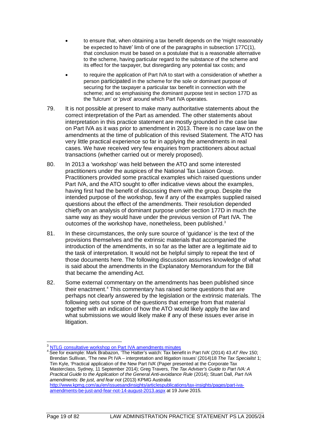- to ensure that, when obtaining a tax benefit depends on the 'might reasonably be expected to have' limb of one of the paragraphs in subsection 177C(1), that conclusion must be based on a postulate that is a reasonable alternative to the scheme, having particular regard to the substance of the scheme and its effect for the taxpayer, but disregarding any potential tax costs; and
- to require the application of Part IVA to start with a consideration of whether a person participated in the scheme for the sole or dominant purpose of securing for the taxpayer a particular tax benefit in connection with the scheme; and so emphasising the dominant purpose test in section 177D as the 'fulcrum' or 'pivot' around which Part IVA operates.
- 79. It is not possible at present to make many authoritative statements about the correct interpretation of the Part as amended. The other statements about interpretation in this practice statement are mostly grounded in the case law on Part IVA as it was prior to amendment in 2013. There is no case law on the amendments at the time of publication of this revised Statement. The ATO has very little practical experience so far in applying the amendments in real cases. We have received very few enquiries from practitioners about actual transactions (whether carried out or merely proposed).
- 80. In 2013 a 'workshop' was held between the ATO and some interested practitioners under the auspices of the National Tax Liaison Group. Practitioners provided some practical examples which raised questions under Part IVA, and the ATO sought to offer indicative views about the examples, having first had the benefit of discussing them with the group. Despite the intended purpose of the workshop, few if any of the examples supplied raised questions about the effect of the amendments. Their resolution depended chiefly on an analysis of dominant purpose under section 177D in much the same way as they would have under the previous version of Part IVA. The outcomes of the workshop have, nonetheless, been published.<sup>[3](#page-19-0)</sup>
- 81. In these circumstances, the only sure source of 'guidance' is the text of the provisions themselves and the extrinsic materials that accompanied the introduction of the amendments, in so far as the latter are a legitimate aid to the task of interpretation. It would not be helpful simply to repeat the text of those documents here. The following discussion assumes knowledge of what is said about the amendments in the Explanatory Memorandum for the Bill that became the amending Act.
- 82. Some external commentary on the amendments has been published since their enactment.<sup>[4](#page-19-1)</sup> This commentary has raised some questions that are perhaps not clearly answered by the legislation or the extrinsic materials. The following sets out some of the questions that emerge from that material together with an indication of how the ATO would likely apply the law and what submissions we would likely make if any of these issues ever arise in litigation.

<span id="page-19-1"></span><span id="page-19-0"></span><sup>&</sup>lt;sup>3</sup> [NTLG consultative workshop on Part IVA amendments minutes](https://www.ato.gov.au/General/Consultation/In-detail/Special-purpose-working-groups---minutes/Part-IVA-amendments/NTLG-consultative-workshop-on-Part-IVA-amendments/)<br><sup>4</sup> See for example: Mark Brabazon, 'The Hatter's watch: Tax benefit in Part IVA' (2014) 43 *AT Rev* 150; Brendan Sullivan, 'The new Pt IVA – interpretation and litigation issues' (2014)18 *The Tax Specialist* 1; Tim Kyle, 'Practical application of the New Part IVA' (Paper presented at the Corporate Tax Masterclass, Sydney, 11 September 2014); Greg Travers, *The Tax Adviser's Guide to Part IVA: A Practical Guide to the Application of the General Anti-avoidance Rule* (2014); Stuart Dall, *Part IVA amendments: Be just, and fear not* (2013) KPMG Australia [http://www.kpmg.com/au/en/issuesandinsights/articlespublications/tax-insights/pages/part-iva-](http://www.kpmg.com/au/en/issuesandinsights/articlespublications/tax-insights/pages/part-iva-amendments-be-just-and-fear-not-14-august-2013.aspx)

[amendments-be-just-and-fear-not-14-august-2013.aspx](http://www.kpmg.com/au/en/issuesandinsights/articlespublications/tax-insights/pages/part-iva-amendments-be-just-and-fear-not-14-august-2013.aspx) at 19 June 2015.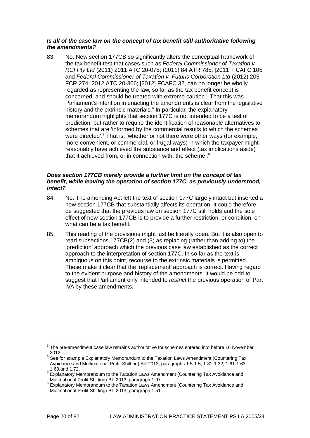# *Is all of the case law on the concept of tax benefit still authoritative following the amendments?*

83. No. New section 177CB so significantly alters the conceptual framework of the tax benefit test that cases such as *Federal Commissioner of Taxation v. RCI Pty Ltd* (2011) 2011 ATC 20-075; (2011) 84 ATR 785; [2011] FCAFC 105 and Federal Commissioner of Taxation v. Futuris Corporation Ltd (2012) 205 FCR 274; 2012 ATC 20-306; [2012] FCAFC 32, can no longer be wholly regarded as representing the law, so far as the tax benefit concept is concerned, and should be treated with extreme caution. [5](#page-20-0) That this was Parliament's intention in enacting the amendments is clear from the legislative history and the extrinsic materials.<sup>6</sup> In particular, the explanatory memorandum highlights that section 177C is not intended to be a test of prediction, but rather to require the identification of reasonable alternatives to schemes that are 'informed by the commercial results to which the schemes were directed'. [7](#page-20-2) That is, 'whether or not there were other ways (for example, more convenient, or commercial, or frugal ways) in which the taxpayer might reasonably have achieved the substance and effect (tax implications aside) that it achieved from, or in connection with, the scheme'.<sup>[8](#page-20-3)</sup>

## *Does section 177CB merely provide a further limit on the concept of tax benefit, while leaving the operation of section 177C, as previously understood, intact?*

- 84. No. The amending Act left the text of section 177C largely intact but inserted a new section 177CB that substantially affects its operation. It could therefore be suggested that the previous law on section 177C still holds and the sole effect of new section 177CB is to provide a further restriction, or condition, on what can be a tax benefit.
- 85. This reading of the provisions might just be literally open. But it is also open to read subsections 177CB(2) and (3) as replacing (rather than adding to) the 'prediction' approach which the previous case law established as the correct approach to the interpretation of section 177C. In so far as the text is ambiguous on this point, recourse to the extrinsic materials is permitted. These make it clear that the 'replacement' approach is correct. Having regard to the evident purpose and history of the amendments, it would be odd to suggest that Parliament only intended to *restrict* the previous operation of Part IVA by these amendments.

<span id="page-20-0"></span><sup>&</sup>lt;sup>5</sup> The pre-amendment case law remains authoritative for schemes entered into before 16 November 2012.

<span id="page-20-1"></span><sup>&</sup>lt;sup>6</sup> See for example Explanatory Memorandum to the Taxation Laws Amendment (Countering Tax Avoidance and Multinational Profit Shifting) Bill 2013, paragraphs 1.5-1.5, 1.31-1.32, 1.61-1.63,

<span id="page-20-2"></span><sup>&</sup>lt;sup>7</sup> Explanatory Memorandum to the Taxation Laws Amendment (Countering Tax Avoidance and<br>Multinational Profit Shifting) Bill 2013, paragraph 1.97.

<span id="page-20-3"></span>**Bill 2013, Profit Shifting**, paragraph 1.97. 8 Explanatory Memorandum to the Taxation Laws Amendment (Countering Tax Avoidance and Multinational Profit Shifting) Bill 2013, paragraph 1.51.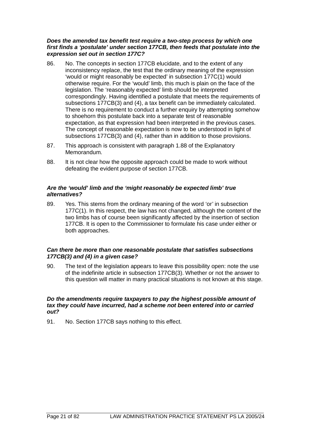# *Does the amended tax benefit test require a two-step process by which one first finds a 'postulate' under section 177CB, then feeds that postulate into the expression set out in section 177C?*

- 86. No. The concepts in section 177CB elucidate, and to the extent of any inconsistency replace, the test that the ordinary meaning of the expression 'would or might reasonably be expected' in subsection 177C(1) would otherwise require. For the 'would' limb, this much is plain on the face of the legislation. The 'reasonably expected' limb should be interpreted correspondingly. Having identified a postulate that meets the requirements of subsections 177CB(3) and (4), a tax benefit can be immediately calculated. There is no requirement to conduct a further enquiry by attempting somehow to shoehorn this postulate back into a separate test of reasonable expectation, as that expression had been interpreted in the previous cases. The concept of reasonable expectation is now to be understood in light of subsections 177CB(3) and (4), rather than in addition to those provisions.
- 87. This approach is consistent with paragraph 1.88 of the Explanatory Memorandum.
- 88. It is not clear how the opposite approach could be made to work without defeating the evident purpose of section 177CB.

# *Are the 'would' limb and the 'might reasonably be expected limb' true alternatives?*

89. Yes. This stems from the ordinary meaning of the word 'or' in subsection 177C(1). In this respect, the law has not changed, although the content of the two limbs has of course been significantly affected by the insertion of section 177CB. It is open to the Commissioner to formulate his case under either or both approaches.

# *Can there be more than one reasonable postulate that satisfies subsections 177CB(3) and (4) in a given case?*

90. The text of the legislation appears to leave this possibility open: note the use of the indefinite article in subsection 177CB(3). Whether or not the answer to this question will matter in many practical situations is not known at this stage.

## *Do the amendments require taxpayers to pay the highest possible amount of tax they could have incurred, had a scheme not been entered into or carried out?*

91. No. Section 177CB says nothing to this effect.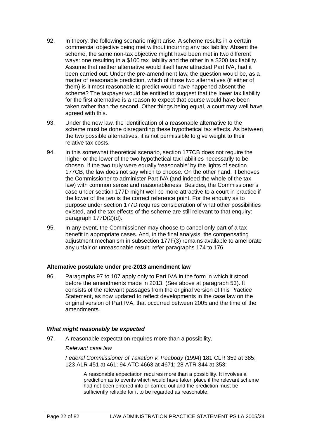- 92. In theory, the following scenario might arise. A scheme results in a certain commercial objective being met without incurring any tax liability. Absent the scheme, the same non-tax objective might have been met in two different ways: one resulting in a \$100 tax liability and the other in a \$200 tax liability. Assume that neither alternative would itself have attracted Part IVA, had it been carried out. Under the pre-amendment law, the question would be, as a matter of reasonable prediction, which of those two alternatives (if either of them) is it most reasonable to predict would have happened absent the scheme? The taxpayer would be entitled to suggest that the lower tax liability for the first alternative is a reason to expect that course would have been taken rather than the second. Other things being equal, a court may well have agreed with this.
- 93. Under the new law, the identification of a reasonable alternative to the scheme must be done disregarding these hypothetical tax effects. As between the two possible alternatives, it is not permissible to give weight to their relative tax costs.
- 94. In this somewhat theoretical scenario, section 177CB does not require the higher or the lower of the two hypothetical tax liabilities necessarily to be chosen. If the two truly were equally 'reasonable' by the lights of section 177CB, the law does not say which to choose. On the other hand, it behoves the Commissioner to administer Part IVA (and indeed the whole of the tax law) with common sense and reasonableness. Besides, the Commissioner's case under section 177D might well be more attractive to a court in practice if the lower of the two is the correct reference point. For the enquiry as to purpose under section 177D requires consideration of what other possibilities existed, and the tax effects of the scheme are still relevant to that enquiry: paragraph 177D(2)(d).
- 95. In any event, the Commissioner may choose to cancel only part of a tax benefit in appropriate cases. And, in the final analysis, the compensating adjustment mechanism in subsection 177F(3) remains available to ameliorate any unfair or unreasonable result: refer paragraphs 174 to 176.

# **Alternative postulate under pre-2013 amendment law**

96. Paragraphs 97 to 107 apply only to Part IVA in the form in which it stood before the amendments made in 2013. (See above at paragraph 53). It consists of the relevant passages from the original version of this Practice Statement, as now updated to reflect developments in the case law on the original version of Part IVA, that occurred between 2005 and the time of the amendments.

# *What might reasonably be expected*

97. A reasonable expectation requires more than a possibility.

# *Relevant case law*

*Federal Commissioner of Taxation v. Peabody* (1994) 181 CLR 359 at 385; 123 ALR 451 at 461; 94 ATC 4663 at 4671; 28 ATR 344 at 353:

A reasonable expectation requires more than a possibility. It involves a prediction as to events which would have taken place if the relevant scheme had not been entered into or carried out and the prediction must be sufficiently reliable for it to be regarded as reasonable.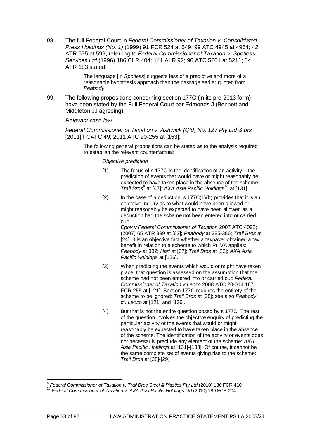98. The full Federal Court in *Federal Commissioner of Taxation v. Consolidated Press Holdings (No. 1)* (1999) 91 FCR 524 at 549; 99 ATC 4945 at 4964; 42 ATR 575 at 599, referring to *Federal Commissioner of Taxation v. Spotless Services Ltd* (1996) 186 CLR 404; 141 ALR 92; 96 ATC 5201 at 5211; 34 ATR 183 stated:

> The language [in *Spotless*] suggests less of a predictive and more of a reasonable hypothesis approach than the passage earlier quoted from *Peabody*.

99. The following propositions concerning section 177C (in its pre-2013 form) have been stated by the Full Federal Court per Edmonds J (Bennett and Middleton JJ agreeing):

# *Relevant case law*

*Federal Commissioner of Taxation v. Ashwick (Qld) No. 127 Pty Ltd & ors* [2011] FCAFC 49; 2011 ATC 20-255 at [153]:

The following general propositions can be stated as to the analysis required to establish the relevant counterfactual:

#### *Objective prediction*

- (1) The focus of s 177C is the identification of an activity the prediction of events that would have or might reasonably be expected to have taken place in the absence of the scheme: *Trail Bros*[9](#page-23-0) at [47]; *AXA Asia Pacific Holdings*[10](#page-23-1) at [131].
- $(2)$  In the case of a deduction, s 177 $C(1)(b)$  provides that it is an objective inquiry as to what would have been allowed or might reasonably be expected to have been allowed as a deduction had the scheme not been entered into or carried out: *Epov v Federal Commissioner of Taxation* 2007 ATC 4092; (2007) 65 ATR 399 at [62]; *Peabody* at 385-386; *Trail Bros* at [24]. It is an objective fact whether a taxpayer obtained a tax benefit in relation to a scheme to which Pt IVA applies: *Peabody* at 382; *Hart* at [37]; *Trail Bros* at [23]; *AXA Asia*
- (3) When predicting the events which would or might have taken place, that question is assessed on the assumption that the scheme had not been entered into or carried out: *Federal Commissioner of Taxation v Lenzo* 2008 ATC 20-014 167 FCR 255 at [121]. Section 177C requires the entirety of the scheme to be ignored: *Trail Bros* at [28]; see also *Peabody*, cf. *Lenzo* at [121] and [136].
- (4) But that is not the entire question posed by s 177C. The rest of the question involves the objective enquiry of predicting the particular activity or the events that would or might reasonably be expected to have taken place in the absence of the scheme. The identification of the activity or events does not necessarily preclude any element of the scheme: *AXA Asia Pacific Holdings* at [131]-[133]. Of course, it cannot be the same complete set of events giving rise to the scheme: *Trail Bros* at [28]-[29].

*Pacific Holdings* at [126].

<span id="page-23-1"></span><span id="page-23-0"></span><sup>9</sup> *Federal Commissioner of Taxation v. Trail Bros Steel & Plastics Pty Ltd* (2010) 186 FCR 410 <sup>10</sup> *Federal Commissioner of Taxation v. AXA Asia Pacific Holdings Ltd* (2010) 189 FCR 204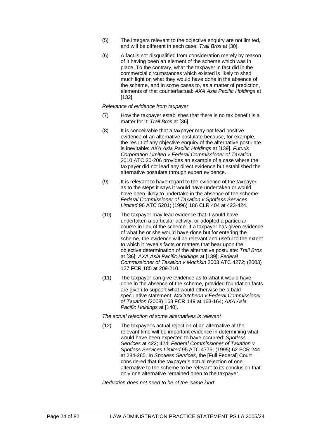- (5) The integers relevant to the objective enquiry are not limited, and will be different in each case: *Trail Bros* at [30].
- (6) A fact is not disqualified from consideration merely by reason of it having been an element of the scheme which was in place. To the contrary, what the taxpayer in fact did in the commercial circumstances which existed is likely to shed much light on what they would have done in the absence of the scheme, and in some cases to, as a matter of prediction, elements of that counterfactual: *AXA Asia Pacific Holdings* at [132].

#### *Relevance of evidence from taxpayer*

- (7) How the taxpayer establishes that there is no tax benefit is a matter for it: *Trail Bros* at [36].
- (8) It is conceivable that a taxpayer may not lead positive evidence of an alternative postulate because, for example, the result of any objective enquiry of the alternative postulate is inevitable: *AXA Asia Pacific Holdings* at [139]. *Futuris Corporation Limited v Federal Commissioner of Taxation*  2010 ATC 20-206 provides an example of a case where the taxpayer did not lead any direct evidence but established the alternative postulate through expert evidence.
- (9) It is relevant to have regard to the evidence of the taxpayer as to the steps it says it would have undertaken or would have been likely to undertake in the absence of the scheme: *Federal Commissioner of Taxation v Spotless Services Limited* 96 ATC 5201; (1996) 186 CLR 404 at 423-424.
- (10) The taxpayer may lead evidence that it would have undertaken a particular activity, or adopted a particular course in lieu of the scheme. If a taxpayer has given evidence of what he or she would have done but for entering the scheme, the evidence will be relevant and useful to the extent to which it reveals facts or matters that bear upon the objective determination of the alternative postulate: *Trail Bros* at [36]; *AXA Asia Pacific Holdings* at [139]; *Federal Commissioner of Taxation v Mochkin* 2003 ATC 4272; (2003) 127 FCR 185 at 209-210.
- (11) The taxpayer can give evidence as to what it would have done in the absence of the scheme, provided foundation facts are given to support what would otherwise be a bald speculative statement: *McCutcheon v Federal Commissioner of Taxation* (2008) 168 FCR 149 at 163-164; *AXA Asia Pacific Holdings* at [140].

*The actual rejection of some alternatives is relevant*

(12) The taxpayer's actual rejection of an alternative at the relevant time will be important evidence in determining what would have been expected to have occurred: *Spotless Services* at 422; 424; *Federal Commissioner of Taxation v Spotless Services Limited* 95 ATC 4775; (1995) 62 FCR 244 at 284-285. In *Spotless Services*, the [Full Federal] Court considered that the taxpayer's actual rejection of one alternative to the scheme to be relevant to its conclusion that only one alternative remained open to the taxpayer.

*Deduction does not need to be of the 'same kind'*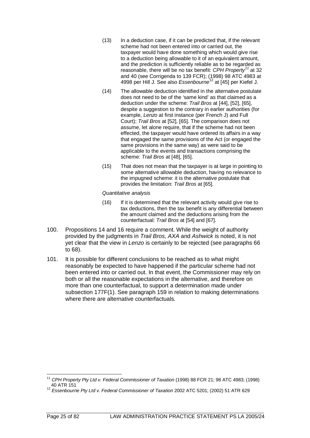- (13) In a deduction case, if it can be predicted that, if the relevant scheme had not been entered into or carried out, the taxpayer would have done something which would give rise to a deduction being allowable to it of an equivalent amount, and the prediction is sufficiently reliable as to be regarded as reasonable, there will be no tax benefit: *CPH Property[11](#page-25-0)* at 32 and 40 (see Corrigenda to 139 FCR); (1998) 98 ATC 4983 at 4998 per Hill J. See also *Essenbourne*[12](#page-25-1) at [45] per Kiefel J.
- (14) The allowable deduction identified in the alternative postulate does not need to be of the 'same kind' as that claimed as a deduction under the scheme: *Trail Bros* at [44], [52], [65], despite a suggestion to the contrary in earlier authorities (for example, *Lenzo* at first instance (per French J) and Full Court); *Trail Bros* at [52], [65]. The comparison does not assume, let alone require, that if the scheme had not been effected, the taxpayer would have ordered its affairs in a way that engaged the same provisions of the Act (or engaged the same provisions in the same way) as were said to be applicable to the events and transactions comprising the scheme: *Trail Bros* at [48], [65].
- (15) That does not mean that the taxpayer is at large in pointing to some alternative allowable deduction, having no relevance to the impugned scheme: it is the alternative postulate that provides the limitation: *Trail Bros* at [65].

# *Quantitative analysis*

- (16) If it is determined that the relevant activity would give rise to tax deductions, then the tax benefit is any differential between the amount claimed and the deductions arising from the counterfactual: *Trail Bros* at [54] and [67].
- 100. Propositions 14 and 16 require a comment. While the weight of authority provided by the judgments in *Trail Bros*, *AXA* and *Ashwick* is noted, it is not yet clear that the view in *Lenzo* is certainly to be rejected (see paragraphs 66 to 68).
- 101. It is possible for different conclusions to be reached as to what might reasonably be expected to have happened if the particular scheme had not been entered into or carried out. In that event, the Commissioner may rely on both or all the reasonable expectations in the alternative, and therefore on more than one counterfactual, to support a determination made under subsection 177F(1). See paragraph 159 in relation to making determinations where there are alternative counterfactuals.

<span id="page-25-0"></span><sup>11</sup> *CPH Property Pty Ltd v. Federal Commissioner of Taxation* (1998) 88 FCR 21; 98 ATC 4983; (1998) 40 ATR 151 <sup>12</sup> *Essenbourne Pty Ltd v. Federal Commissioner of Taxation* 2002 ATC 5201; (2002) 51 ATR 629

<span id="page-25-1"></span>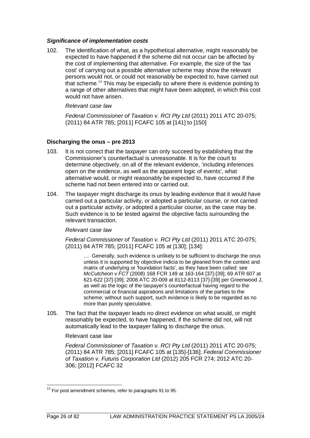## *Significance of implementation costs*

102. The identification of what, as a hypothetical alternative, might reasonably be expected to have happened if the scheme did not occur can be affected by the cost of implementing that alternative. For example, the size of the 'tax cost' of carrying out a possible alternative scheme may show the relevant persons would not, or could not reasonably be expected to, have carried out that scheme.[13](#page-26-0) This may be especially so where there is evidence pointing to a range of other alternatives that might have been adopted, in which this cost would not have arisen.

## *Relevant case law*

*Federal Commissioner of Taxation v. RCI Pty Ltd* (2011) 2011 ATC 20-075; (2011) 84 ATR 785; [2011] FCAFC 105 at [141] to [150]

# **Discharging the onus – pre 2013**

- 103. It is not correct that the taxpayer can only succeed by establishing that the Commissioner's counterfactual is unreasonable. It is for the court to determine objectively, on all of the relevant evidence, 'including inferences open on the evidence, as well as the apparent logic of events', what alternative would, or might reasonably be expected to, have occurred if the scheme had not been entered into or carried out.
- 104. The taxpayer might discharge its onus by leading evidence that it would have carried out a particular activity, or adopted a particular course, or not carried out a particular activity, or adopted a particular course, as the case may be. Such evidence is to be tested against the objective facts surrounding the relevant transaction.

#### *Relevant case law*

*Federal Commissioner of Taxation v. RCI Pty Ltd* (2011) 2011 ATC 20-075; (2011) 84 ATR 785; [2011] FCAFC 105 at [130]; [134]:

… Generally, such evidence is unlikely to be sufficient to discharge the onus unless it is supported by objective indicia to be gleaned from the context and matrix of underlying or 'foundation facts', as they have been called: see *McCutcheon v FCT* (2008) 168 FCR 149 at 163-164 [37]-[39]; 69 ATR 607 at 621-622 [37]-[39]; 2008 ATC 20-009 at 8112-8113 [37]-[39] per Greenwood J, as well as the logic of the taxpayer's counterfactual having regard to the commercial or financial aspirations and limitations of the parties to the scheme; without such support, such evidence is likely to be regarded as no more than purely speculative.

105. The fact that the taxpayer leads no direct evidence on what would, or might reasonably be expected, to have happened, if the scheme did not, will not automatically lead to the taxpayer failing to discharge the onus.

#### Relevant case law

*Federal Commissioner of Taxation v. RCI Pty Ltd* (2011) 2011 ATC 20-075; (2011) 84 ATR 785; [2011] FCAFC 105 at [135]-[136]; *Federal Commissioner of Taxation v. Futuris Corporation Ltd* (2012) 205 FCR 274; 2012 ATC 20- 306; [2012] FCAFC 32

<span id="page-26-0"></span> $13$  For post amendment schemes, refer to paragraphs 91 to 95.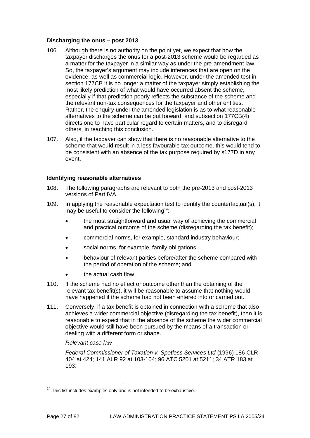# **Discharging the onus – post 2013**

- 106. Although there is no authority on the point yet, we expect that how the taxpayer discharges the onus for a post-2013 scheme would be regarded as a matter for the taxpayer in a similar way as under the pre-amendment law. So, the taxpayer's argument may include inferences that are open on the evidence, as well as commercial logic. However, under the amended test in section 177CB it is no longer a matter of the taxpayer simply establishing the most likely prediction of what would have occurred absent the scheme, especially if that prediction poorly reflects the substance of the scheme and the relevant non-tax consequences for the taxpayer and other entities. Rather, the enquiry under the amended legislation is as to what reasonable alternatives to the scheme can be put forward, and subsection 177CB(4) directs one to have particular regard to certain matters, and to disregard others, in reaching this conclusion.
- 107. Also, if the taxpayer can show that there is no reasonable alternative to the scheme that would result in a less favourable tax outcome, this would tend to be consistent with an absence of the tax purpose required by s177D in any event.

# **Identifying reasonable alternatives**

- 108. The following paragraphs are relevant to both the pre-2013 and post-2013 versions of Part IVA.
- 109. In applying the reasonable expectation test to identify the counterfactual(s), it may be useful to consider the following<sup>[14](#page-27-0)</sup>:
	- the most straightforward and usual way of achieving the commercial and practical outcome of the scheme (disregarding the tax benefit);
	- commercial norms, for example, standard industry behaviour;
	- social norms, for example, family obligations;
	- behaviour of relevant parties before/after the scheme compared with the period of operation of the scheme; and
	- the actual cash flow.
- 110. If the scheme had no effect or outcome other than the obtaining of the relevant tax benefit(s), it will be reasonable to assume that nothing would have happened if the scheme had not been entered into or carried out.
- 111. Conversely, if a tax benefit is obtained in connection with a scheme that also achieves a wider commercial objective (disregarding the tax benefit), then it is reasonable to expect that in the absence of the scheme the wider commercial objective would still have been pursued by the means of a transaction or dealing with a different form or shape.

# *Relevant case law*

*Federal Commissioner of Taxation v. Spotless Services Ltd* (1996) 186 CLR 404 at 424; 141 ALR 92 at 103-104; 96 ATC 5201 at 5211; 34 ATR 183 at 193:

<span id="page-27-0"></span><sup>&</sup>lt;sup>14</sup> This list includes examples only and is not intended to be exhaustive.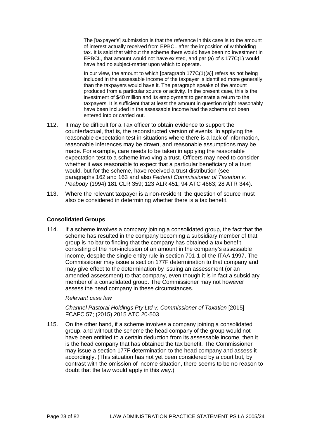The [taxpayer's] submission is that the reference in this case is to the amount of interest actually received from EPBCL after the imposition of withholding tax. It is said that without the scheme there would have been no investment in EPBCL, that amount would not have existed, and par (a) of s 177C(1) would have had no subject-matter upon which to operate.

In our view, the amount to which [paragraph 177C(1)(a)] refers as not being included in the assessable income of the taxpayer is identified more generally than the taxpayers would have it. The paragraph speaks of the amount produced from a particular source or activity. In the present case, this is the investment of \$40 million and its employment to generate a return to the taxpayers. It is sufficient that at least the amount in question might reasonably have been included in the assessable income had the scheme not been entered into or carried out.

- 112. It may be difficult for a Tax officer to obtain evidence to support the counterfactual, that is, the reconstructed version of events. In applying the reasonable expectation test in situations where there is a lack of information, reasonable inferences may be drawn, and reasonable assumptions may be made. For example, care needs to be taken in applying the reasonable expectation test to a scheme involving a trust. Officers may need to consider whether it was reasonable to expect that a particular beneficiary of a trust would, but for the scheme, have received a trust distribution (see paragraphs 162 and 163 and also *Federal Commissioner of Taxation v. Peabody* (1994) 181 CLR 359; 123 ALR 451; 94 ATC 4663; 28 ATR 344).
- 113. Where the relevant taxpayer is a non-resident, the question of source must also be considered in determining whether there is a tax benefit.

# **Consolidated Groups**

114. If a scheme involves a company joining a consolidated group, the fact that the scheme has resulted in the company becoming a subsidiary member of that group is no bar to finding that the company has obtained a tax benefit consisting of the non-inclusion of an amount in the company's assessable income, despite the single entity rule in section 701-1 of the ITAA 1997. The Commissioner may issue a section 177F determination to that company and may give effect to the determination by issuing an assessment (or an amended assessment) to that company, even though it is in fact a subsidiary member of a consolidated group. The Commissioner may not however assess the head company in these circumstances.

# *Relevant case law*

*Channel Pastoral Holdings Pty Ltd v. Commissioner of Taxation* [2015] FCAFC 57; (2015) 2015 ATC 20-503

115. On the other hand, if a scheme involves a company joining a consolidated group, and without the scheme the head company of the group would not have been entitled to a certain deduction from its assessable income, then it is the head company that has obtained the tax benefit. The Commissioner may issue a section 177F determination to the head company and assess it accordingly. (This situation has not yet been considered by a court but, by contrast with the omission of income situation, there seems to be no reason to doubt that the law would apply in this way.)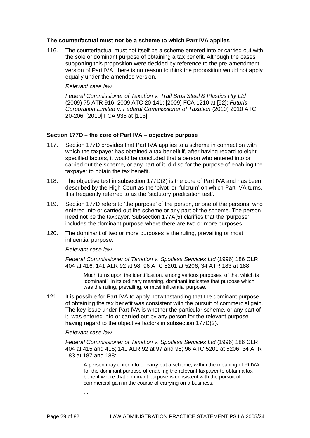## **The counterfactual must not be a scheme to which Part IVA applies**

116. The counterfactual must not itself be a scheme entered into or carried out with the sole or dominant purpose of obtaining a tax benefit. Although the cases supporting this proposition were decided by reference to the pre-amendment version of Part IVA, there is no reason to think the proposition would not apply equally under the amended version.

### *Relevant case law*

*Federal Commissioner of Taxation v. Trail Bros Steel & Plastics Pty Ltd* (2009) 75 ATR 916; 2009 ATC 20-141; [2009] FCA 1210 at [52]; *Futuris Corporation Limited v. Federal Commissioner of Taxation* (2010) 2010 ATC 20-206; [2010] FCA 935 at [113]

## **Section 177D – the core of Part IVA – objective purpose**

- 117. Section 177D provides that Part IVA applies to a scheme in connection with which the taxpayer has obtained a tax benefit if, after having regard to eight specified factors, it would be concluded that a person who entered into or carried out the scheme, or any part of it, did so for the purpose of enabling the taxpayer to obtain the tax benefit.
- 118. The objective test in subsection 177D(2) is the core of Part IVA and has been described by the High Court as the 'pivot' or 'fulcrum' on which Part IVA turns. It is frequently referred to as the 'statutory predication test'.
- 119. Section 177D refers to 'the purpose' of the person, or one of the persons, who entered into or carried out the scheme or any part of the scheme. The person need not be the taxpayer. Subsection 177A(5) clarifies that the 'purpose' includes the dominant purpose where there are two or more purposes.
- 120. The dominant of two or more purposes is the ruling, prevailing or most influential purpose.

#### *Relevant case law*

*Federal Commissioner of Taxation v. Spotless Services Ltd* (1996) 186 CLR 404 at 416; 141 ALR 92 at 98; 96 ATC 5201 at 5206; 34 ATR 183 at 188:

Much turns upon the identification, among various purposes, of that which is 'dominant'. In its ordinary meaning, dominant indicates that purpose which was the ruling, prevailing, or most influential purpose.

121. It is possible for Part IVA to apply notwithstanding that the dominant purpose of obtaining the tax benefit was consistent with the pursuit of commercial gain. The key issue under Part IVA is whether the particular scheme, or any part of it, was entered into or carried out by any person for the relevant purpose having regard to the objective factors in subsection 177D(2).

#### *Relevant case law*

*Federal Commissioner of Taxation v. Spotless Services Ltd* (1996) 186 CLR 404 at 415 and 416; 141 ALR 92 at 97 and 98; 96 ATC 5201 at 5206; 34 ATR 183 at 187 and 188:

A person may enter into or carry out a scheme, within the meaning of Pt IVA, for the dominant purpose of enabling the relevant taxpayer to obtain a tax benefit where that dominant purpose is consistent with the pursuit of commercial gain in the course of carrying on a business.

...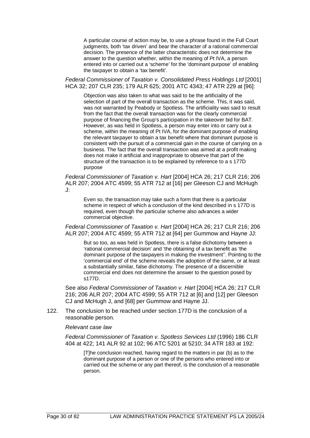A particular course of action may be, to use a phrase found in the Full Court judgments, both 'tax driven' and bear the character of a rational commercial decision. The presence of the latter characteristic does not determine the answer to the question whether, within the meaning of Pt IVA, a person entered into or carried out a 'scheme' for the 'dominant purpose' of enabling the taxpayer to obtain a 'tax benefit'.

*Federal Commissioner of Taxation v. Consolidated Press Holdings Ltd* [2001] HCA 32; 207 CLR 235; 179 ALR 625; 2001 ATC 4343; 47 ATR 229 at [96]:

Objection was also taken to what was said to be the artificiality of the selection of part of the overall transaction as the scheme. This, it was said, was not warranted by Peabody or Spotless. The artificiality was said to result from the fact that the overall transaction was for the clearly commercial purpose of financing the Group's participation in the takeover bid for BAT. However, as was held in Spotless, a person may enter into or carry out a scheme, within the meaning of Pt IVA, for the dominant purpose of enabling the relevant taxpayer to obtain a tax benefit where that dominant purpose is consistent with the pursuit of a commercial gain in the course of carrying on a business. The fact that the overall transaction was aimed at a profit making does not make it artificial and inappropriate to observe that part of the structure of the transaction is to be explained by reference to a s 177D purpose

*Federal Commissioner of Taxation v. Hart* [2004] HCA 26; 217 CLR 216; 206 ALR 207; 2004 ATC 4599; 55 ATR 712 at [16] per Gleeson CJ and McHugh J:

Even so, the transaction may take such a form that there is a particular scheme in respect of which a conclusion of the kind described in s 177D is required, even though the particular scheme also advances a wider commercial objective.

*Federal Commissioner of Taxation v. Hart* [2004] HCA 26; 217 CLR 216; 206 ALR 207; 2004 ATC 4599; 55 ATR 712 at [64] per Gummow and Hayne JJ:

But so too, as was held in Spotless, there is a false dichotomy between a 'rational commercial decision' and 'the obtaining of a tax benefit as 'the dominant purpose of the taxpayers in making the investment''. Pointing to the 'commercial end' of the scheme reveals the adoption of the same, or at least a substantially similar, false dichotomy. The presence of a discernible commercial end does not determine the answer to the question posed by s177D.

See also *Federal Commissioner of Taxation v. Hart* [2004] HCA 26; 217 CLR 216; 206 ALR 207; 2004 ATC 4599; 55 ATR 712 at [6] and [12] per Gleeson CJ and McHugh J, and [68] per Gummow and Hayne JJ.

122. The conclusion to be reached under section 177D is the conclusion of a reasonable person.

#### *Relevant case law*

*Federal Commissioner of Taxation v. Spotless Services Ltd* (1996) 186 CLR 404 at 422; 141 ALR 92 at 102; 96 ATC 5201 at 5210; 34 ATR 183 at 192:

[T]he conclusion reached, having regard to the matters in par (b) as to the dominant purpose of a person or one of the persons who entered into or carried out the scheme or any part thereof, is the conclusion of a reasonable person.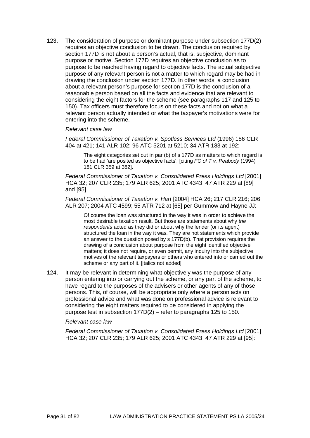123. The consideration of purpose or dominant purpose under subsection 177D(2) requires an objective conclusion to be drawn. The conclusion required by section 177D is not about a person's actual, that is, subjective, dominant purpose or motive. Section 177D requires an objective conclusion as to purpose to be reached having regard to objective facts. The actual subjective purpose of any relevant person is not a matter to which regard may be had in drawing the conclusion under section 177D. In other words, a conclusion about a relevant person's purpose for section 177D is the conclusion of a reasonable person based on all the facts and evidence that are relevant to considering the eight factors for the scheme (see paragraphs 117 and 125 to 150). Tax officers must therefore focus on these facts and not on what a relevant person actually intended or what the taxpayer's motivations were for entering into the scheme.

# *Relevant case law*

*Federal Commissioner of Taxation v. Spotless Services Ltd* (1996) 186 CLR 404 at 421; 141 ALR 102; 96 ATC 5201 at 5210; 34 ATR 183 at 192:

The eight categories set out in par (b) of s 177D as matters to which regard is to be had 'are posited as objective facts', [citing *FC of T v. Peabody* (1994) 181 CLR 359 at 382].

*Federal Commissioner of Taxation v. Consolidated Press Holdings Ltd* [2001] HCA 32; 207 CLR 235; 179 ALR 625; 2001 ATC 4343; 47 ATR 229 at [89] and [95]

*Federal Commissioner of Taxation v. Hart* [2004] HCA 26; 217 CLR 216; 206 ALR 207; 2004 ATC 4599; 55 ATR 712 at [65] per Gummow and Hayne JJ:

Of course the loan was structured in the way it was in order to achieve the most desirable taxation result. But those are statements about why *the respondents* acted as they did or about why the lender (or its agent) structured the loan in the way it was. They are not statements which provide an answer to the question posed by s 177D(b). That provision requires the drawing of a conclusion about purpose from the eight identified objective matters; it does not require, or even permit, any inquiry into the subjective motives of the relevant taxpayers or others who entered into or carried out the scheme or any part of it. [italics not added]

124. It may be relevant in determining what objectively was the purpose of any person entering into or carrying out the scheme, or any part of the scheme, to have regard to the purposes of the advisers or other agents of any of those persons. This, of course, will be appropriate only where a person acts on professional advice and what was done on professional advice is relevant to considering the eight matters required to be considered in applying the purpose test in subsection 177D(2) – refer to paragraphs 125 to 150.

# *Relevant case law*

*Federal Commissioner of Taxation v. Consolidated Press Holdings Ltd* [2001] HCA 32; 207 CLR 235; 179 ALR 625; 2001 ATC 4343; 47 ATR 229 at [95]: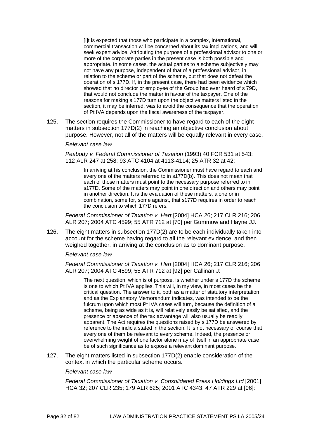[I]t is expected that those who participate in a complex, international, commercial transaction will be concerned about its tax implications, and will seek expert advice. Attributing the purpose of a professional advisor to one or more of the corporate parties in the present case is both possible and appropriate. In some cases, the actual parties to a scheme subjectively may not have any purpose, independent of that of a professional advisor, in relation to the scheme or part of the scheme, but that does not defeat the operation of s 177D. If, in the present case, there had been evidence which showed that no director or employee of the Group had ever heard of s 79D, that would not conclude the matter in favour of the taxpayer. One of the reasons for making s 177D turn upon the objective matters listed in the section, it may be inferred, was to avoid the consequence that the operation of Pt IVA depends upon the fiscal awareness of the taxpayer.

125. The section requires the Commissioner to have regard to each of the eight matters in subsection 177D(2) in reaching an objective conclusion about purpose. However, not all of the matters will be equally relevant in every case.

#### *Relevant case law*

*Peabody v. Federal Commissioner of Taxation* (1993) 40 FCR 531 at 543; 112 ALR 247 at 258; 93 ATC 4104 at 4113-4114; 25 ATR 32 at 42:

In arriving at his conclusion, the Commissioner must have regard to each and every one of the matters referred to in s177D(b). This does not mean that each of those matters must point to the necessary purpose referred to in s177D. Some of the matters may point in one direction and others may point in another direction. It is the evaluation of these matters, alone or in combination, some for, some against, that s177D requires in order to reach the conclusion to which 177D refers.

*Federal Commissioner of Taxation v. Hart* [2004] HCA 26; 217 CLR 216; 206 ALR 207; 2004 ATC 4599; 55 ATR 712 at [70] per Gummow and Hayne JJ.

126. The eight matters in subsection 177D(2) are to be each individually taken into account for the scheme having regard to all the relevant evidence, and then weighed together, in arriving at the conclusion as to dominant purpose.

#### *Relevant case law*

*Federal Commissioner of Taxation v. Hart* [2004] HCA 26; 217 CLR 216; 206 ALR 207; 2004 ATC 4599; 55 ATR 712 at [92] per Callinan J:

The next question, which is of purpose, is whether under s 177D the scheme is one to which Pt IVA applies. This will, in my view, in most cases be the critical question. The answer to it, both as a matter of statutory interpretation and as the Explanatory Memorandum indicates, was intended to be the fulcrum upon which most Pt IVA cases will turn, because the definition of a scheme, being as wide as it is, will relatively easily be satisfied, and the presence or absence of the tax advantage will also usually be readily apparent. The Act requires the questions raised by s 177D be answered by reference to the indicia stated in the section. It is not necessary of course that every one of them be relevant to every scheme. Indeed, the presence or overwhelming weight of one factor alone may of itself in an appropriate case be of such significance as to expose a relevant dominant purpose.

127. The eight matters listed in subsection 177D(2) enable consideration of the context in which the particular scheme occurs.

#### *Relevant case law*

*Federal Commissioner of Taxation v. Consolidated Press Holdings Ltd* [2001] HCA 32; 207 CLR 235; 179 ALR 625; 2001 ATC 4343; 47 ATR 229 at [96]: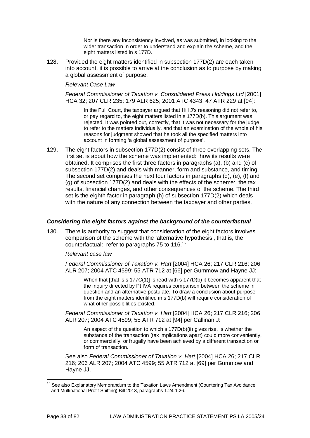Nor is there any inconsistency involved, as was submitted, in looking to the wider transaction in order to understand and explain the scheme, and the eight matters listed in s 177D.

128. Provided the eight matters identified in subsection 177D(2) are each taken into account, it is possible to arrive at the conclusion as to purpose by making a global assessment of purpose.

## *Relevant Case Law*

*Federal Commissioner of Taxation v. Consolidated Press Holdings Ltd* [2001] HCA 32; 207 CLR 235; 179 ALR 625; 2001 ATC 4343; 47 ATR 229 at [94]:

In the Full Court, the taxpayer argued that Hill J's reasoning did not refer to, or pay regard to, the eight matters listed in s 177D(b). This argument was rejected. It was pointed out, correctly, that it was not necessary for the judge to refer to the matters individually, and that an examination of the whole of his reasons for judgment showed that he took all the specified matters into account in forming 'a global assessment of purpose'.

129. The eight factors in subsection 177D(2) consist of three overlapping sets. The first set is about how the scheme was implemented: how its results were obtained. It comprises the first three factors in paragraphs (a), (b) and (c) of subsection 177D(2) and deals with manner, form and substance, and timing. The second set comprises the next four factors in paragraphs (d), (e), (f) and (g) of subsection 177D(2) and deals with the effects of the scheme: the tax results, financial changes, and other consequences of the scheme. The third set is the eighth factor in paragraph (h) of subsection 177D(2) which deals with the nature of any connection between the taxpayer and other parties.

## *Considering the eight factors against the background of the counterfactual*

130. There is authority to suggest that consideration of the eight factors involves comparison of the scheme with the 'alternative hypothesis', that is, the counterfactual: refer to paragraphs 75 to 116. [15](#page-33-0)

*Relevant case law*

*Federal Commissioner of Taxation v. Hart* [2004] HCA 26; 217 CLR 216; 206 ALR 207; 2004 ATC 4599; 55 ATR 712 at [66] per Gummow and Hayne JJ:

When that [that is s 177C(1)] is read with s 177D(b) it becomes apparent that the inquiry directed by Pt IVA requires comparison between the scheme in question and an alternative postulate. To draw a conclusion about purpose from the eight matters identified in s 177D(b) will require consideration of what other possibilities existed.

*Federal Commissioner of Taxation v. Hart* [2004] HCA 26; 217 CLR 216; 206 ALR 207; 2004 ATC 4599; 55 ATR 712 at [94] per Callinan J:

An aspect of the question to which s 177D(b)(ii) gives rise, is whether the substance of the transaction (tax implications apart) could more conveniently, or commercially, or frugally have been achieved by a different transaction or form of transaction.

See also *Federal Commissioner of Taxation v. Hart* [2004] HCA 26; 217 CLR 216; 206 ALR 207; 2004 ATC 4599; 55 ATR 712 at [69] per Gummow and Hayne JJ,

<span id="page-33-0"></span><sup>&</sup>lt;sup>15</sup> See also Explanatory Memorandum to the Taxation Laws Amendment (Countering Tax Avoidance and Multinational Profit Shifting) Bill 2013, paragraphs 1.24-1.26.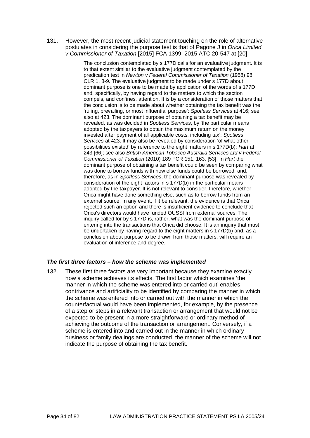131. However, the most recent judicial statement touching on the role of alternative postulates in considering the purpose test is that of Pagone J in *Orica Limited v Commissioner of Taxation* [2015] FCA 1399; 2015 ATC 20-547 at [20]:

> The conclusion contemplated by s 177D calls for an evaluative judgment. It is to that extent similar to the evaluative judgment contemplated by the predication test in *Newton v Federal Commissioner of Taxation* (1958) 98 CLR 1, 8-9. The evaluative judgment to be made under s 177D about dominant purpose is one to be made by application of the words of s 177D and, specifically, by having regard to the matters to which the section compels, and confines, attention. It is by a consideration of those matters that the conclusion is to be made about whether obtaining the tax benefit was the 'ruling, prevailing, or most influential purpose': *Spotless Services* at 416; see also at 423. The dominant purpose of obtaining a tax benefit may be revealed, as was decided in *Spotless Services*, by 'the particular means adopted by the taxpayers to obtain the maximum return on the money invested after payment of all applicable costs, including tax': *Spotless Services* at 423. It may also be revealed by consideration 'of what other possibilities existed' by reference to the eight matters in s 177D(b): *Hart* at 243 [66]; see also *British American Tobacco Australia Services Ltd v Federal Commissioner of Taxation* (2010) 189 FCR 151, 163, [53]. In *Hart* the dominant purpose of obtaining a tax benefit could be seen by comparing what was done to borrow funds with how else funds could be borrowed, and, therefore, as in *Spotless Services*, the dominant purpose was revealed by consideration of the eight factors in s 177D(b) in the particular means adopted by the taxpayer. It is not relevant to consider, therefore, whether Orica might have done something else, such as to borrow funds from an external source. In any event, if it be relevant, the evidence is that Orica rejected such an option and there is insufficient evidence to conclude that Orica's directors would have funded OUSSI from external sources. The inquiry called for by s 177D is, rather, what was the dominant purpose of entering into the transactions that Orica did choose. It is an inquiry that must be undertaken by having regard to the eight matters in s 177D(b) and, as a conclusion about purpose to be drawn from those matters, will require an evaluation of inference and degree.

# *The first three factors – how the scheme was implemented*

132. These first three factors are very important because they examine exactly how a scheme achieves its effects. The first factor which examines 'the manner in which the scheme was entered into or carried out' enables contrivance and artificiality to be identified by comparing the manner in which the scheme was entered into or carried out with the manner in which the counterfactual would have been implemented, for example, by the presence of a step or steps in a relevant transaction or arrangement that would not be expected to be present in a more straightforward or ordinary method of achieving the outcome of the transaction or arrangement. Conversely, if a scheme is entered into and carried out in the manner in which ordinary business or family dealings are conducted, the manner of the scheme will not indicate the purpose of obtaining the tax benefit.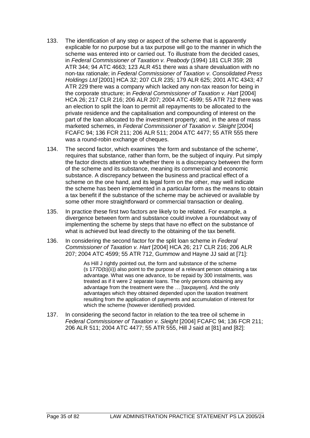- 133. The identification of any step or aspect of the scheme that is apparently explicable for no purpose but a tax purpose will go to the manner in which the scheme was entered into or carried out. To illustrate from the decided cases, in *Federal Commissioner of Taxation v. Peabody* (1994) 181 CLR 359; 28 ATR 344; 94 ATC 4663; 123 ALR 451 there was a share devaluation with no non-tax rationale; in *Federal Commissioner of Taxation v. Consolidated Press Holdings Ltd* [2001] HCA 32; 207 CLR 235; 179 ALR 625; 2001 ATC 4343; 47 ATR 229 there was a company which lacked any non-tax reason for being in the corporate structure; in *Federal Commissioner of Taxation v. Hart* [2004] HCA 26; 217 CLR 216; 206 ALR 207; 2004 ATC 4599; 55 ATR 712 there was an election to split the loan to permit all repayments to be allocated to the private residence and the capitalisation and compounding of interest on the part of the loan allocated to the investment property; and, in the area of mass marketed schemes, in *Federal Commissioner of Taxation v. Sleight* [2004] FCAFC 94; 136 FCR 211; 206 ALR 511; 2004 ATC 4477; 55 ATR 555 there was a round-robin exchange of cheques.
- 134. The second factor, which examines 'the form and substance of the scheme', requires that substance, rather than form, be the subject of inquiry. Put simply the factor directs attention to whether there is a discrepancy between the form of the scheme and its substance, meaning its commercial and economic substance. A discrepancy between the business and practical effect of a scheme on the one hand, and its legal form on the other, may well indicate the scheme has been implemented in a particular form as the means to obtain a tax benefit if the substance of the scheme may be achieved or available by some other more straightforward or commercial transaction or dealing.
- 135. In practice these first two factors are likely to be related. For example, a divergence between form and substance could involve a roundabout way of implementing the scheme by steps that have no effect on the substance of what is achieved but lead directly to the obtaining of the tax benefit.
- 136. In considering the second factor for the split loan scheme in *Federal Commissioner of Taxation v. Hart* [2004] HCA 26; 217 CLR 216; 206 ALR 207; 2004 ATC 4599; 55 ATR 712, Gummow and Hayne JJ said at [71]:

As Hill J rightly pointed out, the form and substance of the scheme (s 177D(b)(ii)) also point to the purpose of a relevant person obtaining a tax advantage. What was one advance, to be repaid by 300 instalments, was treated as if it were 2 separate loans. The only persons obtaining any advantage from the treatment were the … [taxpayers]. And the only advantages which they obtained depended upon the taxation treatment resulting from the application of payments and accumulation of interest for which the scheme (however identified) provided.

137. In considering the second factor in relation to the tea tree oil scheme in *Federal Commissioner of Taxation v. Sleight* [2004] FCAFC 94; 136 FCR 211; 206 ALR 511; 2004 ATC 4477; 55 ATR 555, Hill J said at [81] and [82]: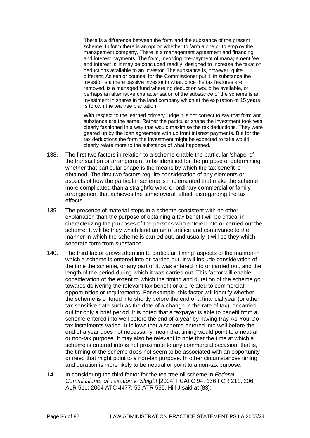There is a difference between the form and the substance of the present scheme. In form there is an option whether to farm alone or to employ the management company. There is a management agreement and financing and interest payments. The form, involving pre-payment of management fee and interest is, it may be concluded readily, designed to increase the taxation deductions available to an investor. The substance is, however, quite different. As senior counsel for the Commissioner put it, in substance the investor is a mere passive investor in what, once the tax features are removed, is a managed fund where no deduction would be available, or perhaps an alternative characterisation of the substance of the scheme is an investment in shares in the land company which at the expiration of 15 years is to own the tea tree plantation.

With respect to the learned primary judge it is not correct to say that form and substance are the same. Rather the particular shape the investment took was clearly fashioned in a way that would maximise the tax deductions. They were geared up by the loan agreement with up front interest payments. But for the tax deductions the form the investment might be expected to take would clearly relate more to the substance of what happened.

- 138. The first two factors in relation to a scheme enable the particular 'shape' of the transaction or arrangement to be identified for the purpose of determining whether that particular shape is the means by which the tax benefit is obtained. The first two factors require consideration of any elements or aspects of how the particular scheme is implemented that make the scheme more complicated than a straightforward or ordinary commercial or family arrangement that achieves the same overall effect, disregarding the tax effects.
- 139. The presence of material steps in a scheme consistent with no other explanation than the purpose of obtaining a tax benefit will be critical in characterizing the purposes of the persons who entered into or carried out the scheme. It will be they which lend an air of artifice and contrivance to the manner in which the scheme is carried out, and usually it will be they which separate form from substance.
- 140. The third factor draws attention to particular 'timing' aspects of the manner in which a scheme is entered into or carried out. It will include consideration of the time the scheme, or any part of it, was entered into or carried out, and the length of the period during which it was carried out. This factor will enable consideration of the extent to which the timing and duration of the scheme go towards delivering the relevant tax benefit or are related to commercial opportunities or requirements. For example, this factor will identify whether the scheme is entered into shortly before the end of a financial year (or other tax sensitive date such as the date of a change in the rate of tax), or carried out for only a brief period. It is noted that a taxpayer is able to benefit from a scheme entered into well before the end of a year by having Pay-As-You-Go tax instalments varied. It follows that a scheme entered into well before the end of a year does not necessarily mean that timing would point to a neutral or non-tax purpose. It may also be relevant to note that the time at which a scheme is entered into is not proximate to any commercial occasion; that is, the timing of the scheme does not seem to be associated with an opportunity or need that might point to a non-tax purpose. In other circumstances timing and duration is more likely to be neutral or point to a non-tax purpose.
- 141. In considering the third factor for the tea tree oil scheme in *Federal Commissioner of Taxation v. Sleight* [2004] FCAFC 94; 136 FCR 211; 206 ALR 511; 2004 ATC 4477; 55 ATR 555, Hill J said at [83]: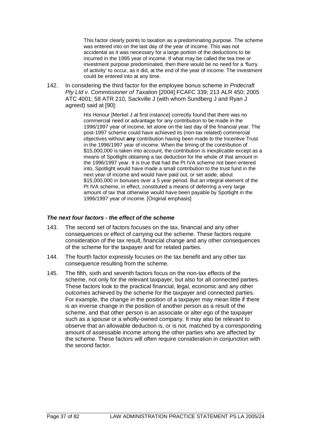This factor clearly points to taxation as a predominating purpose. The scheme was entered into on the last day of the year of income. This was not accidental as it was necessary for a large portion of the deductions to be incurred in the 1995 year of income. If what may be called the tea tree or investment purpose predominated, then there would be no need for a 'flurry of activity' to occur, as it did, at the end of the year of income. The investment could be entered into at any time.

142. In considering the third factor for the employee bonus scheme in *Pridecraft Pty Ltd v. Commissioner of Taxation* [2004] FCAFC 339; 213 ALR 450; 2005 ATC 4001; 58 ATR 210, Sackville J (with whom Sundberg J and Ryan J agreed) said at [90]:

> His Honour [Merkel J at first instance] correctly found that there was no commercial need or advantage for any contribution to be made in the 1996/1997 year of income, let alone on the last day of the financial year. The post-1997 scheme could have achieved its (non-tax related) commercial objectives without **any** contribution having been made to the Incentive Trust in the 1996/1997 year of income. When the timing of the contribution of \$15,000,000 is taken into account, the contribution is inexplicable except as a means of Spotlight obtaining a tax deduction for the whole of that amount in the 1996/1997 year. It is true that had the Pt IVA scheme not been entered into, Spotlight would have made a small contribution to the trust fund in the next year of income and would have paid out, or set aside, about \$15,000,000 in bonuses over a 5 year period. But an integral element of the Pt IVA scheme, in effect, constituted a means of deferring a very large amount of tax that otherwise would have been payable by Spotlight in the 1996/1997 year of income. [Original emphasis]

## *The next four factors - the effect of the scheme*

- 143. The second set of factors focuses on the tax, financial and any other consequences or effect of carrying out the scheme. These factors require consideration of the tax result, financial change and any other consequences of the scheme for the taxpayer and for related parties.
- 144. The fourth factor expressly focuses on the tax benefit and any other tax consequence resulting from the scheme.
- 145. The fifth, sixth and seventh factors focus on the non-tax effects of the scheme, not only for the relevant taxpayer, but also for all connected parties. These factors look to the practical financial, legal, economic and any other outcomes achieved by the scheme for the taxpayer and connected parties. For example, the change in the position of a taxpayer may mean little if there is an inverse change in the position of another person as a result of the scheme, and that other person is an associate or alter ego of the taxpayer such as a spouse or a wholly-owned company. It may also be relevant to observe that an allowable deduction is, or is not, matched by a corresponding amount of assessable income among the other parties who are affected by the scheme. These factors will often require consideration in conjunction with the second factor.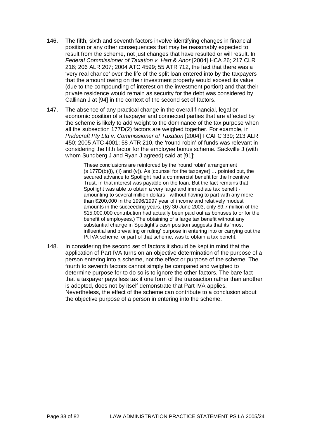- 146. The fifth, sixth and seventh factors involve identifying changes in financial position or any other consequences that may be reasonably expected to result from the scheme, not just changes that have resulted or will result. In *Federal Commissioner of Taxation v. Hart & Anor* [2004] HCA 26; 217 CLR 216; 206 ALR 207; 2004 ATC 4599; 55 ATR 712, the fact that there was a 'very real chance' over the life of the split loan entered into by the taxpayers that the amount owing on their investment property would exceed its value (due to the compounding of interest on the investment portion) and that their private residence would remain as security for the debt was considered by Callinan J at [94] in the context of the second set of factors.
- 147. The absence of any practical change in the overall financial, legal or economic position of a taxpayer and connected parties that are affected by the scheme is likely to add weight to the dominance of the tax purpose when all the subsection 177D(2) factors are weighed together. For example, in *Pridecraft Pty Ltd v. Commissioner of Taxation* [2004] FCAFC 339; 213 ALR 450; 2005 ATC 4001; 58 ATR 210, the 'round robin' of funds was relevant in considering the fifth factor for the employee bonus scheme. Sackville J (with whom Sundberg J and Ryan J agreed) said at [91]:

These conclusions are reinforced by the 'round robin' arrangement (s 177D(b)(i), (ii) and (v)). As [counsel for the taxpayer] … pointed out, the secured advance to Spotlight had a commercial benefit for the Incentive Trust, in that interest was payable on the loan. But the fact remains that Spotlight was able to obtain a very large and immediate tax benefit amounting to several million dollars - without having to part with any more than \$200,000 in the 1996/1997 year of income and relatively modest amounts in the succeeding years. (By 30 June 2003, only \$9.7 million of the \$15,000,000 contribution had actually been paid out as bonuses to or for the benefit of employees.) The obtaining of a large tax benefit without any substantial change in Spotlight's cash position suggests that its 'most influential and prevailing or ruling' purpose in entering into or carrying out the Pt IVA scheme, or part of that scheme, was to obtain a tax benefit.

148. In considering the second set of factors it should be kept in mind that the application of Part IVA turns on an objective determination of the purpose of a person entering into a scheme, not the effect or purpose of the scheme. The fourth to seventh factors cannot simply be compared and weighed to determine purpose for to do so is to ignore the other factors. The bare fact that a taxpayer pays less tax if one form of the transaction rather than another is adopted, does not by itself demonstrate that Part IVA applies. Nevertheless, the effect of the scheme can contribute to a conclusion about the objective purpose of a person in entering into the scheme.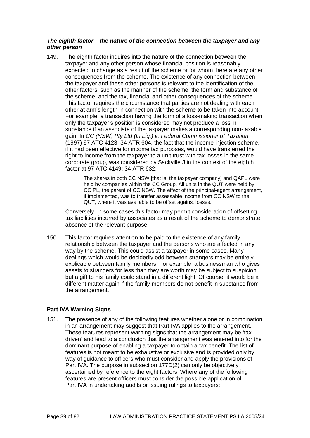## *The eighth factor – the nature of the connection between the taxpayer and any other person*

149. The eighth factor inquires into the nature of the connection between the taxpayer and any other person whose financial position is reasonably expected to change as a result of the scheme or for whom there are any other consequences from the scheme. The existence of any connection between the taxpayer and these other persons is relevant to the identification of the other factors, such as the manner of the scheme, the form and substance of the scheme, and the tax, financial and other consequences of the scheme. This factor requires the circumstance that parties are not dealing with each other at arm's length in connection with the scheme to be taken into account. For example, a transaction having the form of a loss-making transaction when only the taxpayer's position is considered may not produce a loss in substance if an associate of the taxpayer makes a corresponding non-taxable gain. In *CC (NSW) Pty Ltd (In Liq.) v. Federal Commissioner of Taxation* (1997) 97 ATC 4123; 34 ATR 604, the fact that the income injection scheme, if it had been effective for income tax purposes, would have transferred the right to income from the taxpayer to a unit trust with tax losses in the same corporate group, was considered by Sackville J in the context of the eighth factor at 97 ATC 4149; 34 ATR 632:

> The shares in both CC NSW [that is, the taxpayer company] and QAPL were held by companies within the CC Group. All units in the QUT were held by CC PL, the parent of CC NSW. The effect of the principal-agent arrangement, if implemented, was to transfer assessable income from CC NSW to the QUT, where it was available to be offset against losses.

Conversely, in some cases this factor may permit consideration of offsetting tax liabilities incurred by associates as a result of the scheme to demonstrate absence of the relevant purpose.

150. This factor requires attention to be paid to the existence of any family relationship between the taxpayer and the persons who are affected in any way by the scheme. This could assist a taxpayer in some cases. Many dealings which would be decidedly odd between strangers may be entirely explicable between family members. For example, a businessman who gives assets to strangers for less than they are worth may be subject to suspicion but a gift to his family could stand in a different light. Of course, it would be a different matter again if the family members do not benefit in substance from the arrangement.

# **Part IVA Warning Signs**

151. The presence of any of the following features whether alone or in combination in an arrangement may suggest that Part IVA applies to the arrangement. These features represent warning signs that the arrangement may be 'tax driven' and lead to a conclusion that the arrangement was entered into for the dominant purpose of enabling a taxpayer to obtain a tax benefit. The list of features is not meant to be exhaustive or exclusive and is provided only by way of guidance to officers who must consider and apply the provisions of Part IVA. The purpose in subsection 177D(2) can only be objectively ascertained by reference to the eight factors. Where any of the following features are present officers must consider the possible application of Part IVA in undertaking audits or issuing rulings to taxpayers: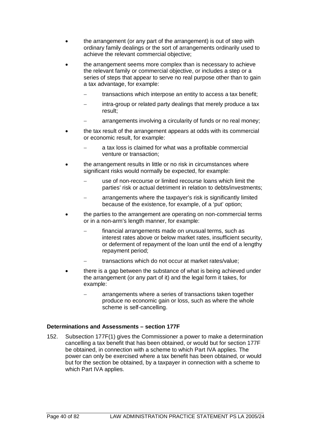- the arrangement (or any part of the arrangement) is out of step with ordinary family dealings or the sort of arrangements ordinarily used to achieve the relevant commercial objective;
- the arrangement seems more complex than is necessary to achieve the relevant family or commercial objective, or includes a step or a series of steps that appear to serve no real purpose other than to gain a tax advantage, for example:
	- transactions which interpose an entity to access a tax benefit;
	- intra-group or related party dealings that merely produce a tax result;
	- arrangements involving a circularity of funds or no real money;
- the tax result of the arrangement appears at odds with its commercial or economic result, for example:
	- a tax loss is claimed for what was a profitable commercial venture or transaction;
- the arrangement results in little or no risk in circumstances where significant risks would normally be expected, for example:
	- use of non-recourse or limited recourse loans which limit the parties' risk or actual detriment in relation to debts/investments;
	- arrangements where the taxpayer's risk is significantly limited because of the existence, for example, of a 'put' option;
- the parties to the arrangement are operating on non-commercial terms or in a non-arm's length manner, for example:
	- financial arrangements made on unusual terms, such as interest rates above or below market rates, insufficient security, or deferment of repayment of the loan until the end of a lengthy repayment period;
	- transactions which do not occur at market rates/value;
- there is a gap between the substance of what is being achieved under the arrangement (or any part of it) and the legal form it takes, for example:
	- arrangements where a series of transactions taken together produce no economic gain or loss, such as where the whole scheme is self-cancelling.

# **Determinations and Assessments – section 177F**

152. Subsection 177F(1) gives the Commissioner a power to make a determination cancelling a tax benefit that has been obtained, or would but for section 177F be obtained, in connection with a scheme to which Part IVA applies. The power can only be exercised where a tax benefit has been obtained, or would but for the section be obtained, by a taxpayer in connection with a scheme to which Part IVA applies.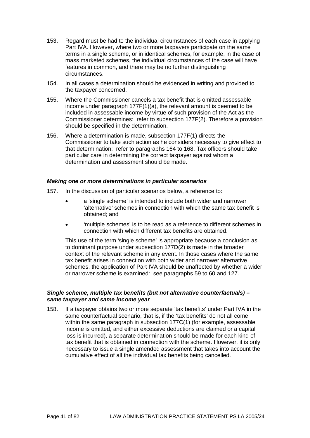- 153. Regard must be had to the individual circumstances of each case in applying Part IVA. However, where two or more taxpayers participate on the same terms in a single scheme, or in identical schemes, for example, in the case of mass marketed schemes, the individual circumstances of the case will have features in common, and there may be no further distinguishing circumstances.
- 154. In all cases a determination should be evidenced in writing and provided to the taxpayer concerned.
- 155. Where the Commissioner cancels a tax benefit that is omitted assessable income under paragraph 177F(1)(a), the relevant amount is deemed to be included in assessable income by virtue of such provision of the Act as the Commissioner determines: refer to subsection 177F(2). Therefore a provision should be specified in the determination.
- 156. Where a determination is made, subsection 177F(1) directs the Commissioner to take such action as he considers necessary to give effect to that determination: refer to paragraphs 164 to 168. Tax officers should take particular care in determining the correct taxpayer against whom a determination and assessment should be made.

#### *Making one or more determinations in particular scenarios*

- 157. In the discussion of particular scenarios below, a reference to:
	- a 'single scheme' is intended to include both wider and narrower 'alternative' schemes in connection with which the same tax benefit is obtained; and
	- 'multiple schemes' is to be read as a reference to different schemes in connection with which different tax benefits are obtained.

This use of the term 'single scheme' is appropriate because a conclusion as to dominant purpose under subsection 177D(2) is made in the broader context of the relevant scheme in any event. In those cases where the same tax benefit arises in connection with both wider and narrower alternative schemes, the application of Part IVA should be unaffected by whether a wider or narrower scheme is examined: see paragraphs 59 to 60 and 127.

#### *Single scheme, multiple tax benefits (but not alternative counterfactuals) – same taxpayer and same income year*

158. If a taxpayer obtains two or more separate 'tax benefits' under Part IVA in the same counterfactual scenario, that is, if the 'tax benefits' do not all come within the same paragraph in subsection 177C(1) (for example, assessable income is omitted, and either excessive deductions are claimed or a capital loss is incurred), a separate determination should be made for each kind of tax benefit that is obtained in connection with the scheme. However, it is only necessary to issue a single amended assessment that takes into account the cumulative effect of all the individual tax benefits being cancelled.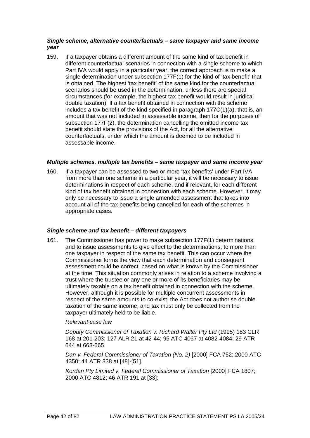## *Single scheme, alternative counterfactuals – same taxpayer and same income year*

159. If a taxpayer obtains a different amount of the same kind of tax benefit in different counterfactual scenarios in connection with a single scheme to which Part IVA would apply in a particular year, the correct approach is to make a single determination under subsection 177F(1) for the kind of 'tax benefit' that is obtained. The highest 'tax benefit' of the same kind for the counterfactual scenarios should be used in the determination, unless there are special circumstances (for example, the highest tax benefit would result in juridical double taxation). If a tax benefit obtained in connection with the scheme includes a tax benefit of the kind specified in paragraph 177C(1)(a), that is, an amount that was not included in assessable income, then for the purposes of subsection 177F(2), the determination cancelling the omitted income tax benefit should state the provisions of the Act, for all the alternative counterfactuals, under which the amount is deemed to be included in assessable income.

## *Multiple schemes, multiple tax benefits – same taxpayer and same income year*

160. If a taxpayer can be assessed to two or more 'tax benefits' under Part IVA from more than one scheme in a particular year, it will be necessary to issue determinations in respect of each scheme, and if relevant, for each different kind of tax benefit obtained in connection with each scheme. However, it may only be necessary to issue a single amended assessment that takes into account all of the tax benefits being cancelled for each of the schemes in appropriate cases.

## *Single scheme and tax benefit – different taxpayers*

161. The Commissioner has power to make subsection 177F(1) determinations, and to issue assessments to give effect to the determinations, to more than one taxpayer in respect of the same tax benefit. This can occur where the Commissioner forms the view that each determination and consequent assessment could be correct, based on what is known by the Commissioner at the time. This situation commonly arises in relation to a scheme involving a trust where the trustee or any one or more of its beneficiaries may be ultimately taxable on a tax benefit obtained in connection with the scheme. However, although it is possible for multiple concurrent assessments in respect of the same amounts to co-exist, the Act does not authorise double taxation of the same income, and tax must only be collected from the taxpayer ultimately held to be liable.

# *Relevant case law*

*Deputy Commissioner of Taxation v. Richard Walter Pty Ltd* (1995) 183 CLR 168 at 201-203; 127 ALR 21 at 42-44; 95 ATC 4067 at 4082-4084; 29 ATR 644 at 663-665.

*Dan v. Federal Commissioner of Taxation (No. 2)* [2000] FCA 752; 2000 ATC 4350; 44 ATR 338 at [48]-[51].

*Kordan Pty Limited v. Federal Commissioner of Taxation* [2000] FCA 1807; 2000 ATC 4812; 46 ATR 191 at [33]: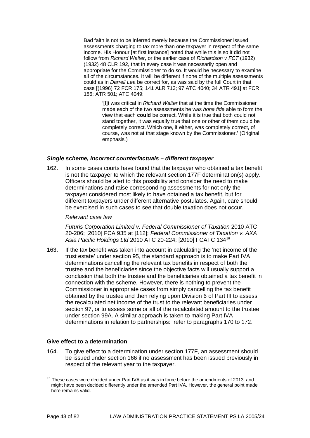Bad faith is not to be inferred merely because the Commissioner issued assessments charging to tax more than one taxpayer in respect of the same income. His Honour [at first instance] noted that while this is so it did not follow from *Richard Walter*, or the earlier case of *Richardson v FCT* (1932) (1932) 48 CLR 192, that in every case it was necessarily open and appropriate for the Commissioner to do so. It would be necessary to examine all of the circumstances. It will be different if none of the multiple assessments could as in *Darrell Lea* be correct for, as was said by the full Court in that case [(1996) 72 FCR 175; 141 ALR 713; 97 ATC 4040; 34 ATR 491] at FCR 186; ATR 501; ATC 4049:

> '[I]t was critical in *Richard Walter* that at the time the Commissioner made each of the two assessments he was *bona fide* able to form the view that each **could** be correct. While it is true that both could not stand together, it was equally true that one or other of them could be completely correct. Which one, if either, was completely correct, of course, was not at that stage known by the Commissioner.' (Original emphasis.)

## *Single scheme, incorrect counterfactuals – different taxpayer*

162. In some cases courts have found that the taxpayer who obtained a tax benefit is not the taxpayer to which the relevant section 177F determination(s) apply. Officers should be alert to this possibility and consider the need to make determinations and raise corresponding assessments for not only the taxpayer considered most likely to have obtained a tax benefit, but for different taxpayers under different alternative postulates. Again, care should be exercised in such cases to see that double taxation does not occur.

## *Relevant case law*

*Futuris Corporation Limited v. Federal Commissioner of Taxation* 2010 ATC 20-206; [2010] FCA 935 at [112]; *Federal Commissioner of Taxation v. AXA Asia Pacific Holdings Ltd* 2010 ATC 20-224; [2010] FCAFC 134[16](#page-43-0)

163. If the tax benefit was taken into account in calculating the 'net income of the trust estate' under section 95, the standard approach is to make Part IVA determinations cancelling the relevant tax benefits in respect of both the trustee and the beneficiaries since the objective facts will usually support a conclusion that both the trustee and the beneficiaries obtained a tax benefit in connection with the scheme. However, there is nothing to prevent the Commissioner in appropriate cases from simply cancelling the tax benefit obtained by the trustee and then relying upon Division 6 of Part III to assess the recalculated net income of the trust to the relevant beneficiaries under section 97, or to assess some or all of the recalculated amount to the trustee under section 99A. A similar approach is taken to making Part IVA determinations in relation to partnerships: refer to paragraphs 170 to 172.

# **Give effect to a determination**

164. To give effect to a determination under section 177F, an assessment should be issued under section 166 if no assessment has been issued previously in respect of the relevant year to the taxpayer.

<span id="page-43-0"></span><sup>&</sup>lt;sup>16</sup> These cases were decided under Part IVA as it was in force before the amendments of 2013, and might have been decided differently under the amended Part IVA. However, the general point made here remains valid.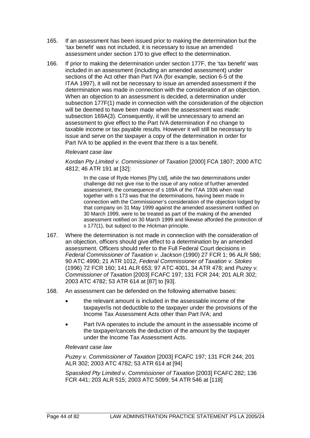- 165. If an assessment has been issued prior to making the determination but the 'tax benefit' was not included, it is necessary to issue an amended assessment under section 170 to give effect to the determination.
- 166. If prior to making the determination under section 177F, the 'tax benefit' was included in an assessment (including an amended assessment) under sections of the Act other than Part IVA (for example, section 6-5 of the ITAA 1997), it will not be necessary to issue an amended assessment if the determination was made in connection with the consideration of an objection. When an objection to an assessment is decided, a determination under subsection 177F(1) made in connection with the consideration of the objection will be deemed to have been made when the assessment was made: subsection 169A(3). Consequently, it will be unnecessary to amend an assessment to give effect to the Part IVA determination if no change to taxable income or tax payable results. However it will still be necessary to issue and serve on the taxpayer a copy of the determination in order for Part IVA to be applied in the event that there is a tax benefit.

## *Relevant case law*

*Kordan Pty Limited v. Commissioner of Taxation* [2000] FCA 1807; 2000 ATC 4812; 46 ATR 191 at [32]:

In the case of Ryde Homes [Pty Ltd], while the two determinations under challenge did not give rise to the issue of any notice of further amended assessment, the consequence of s 169A of the ITAA 1936 when read together with s 173 was that the determinations, having been made in connection with the Commissioner's consideration of the objection lodged by that company on 31 May 1999 against the amended assessment notified on 30 March 1999, were to be treated as part of the making of the amended assessment notified on 30 March 1999 and likewise afforded the protection of s 177(1), but subject to the *Hickman* principle.

- 167. Where the determination is not made in connection with the consideration of an objection, officers should give effect to a determination by an amended assessment. Officers should refer to the Full Federal Court decisions in *Federal Commissioner of Taxation v. Jackson* (1990) 27 FCR 1; 96 ALR 586; 90 ATC 4990; 21 ATR 1012, *Federal Commissioner of Taxation v. Stokes* (1996) 72 FCR 160; 141 ALR 653; 97 ATC 4001, 34 ATR 478; and *Puzey v. Commissioner of Taxation* [2003] FCAFC 197; 131 FCR 244; 201 ALR 302; 2003 ATC 4782; 53 ATR 614 at [87] to [93].
- 168. An assessment can be defended on the following alternative bases:
	- the relevant amount is included in the assessable income of the taxpayer/is not deductible to the taxpayer under the provisions of the Income Tax Assessment Acts other than Part IVA; and
	- Part IVA operates to include the amount in the assessable income of the taxpayer/cancels the deduction of the amount by the taxpayer under the Income Tax Assessment Acts.

## *Relevant case law*

*Puzey v. Commissioner of Taxation* [2003] FCAFC 197; 131 FCR 244; 201 ALR 302; 2003 ATC 4782; 53 ATR 614 at [94]

*Spassked Pty Limited v. Commissioner of Taxation* [2003] FCAFC 282; 136 FCR 441; 203 ALR 515; 2003 ATC 5099; 54 ATR 546 at [118]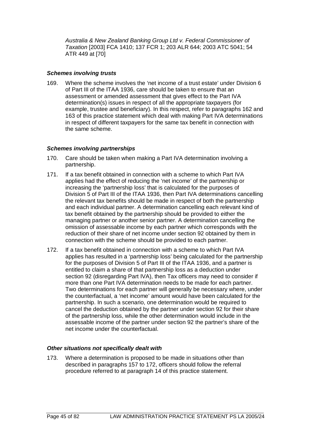*Australia & New Zealand Banking Group Ltd v. Federal Commissioner of Taxation* [2003] FCA 1410; 137 FCR 1; 203 ALR 644; 2003 ATC 5041; 54 ATR 449 at [70]

## *Schemes involving trusts*

169. Where the scheme involves the 'net income of a trust estate' under Division 6 of Part III of the ITAA 1936, care should be taken to ensure that an assessment or amended assessment that gives effect to the Part IVA determination(s) issues in respect of all the appropriate taxpayers (for example, trustee and beneficiary). In this respect, refer to paragraphs 162 and 163 of this practice statement which deal with making Part IVA determinations in respect of different taxpayers for the same tax benefit in connection with the same scheme.

## *Schemes involving partnerships*

- 170. Care should be taken when making a Part IVA determination involving a partnership.
- 171. If a tax benefit obtained in connection with a scheme to which Part IVA applies had the effect of reducing the 'net income' of the partnership or increasing the 'partnership loss' that is calculated for the purposes of Division 5 of Part III of the ITAA 1936, then Part IVA determinations cancelling the relevant tax benefits should be made in respect of both the partnership and each individual partner. A determination cancelling each relevant kind of tax benefit obtained by the partnership should be provided to either the managing partner or another senior partner. A determination cancelling the omission of assessable income by each partner which corresponds with the reduction of their share of net income under section 92 obtained by them in connection with the scheme should be provided to each partner.
- 172. If a tax benefit obtained in connection with a scheme to which Part IVA applies has resulted in a 'partnership loss' being calculated for the partnership for the purposes of Division 5 of Part III of the ITAA 1936, and a partner is entitled to claim a share of that partnership loss as a deduction under section 92 (disregarding Part IVA), then Tax officers may need to consider if more than one Part IVA determination needs to be made for each partner. Two determinations for each partner will generally be necessary where, under the counterfactual, a 'net income' amount would have been calculated for the partnership. In such a scenario, one determination would be required to cancel the deduction obtained by the partner under section 92 for their share of the partnership loss, while the other determination would include in the assessable income of the partner under section 92 the partner's share of the net income under the counterfactual.

# *Other situations not specifically dealt with*

173. Where a determination is proposed to be made in situations other than described in paragraphs 157 to 172, officers should follow the referral procedure referred to at paragraph 14 of this practice statement.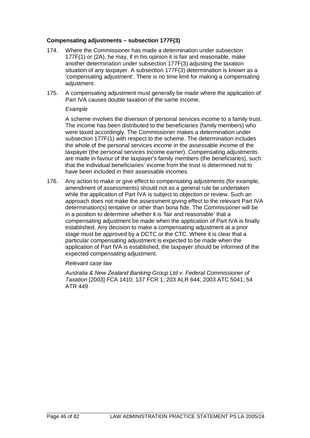## **Compensating adjustments – subsection 177F(3)**

- 174. Where the Commissioner has made a determination under subsection 177F(1) or (2A), he may, if in his opinion it is fair and reasonable, make another determination under subsection 177F(3) adjusting the taxation situation of any taxpayer. A subsection 177F(3) determination is known as a 'compensating adjustment'. There is no time limit for making a compensating adjustment.
- 175. A compensating adjustment must generally be made where the application of Part IVA causes double taxation of the same income.

## *Example*

A scheme involves the diversion of personal services income to a family trust. The income has been distributed to the beneficiaries (family members) who were taxed accordingly. The Commissioner makes a determination under subsection 177F(1) with respect to the scheme. The determination includes the whole of the personal services income in the assessable income of the taxpayer (the personal services income earner). Compensating adjustments are made in favour of the taxpayer's family members (the beneficiaries), such that the individual beneficiaries' income from the trust is determined not to have been included in their assessable incomes.

176. Any action to make or give effect to compensating adjustments (for example, amendment of assessments) should not as a general rule be undertaken while the application of Part IVA is subject to objection or review. Such an approach does not make the assessment giving effect to the relevant Part IVA determination(s) tentative or other than bona fide. The Commissioner will be in a position to determine whether it is 'fair and reasonable' that a compensating adjustment be made when the application of Part IVA is finally established. Any decision to make a compensating adjustment at a prior stage must be approved by a DCTC or the CTC. Where it is clear that a particular compensating adjustment is expected to be made when the application of Part IVA is established, the taxpayer should be informed of the expected compensating adjustment.

*Relevant case law*

*Australia & New Zealand Banking Group Ltd v. Federal Commissioner of Taxation* [2003] FCA 1410; 137 FCR 1; 203 ALR 644; 2003 ATC 5041; 54 ATR 449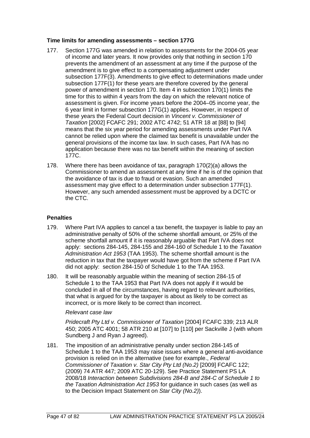## **Time limits for amending assessments – section 177G**

- 177. Section 177G was amended in relation to assessments for the 2004-05 year of income and later years. It now provides only that nothing in section 170 prevents the amendment of an assessment at any time if the purpose of the amendment is to give effect to a compensating adjustment under subsection 177F(3). Amendments to give effect to determinations made under subsection 177F(1) for these years are therefore covered by the general power of amendment in section 170. Item 4 in subsection 170(1) limits the time for this to within 4 years from the day on which the relevant notice of assessment is given. For income years before the 2004–05 income year, the 6 year limit in former subsection 177G(1) applies. However, in respect of these years the Federal Court decision in *Vincent v. Commissioner of Taxation* [2002] FCAFC 291; 2002 ATC 4742; 51 ATR 18 at [88] to [94] means that the six year period for amending assessments under Part IVA cannot be relied upon where the claimed tax benefit is unavailable under the general provisions of the income tax law. In such cases, Part IVA has no application because there was no tax benefit within the meaning of section 177C.
- 178. Where there has been avoidance of tax, paragraph 170(2)(a) allows the Commissioner to amend an assessment at any time if he is of the opinion that the avoidance of tax is due to fraud or evasion. Such an amended assessment may give effect to a determination under subsection 177F(1). However, any such amended assessment must be approved by a DCTC or the CTC.

# **Penalties**

- 179. Where Part IVA applies to cancel a tax benefit, the taxpayer is liable to pay an administrative penalty of 50% of the scheme shortfall amount, or 25% of the scheme shortfall amount if it is reasonably arguable that Part IVA does not apply: sections 284-145, 284-155 and 284-160 of Schedule 1 to the *Taxation Administration Act 1953* (TAA 1953). The scheme shortfall amount is the reduction in tax that the taxpayer would have got from the scheme if Part IVA did not apply: section 284-150 of Schedule 1 to the TAA 1953.
- 180. It will be reasonably arguable within the meaning of section 284-15 of Schedule 1 to the TAA 1953 that Part IVA does not apply if it would be concluded in all of the circumstances, having regard to relevant authorities, that what is argued for by the taxpayer is about as likely to be correct as incorrect, or is more likely to be correct than incorrect.

## *Relevant case law*

*Pridecraft Pty Ltd v. Commissioner of Taxation* [2004] FCAFC 339; 213 ALR 450; 2005 ATC 4001; 58 ATR 210 at [107] to [110] per Sackville J (with whom Sundberg J and Ryan J agreed).

181. The imposition of an administrative penalty under section 284-145 of Schedule 1 to the TAA 1953 may raise issues where a general anti-avoidance provision is relied on in the alternative (see for example., *Federal Commissioner of Taxation v. Star City Pty Ltd (No.2)* [2009] FCAFC 122; (2009) 74 ATR 447; 2009 ATC 20-129). See Practice Statement PS LA 2008/18 *Interaction between Subdivisions 284-B and 284-C of Schedule 1 to the Taxation Administration Act 1953* for guidance in such cases (as well as to the Decision Impact Statement on *Star City (No.2)*).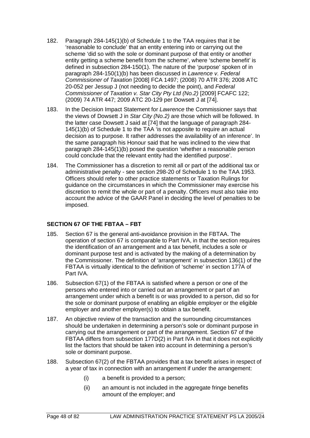- 182. Paragraph 284-145(1)(b) of Schedule 1 to the TAA requires that it be 'reasonable to conclude' that an entity entering into or carrying out the scheme 'did so with the sole or dominant purpose of that entity or another entity getting a scheme benefit from the scheme', where 'scheme benefit' is defined in subsection 284-150(1). The nature of the 'purpose' spoken of in paragraph 284-150(1)(b) has been discussed in *Lawrence v. Federal Commissioner of Taxation* [2008] FCA 1497; (2008) 70 ATR 376; 2008 ATC 20-052 per Jessup J (not needing to decide the point), and *Federal Commissioner of Taxation v. Star City Pty Ltd (No.2)* [2009] FCAFC 122; (2009) 74 ATR 447; 2009 ATC 20-129 per Dowsett J at [74].
- 183. In the Decision Impact Statement for *Lawrence* the Commissioner says that the views of Dowsett J in *Star City (No.2)* are those which will be followed. In the latter case Dowsett J said at [74] that the language of paragraph 284- 145(1)(b) of Schedule 1 to the TAA 'is not apposite to require an actual decision as to purpose. It rather addresses the availability of an inference'. In the same paragraph his Honour said that he was inclined to the view that paragraph 284-145(1)(b) posed the question 'whether a reasonable person could conclude that the relevant entity had the identified purpose'.
- 184. The Commissioner has a discretion to remit all or part of the additional tax or administrative penalty - see section 298-20 of Schedule 1 to the TAA 1953. Officers should refer to other practice statements or Taxation Rulings for guidance on the circumstances in which the Commissioner may exercise his discretion to remit the whole or part of a penalty. Officers must also take into account the advice of the GAAR Panel in deciding the level of penalties to be imposed.

# **SECTION 67 OF THE FBTAA – FBT**

- 185. Section 67 is the general anti-avoidance provision in the FBTAA. The operation of section 67 is comparable to Part IVA, in that the section requires the identification of an arrangement and a tax benefit, includes a sole or dominant purpose test and is activated by the making of a determination by the Commissioner. The definition of 'arrangement' in subsection 136(1) of the FBTAA is virtually identical to the definition of 'scheme' in section 177A of Part IVA.
- 186. Subsection 67(1) of the FBTAA is satisfied where a person or one of the persons who entered into or carried out an arrangement or part of an arrangement under which a benefit is or was provided to a person, did so for the sole or dominant purpose of enabling an eligible employer or the eligible employer and another employer(s) to obtain a tax benefit.
- 187. An objective review of the transaction and the surrounding circumstances should be undertaken in determining a person's sole or dominant purpose in carrying out the arrangement or part of the arrangement. Section 67 of the FBTAA differs from subsection 177D(2) in Part IVA in that it does not explicitly list the factors that should be taken into account in determining a person's sole or dominant purpose.
- 188. Subsection 67(2) of the FBTAA provides that a tax benefit arises in respect of a year of tax in connection with an arrangement if under the arrangement:
	- (i) a benefit is provided to a person;
	- (ii) an amount is not included in the aggregate fringe benefits amount of the employer; and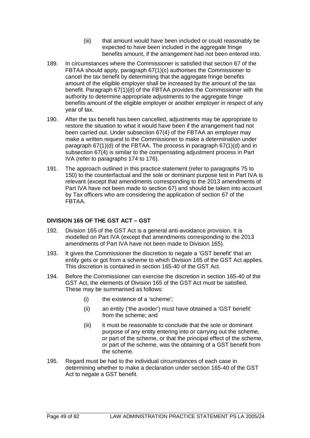- (iii) that amount would have been included or could reasonably be expected to have been included in the aggregate fringe benefits amount, if the arrangement had not been entered into.
- 189. In circumstances where the Commissioner is satisfied that section 67 of the FBTAA should apply, paragraph 67(1)(c) authorises the Commissioner to cancel the tax benefit by determining that the aggregate fringe benefits amount of the eligible employer shall be increased by the amount of the tax benefit. Paragraph 67(1)(d) of the FBTAA provides the Commissioner with the authority to determine appropriate adjustments to the aggregate fringe benefits amount of the eligible employer or another employer in respect of any year of tax.
- 190. After the tax benefit has been cancelled, adjustments may be appropriate to restore the situation to what it would have been if the arrangement had not been carried out. Under subsection 67(4) of the FBTAA an employer may make a written request to the Commissioner to make a determination under paragraph 67(1)(d) of the FBTAA. The process in paragraph 67(1)(d) and in subsection 67(4) is similar to the compensating adjustment process in Part IVA (refer to paragraphs 174 to 176).
- 191. The approach outlined in this practice statement (refer to paragraphs 75 to 150) to the counterfactual and the sole or dominant purpose test in Part IVA is relevant (except that amendments corresponding to the 2013 amendments of Part IVA have not been made to section 67) and should be taken into account by Tax officers who are considering the application of section 67 of the FBTAA.

# **DIVISION 165 OF THE GST ACT – GST**

- 192. Division 165 of the GST Act is a general anti-avoidance provision. It is modelled on Part IVA (except that amendments corresponding to the 2013 amendments of Part IVA have not been made to Division 165).
- 193. It gives the Commissioner the discretion to negate a 'GST benefit' that an entity gets or got from a scheme to which Division 165 of the GST Act applies. This discretion is contained in section 165-40 of the GST Act.
- 194. Before the Commissioner can exercise the discretion in section 165-40 of the GST Act, the elements of Division 165 of the GST Act must be satisfied. These may be summarised as follows:
	- (i) the existence of a 'scheme';
	- (ii) an entity ('the avoider') must have obtained a 'GST benefit' from the scheme; and
	- (iii) it must be reasonable to conclude that the sole or dominant purpose of any entity entering into or carrying out the scheme, or part of the scheme, or that the principal effect of the scheme, or part of the scheme, was the obtaining of a GST benefit from the scheme.
- 195. Regard must be had to the individual circumstances of each case in determining whether to make a declaration under section 165-40 of the GST Act to negate a GST benefit.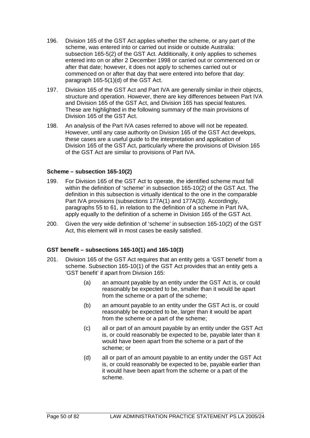- 196. Division 165 of the GST Act applies whether the scheme, or any part of the scheme, was entered into or carried out inside or outside Australia: subsection 165-5(2) of the GST Act. Additionally, it only applies to schemes entered into on or after 2 December 1998 or carried out or commenced on or after that date; however, it does not apply to schemes carried out or commenced on or after that day that were entered into before that day: paragraph 165-5(1)(d) of the GST Act.
- 197. Division 165 of the GST Act and Part IVA are generally similar in their objects, structure and operation. However, there are key differences between Part IVA and Division 165 of the GST Act, and Division 165 has special features. These are highlighted in the following summary of the main provisions of Division 165 of the GST Act.
- 198. An analysis of the Part IVA cases referred to above will not be repeated. However, until any case authority on Division 165 of the GST Act develops, these cases are a useful guide to the interpretation and application of Division 165 of the GST Act, particularly where the provisions of Division 165 of the GST Act are similar to provisions of Part IVA.

## **Scheme – subsection 165-10(2)**

- 199. For Division 165 of the GST Act to operate, the identified scheme must fall within the definition of 'scheme' in subsection 165-10(2) of the GST Act. The definition in this subsection is virtually identical to the one in the comparable Part IVA provisions (subsections 177A(1) and 177A(3)). Accordingly, paragraphs 55 to 61, in relation to the definition of a scheme in Part IVA, apply equally to the definition of a scheme in Division 165 of the GST Act.
- 200. Given the very wide definition of 'scheme' in subsection 165-10(2) of the GST Act, this element will in most cases be easily satisfied.

# **GST benefit – subsections 165-10(1) and 165-10(3)**

- 201. Division 165 of the GST Act requires that an entity gets a 'GST benefit' from a scheme. Subsection 165-10(1) of the GST Act provides that an entity gets a 'GST benefit' if apart from Division 165:
	- (a) an amount payable by an entity under the GST Act is, or could reasonably be expected to be, smaller than it would be apart from the scheme or a part of the scheme;
	- (b) an amount payable to an entity under the GST Act is, or could reasonably be expected to be, larger than it would be apart from the scheme or a part of the scheme;
	- (c) all or part of an amount payable by an entity under the GST Act is, or could reasonably be expected to be, payable later than it would have been apart from the scheme or a part of the scheme; or
	- (d) all or part of an amount payable to an entity under the GST Act is, or could reasonably be expected to be, payable earlier than it would have been apart from the scheme or a part of the scheme.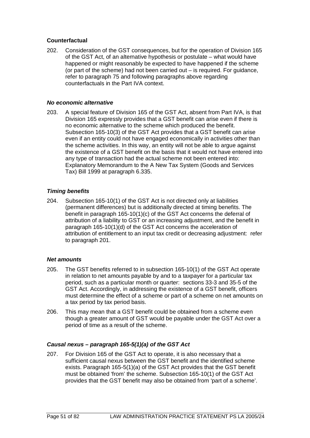## **Counterfactual**

202. Consideration of the GST consequences, but for the operation of Division 165 of the GST Act, of an alternative hypothesis or postulate – what would have happened or might reasonably be expected to have happened if the scheme (or part of the scheme) had not been carried out – is required. For guidance, refer to paragraph 75 and following paragraphs above regarding counterfactuals in the Part IVA context.

## *No economic alternative*

203. A special feature of Division 165 of the GST Act, absent from Part IVA, is that Division 165 expressly provides that a GST benefit can arise even if there is no economic alternative to the scheme which produced the benefit. Subsection 165-10(3) of the GST Act provides that a GST benefit can arise even if an entity could not have engaged economically in activities other than the scheme activities. In this way, an entity will not be able to argue against the existence of a GST benefit on the basis that it would not have entered into any type of transaction had the actual scheme not been entered into: Explanatory Memorandum to the A New Tax System (Goods and Services Tax) Bill 1999 at paragraph 6.335.

## *Timing benefits*

204. Subsection 165-10(1) of the GST Act is not directed only at liabilities (permanent differences) but is additionally directed at timing benefits. The benefit in paragraph 165-10(1)(c) of the GST Act concerns the deferral of attribution of a liability to GST or an increasing adjustment, and the benefit in paragraph 165-10(1)(d) of the GST Act concerns the acceleration of attribution of entitlement to an input tax credit or decreasing adjustment: refer to paragraph 201.

## *Net amounts*

- 205. The GST benefits referred to in subsection 165-10(1) of the GST Act operate in relation to net amounts payable by and to a taxpayer for a particular tax period, such as a particular month or quarter: sections 33-3 and 35-5 of the GST Act. Accordingly, in addressing the existence of a GST benefit, officers must determine the effect of a scheme or part of a scheme on net amounts on a tax period by tax period basis.
- 206. This may mean that a GST benefit could be obtained from a scheme even though a greater amount of GST would be payable under the GST Act over a period of time as a result of the scheme.

## *Causal nexus – paragraph 165-5(1)(a) of the GST Act*

207. For Division 165 of the GST Act to operate, it is also necessary that a sufficient causal nexus between the GST benefit and the identified scheme exists. Paragraph 165-5(1)(a) of the GST Act provides that the GST benefit must be obtained 'from' the scheme. Subsection 165-10(1) of the GST Act provides that the GST benefit may also be obtained from 'part of a scheme'.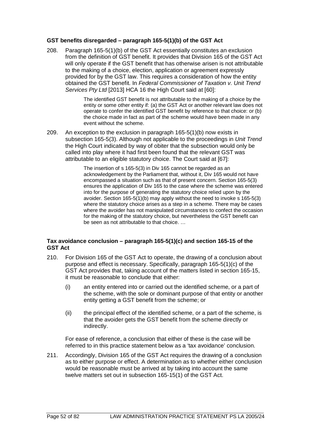## **GST benefits disregarded – paragraph 165-5(1)(b) of the GST Act**

208. Paragraph 165-5(1)(b) of the GST Act essentially constitutes an exclusion from the definition of GST benefit. It provides that Division 165 of the GST Act will only operate if the GST benefit that has otherwise arisen is not attributable to the making of a choice, election, application or agreement expressly provided for by the GST law. This requires a consideration of how the entity obtained the GST benefit. In *Federal Commissioner of Taxation v. Unit Trend Services Pty Ltd* [2013] HCA 16 the High Court said at [60]:

> The identified GST benefit is not attributable to the making of a choice by the entity or some other entity if: (a) the GST Act or another relevant law does not operate to confer the identified GST benefit by reference to that choice: or (b) the choice made in fact as part of the scheme would have been made in any event without the scheme.

209. An exception to the exclusion in paragraph 165-5(1)(b) now exists in subsection 165-5(3). Although not applicable to the proceedings in *Unit Trend* the High Court indicated by way of obiter that the subsection would only be called into play where it had first been found that the relevant GST was attributable to an eligible statutory choice. The Court said at [67]:

> The insertion of s 165-5(3) in Div 165 cannot be regarded as an acknowledgement by the Parliament that, without it, Div 165 would not have encompassed a situation such as that of present concern. Section 165-5(3) ensures the application of Div 165 to the case where the scheme was entered into for the purpose of generating the statutory choice relied upon by the avoider. Section 165-5(1)(b) may apply without the need to invoke s 165-5(3) where the statutory choice arises as a step in a scheme. There may be cases where the avoider has not manipulated circumstances to confect the occasion for the making of the statutory choice, but nevertheless the GST benefit can be seen as not attributable to that choice. …

## **Tax avoidance conclusion – paragraph 165-5(1)(c) and section 165-15 of the GST Act**

- 210. For Division 165 of the GST Act to operate, the drawing of a conclusion about purpose and effect is necessary. Specifically, paragraph 165-5(1)(c) of the GST Act provides that, taking account of the matters listed in section 165-15, it must be reasonable to conclude that either:
	- (i) an entity entered into or carried out the identified scheme, or a part of the scheme, with the sole or dominant purpose of that entity or another entity getting a GST benefit from the scheme; or
	- (ii) the principal effect of the identified scheme, or a part of the scheme, is that the avoider gets the GST benefit from the scheme directly or indirectly.

For ease of reference, a conclusion that either of these is the case will be referred to in this practice statement below as a 'tax avoidance' conclusion.

211. Accordingly, Division 165 of the GST Act requires the drawing of a conclusion as to either purpose or effect. A determination as to whether either conclusion would be reasonable must be arrived at by taking into account the same twelve matters set out in subsection 165-15(1) of the GST Act.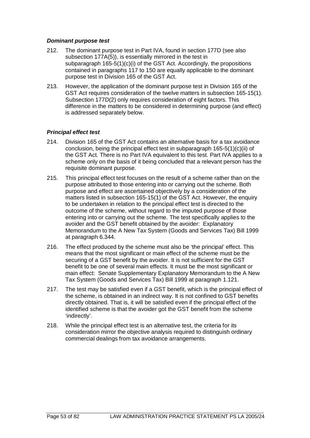## *Dominant purpose test*

- 212. The dominant purpose test in Part IVA, found in section 177D (see also subsection 177A(5)), is essentially mirrored in the test in subparagraph 165-5(1)(c)(i) of the GST Act. Accordingly, the propositions contained in paragraphs 117 to 150 are equally applicable to the dominant purpose test in Division 165 of the GST Act.
- 213. However, the application of the dominant purpose test in Division 165 of the GST Act requires consideration of the twelve matters in subsection 165-15(1). Subsection 177D(2) only requires consideration of eight factors. This difference in the matters to be considered in determining purpose (and effect) is addressed separately below.

#### *Principal effect test*

- 214. Division 165 of the GST Act contains an alternative basis for a tax avoidance conclusion, being the principal effect test in subparagraph 165-5(1)(c)(ii) of the GST Act. There is no Part IVA equivalent to this test. Part IVA applies to a scheme only on the basis of it being concluded that a relevant person has the requisite dominant purpose.
- 215. This principal effect test focuses on the result of a scheme rather than on the purpose attributed to those entering into or carrying out the scheme. Both purpose and effect are ascertained objectively by a consideration of the matters listed in subsection 165-15(1) of the GST Act. However, the enquiry to be undertaken in relation to the principal effect test is directed to the outcome of the scheme, without regard to the imputed purpose of those entering into or carrying out the scheme. The test specifically applies to the avoider and the GST benefit obtained by the avoider: Explanatory Memorandum to the A New Tax System (Goods and Services Tax) Bill 1999 at paragraph 6.344.
- 216. The effect produced by the scheme must also be 'the principal' effect. This means that the most significant or main effect of the scheme must be the securing of a GST benefit by the avoider. It is not sufficient for the GST benefit to be one of several main effects. It must be the most significant or main effect: Senate Supplementary Explanatory Memorandum to the A New Tax System (Goods and Services Tax) Bill 1999 at paragraph 1.121.
- 217. The test may be satisfied even if a GST benefit, which is the principal effect of the scheme, is obtained in an indirect way. It is not confined to GST benefits directly obtained. That is, it will be satisfied even if the principal effect of the identified scheme is that the avoider got the GST benefit from the scheme 'indirectly'.
- 218. While the principal effect test is an alternative test, the criteria for its consideration mirror the objective analysis required to distinguish ordinary commercial dealings from tax avoidance arrangements.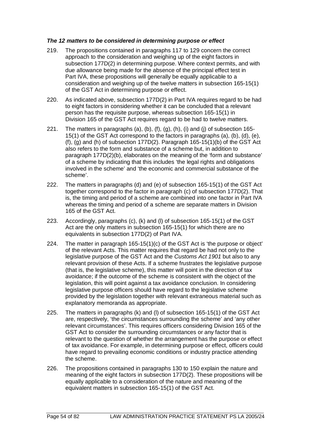## *The 12 matters to be considered in determining purpose or effect*

- 219. The propositions contained in paragraphs 117 to 129 concern the correct approach to the consideration and weighing up of the eight factors in subsection 177D(2) in determining purpose. Where context permits, and with due allowance being made for the absence of the principal effect test in Part IVA, these propositions will generally be equally applicable to a consideration and weighing up of the twelve matters in subsection 165-15(1) of the GST Act in determining purpose or effect.
- 220. As indicated above, subsection 177D(2) in Part IVA requires regard to be had to eight factors in considering whether it can be concluded that a relevant person has the requisite purpose, whereas subsection 165-15(1) in Division 165 of the GST Act requires regard to be had to twelve matters.
- 221. The matters in paragraphs (a), (b), (f), (g), (h), (i) and (j) of subsection 165- 15(1) of the GST Act correspond to the factors in paragraphs (a), (b), (d), (e), (f), (g) and (h) of subsection  $177D(2)$ . Paragraph  $165-15(1)(b)$  of the GST Act also refers to the form and substance of a scheme but, in addition to paragraph 177D(2)(b), elaborates on the meaning of the 'form and substance' of a scheme by indicating that this includes 'the legal rights and obligations involved in the scheme' and 'the economic and commercial substance of the scheme'.
- 222. The matters in paragraphs (d) and (e) of subsection 165-15(1) of the GST Act together correspond to the factor in paragraph (c) of subsection 177D(2). That is, the timing and period of a scheme are combined into one factor in Part IVA whereas the timing and period of a scheme are separate matters in Division 165 of the GST Act.
- 223. Accordingly, paragraphs (c), (k) and (l) of subsection 165-15(1) of the GST Act are the only matters in subsection 165-15(1) for which there are no equivalents in subsection 177D(2) of Part IVA.
- 224. The matter in paragraph 165-15(1)(c) of the GST Act is 'the purpose or object' of the relevant Acts. This matter requires that regard be had not only to the legislative purpose of the GST Act and the *Customs Act 1901* but also to any relevant provision of these Acts. If a scheme frustrates the legislative purpose (that is, the legislative scheme), this matter will point in the direction of tax avoidance; if the outcome of the scheme is consistent with the object of the legislation, this will point against a tax avoidance conclusion. In considering legislative purpose officers should have regard to the legislative scheme provided by the legislation together with relevant extraneous material such as explanatory memoranda as appropriate.
- 225. The matters in paragraphs (k) and (l) of subsection 165-15(1) of the GST Act are, respectively, 'the circumstances surrounding the scheme' and 'any other relevant circumstances'. This requires officers considering Division 165 of the GST Act to consider the surrounding circumstances or any factor that is relevant to the question of whether the arrangement has the purpose or effect of tax avoidance. For example, in determining purpose or effect, officers could have regard to prevailing economic conditions or industry practice attending the scheme.
- 226. The propositions contained in paragraphs 130 to 150 explain the nature and meaning of the eight factors in subsection 177D(2). These propositions will be equally applicable to a consideration of the nature and meaning of the equivalent matters in subsection 165-15(1) of the GST Act.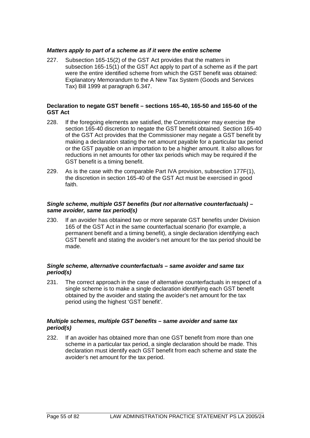#### *Matters apply to part of a scheme as if it were the entire scheme*

227. Subsection 165-15(2) of the GST Act provides that the matters in subsection 165-15(1) of the GST Act apply to part of a scheme as if the part were the entire identified scheme from which the GST benefit was obtained: Explanatory Memorandum to the A New Tax System (Goods and Services Tax) Bill 1999 at paragraph 6.347.

## **Declaration to negate GST benefit – sections 165-40, 165-50 and 165-60 of the GST Act**

- 228. If the foregoing elements are satisfied, the Commissioner may exercise the section 165-40 discretion to negate the GST benefit obtained. Section 165-40 of the GST Act provides that the Commissioner may negate a GST benefit by making a declaration stating the net amount payable for a particular tax period or the GST payable on an importation to be a higher amount. It also allows for reductions in net amounts for other tax periods which may be required if the GST benefit is a timing benefit.
- 229. As is the case with the comparable Part IVA provision, subsection 177F(1), the discretion in section 165-40 of the GST Act must be exercised in good faith.

#### *Single scheme, multiple GST benefits (but not alternative counterfactuals) – same avoider, same tax period(s)*

230. If an avoider has obtained two or more separate GST benefits under Division 165 of the GST Act in the same counterfactual scenario (for example, a permanent benefit and a timing benefit), a single declaration identifying each GST benefit and stating the avoider's net amount for the tax period should be made.

## *Single scheme, alternative counterfactuals – same avoider and same tax period(s)*

231. The correct approach in the case of alternative counterfactuals in respect of a single scheme is to make a single declaration identifying each GST benefit obtained by the avoider and stating the avoider's net amount for the tax period using the highest 'GST benefit'.

## *Multiple schemes, multiple GST benefits – same avoider and same tax period(s)*

232. If an avoider has obtained more than one GST benefit from more than one scheme in a particular tax period, a single declaration should be made. This declaration must identify each GST benefit from each scheme and state the avoider's net amount for the tax period.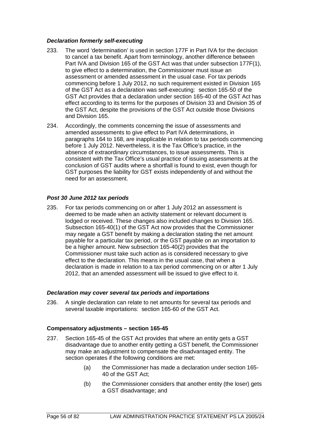## *Declaration formerly self-executing*

- 233. The word 'determination' is used in section 177F in Part IVA for the decision to cancel a tax benefit. Apart from terminology, another difference between Part IVA and Division 165 of the GST Act was that under subsection 177F(1), to give effect to a determination, the Commissioner must issue an assessment or amended assessment in the usual case. For tax periods commencing before 1 July 2012, no such requirement existed in Division 165 of the GST Act as a declaration was self-executing: section 165-50 of the GST Act provides that a declaration under section 165-40 of the GST Act has effect according to its terms for the purposes of Division 33 and Division 35 of the GST Act, despite the provisions of the GST Act outside those Divisions and Division 165.
- 234. Accordingly, the comments concerning the issue of assessments and amended assessments to give effect to Part IVA determinations, in paragraphs 164 to 168, are inapplicable in relation to tax periods commencing before 1 July 2012. Nevertheless, it is the Tax Office's practice, in the absence of extraordinary circumstances, to issue assessments. This is consistent with the Tax Office's usual practice of issuing assessments at the conclusion of GST audits where a shortfall is found to exist, even though for GST purposes the liability for GST exists independently of and without the need for an assessment.

# *Post 30 June 2012 tax periods*

235. For tax periods commencing on or after 1 July 2012 an assessment is deemed to be made when an activity statement or relevant document is lodged or received. These changes also included changes to Division 165. Subsection 165-40(1) of the GST Act now provides that the Commissioner may negate a GST benefit by making a declaration stating the net amount payable for a particular tax period, or the GST payable on an importation to be a higher amount. New subsection 165-40(2) provides that the Commissioner must take such action as is considered necessary to give effect to the declaration. This means in the usual case, that when a declaration is made in relation to a tax period commencing on or after 1 July 2012, that an amended assessment will be issued to give effect to it.

## *Declaration may cover several tax periods and importations*

236. A single declaration can relate to net amounts for several tax periods and several taxable importations: section 165-60 of the GST Act.

## **Compensatory adjustments – section 165-45**

- 237. Section 165-45 of the GST Act provides that where an entity gets a GST disadvantage due to another entity getting a GST benefit, the Commissioner may make an adjustment to compensate the disadvantaged entity. The section operates if the following conditions are met:
	- (a) the Commissioner has made a declaration under section 165- 40 of the GST Act;
	- (b) the Commissioner considers that another entity (the loser) gets a GST disadvantage; and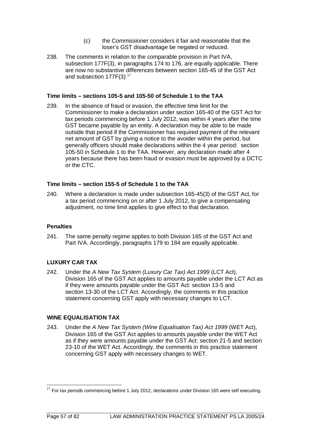- (c) the Commissioner considers it fair and reasonable that the loser's GST disadvantage be negated or reduced.
- 238. The comments in relation to the comparable provision in Part IVA, subsection 177F(3), in paragraphs 174 to 176, are equally applicable. There are now no substantive differences between section 165-45 of the GST Act and subsection [17](#page-57-0)7F(3).<sup>17</sup>

## **Time limits – sections 105-5 and 105-50 of Schedule 1 to the TAA**

239. In the absence of fraud or evasion, the effective time limit for the Commissioner to make a declaration under section 165-40 of the GST Act for tax periods commencing before 1 July 2012, was within 4 years after the time GST became payable by an entity. A declaration may be able to be made outside that period if the Commissioner has required payment of the relevant net amount of GST by giving a notice to the avoider within the period, but generally officers should make declarations within the 4 year period: section 105-50 in Schedule 1 to the TAA. However, any declaration made after 4 years because there has been fraud or evasion must be approved by a DCTC or the CTC.

#### **Time limits – section 155-5 of Schedule 1 to the TAA**

240. Where a declaration is made under subsection 165-45(3) of the GST Act, for a tax period commencing on or after 1 July 2012, to give a compensating adjustment, no time limit applies to give effect to that declaration.

## **Penalties**

241. The same penalty regime applies to both Division 165 of the GST Act and Part IVA. Accordingly, paragraphs 179 to 184 are equally applicable.

## **LUXURY CAR TAX**

242. Under the *A New Tax System (Luxury Car Tax) Act 1999* (LCT Act), Division 165 of the GST Act applies to amounts payable under the LCT Act as if they were amounts payable under the GST Act: section 13-5 and section 13-30 of the LCT Act. Accordingly, the comments in this practice statement concerning GST apply with necessary changes to LCT.

## **WINE EQUALISATION TAX**

243. Under the *A New Tax System (Wine Equalisation Tax) Act 1999* (WET Act), Division 165 of the GST Act applies to amounts payable under the WET Act as if they were amounts payable under the GST Act: section 21-5 and section 23-10 of the WET Act. Accordingly, the comments in this practice statement concerning GST apply with necessary changes to WET.

<span id="page-57-0"></span> $17$  For tax periods commencing before 1 July 2012, declarations under Division 165 were self executing.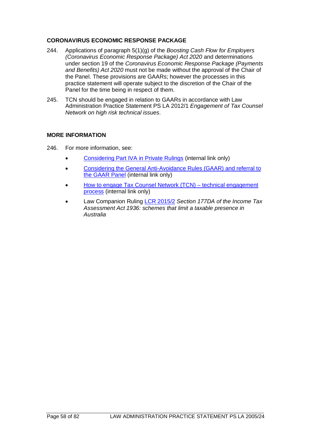## **CORONAVIRUS ECONOMIC RESPONSE PACKAGE**

- 244. Applications of paragraph 5(1)(g) of the *Boosting Cash Flow for Employers (Coronavirus Economic Response Package) Act 2020* and determinations under section 19 of the *Coronavirus Economic Response Package (Payments and Benefits) Act 2020* must not be made without the approval of the Chair of the Panel. These provisions are GAARs; however the processes in this practice statement will operate subject to the discretion of the Chair of the Panel for the time being in respect of them.
- 245. TCN should be engaged in relation to GAARs in accordance with Law Administration Practice Statement PS LA 2012/1 *Engagement of Tax Counsel Network on high risk technical issues*.

# **MORE INFORMATION**

- 246. For more information, see:
	- [Considering Part IVA in Private Rulings](http://myato/interim/Pages/00336814.aspx) (internal link only)
	- [Considering the General Anti-Avoidance Rules \(GAAR\) and referral to](http://myato/interim/Pages/00336848.aspx)  [the GAAR Panel](http://myato/interim/Pages/00336848.aspx) (internal link only)
	- [How to engage Tax Counsel Network \(TCN\) –](http://myato/interim/Pages/00314569.aspx) technical engagement [process](http://myato/interim/Pages/00314569.aspx) (internal link only)
	- Law Companion Ruling [LCR 2015/2](https://www.ato.gov.au/law/view/document?DocID=COG/LCG20152/NAT/ATO/00001) *Section 177DA of the Income Tax Assessment Act 1936: schemes that limit a taxable presence in Australia*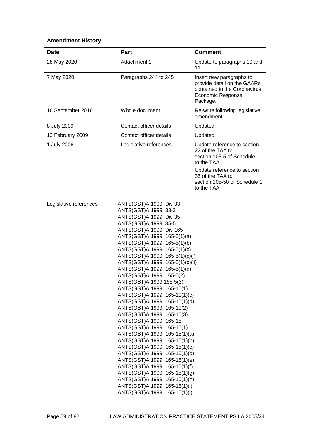# **Amendment History**

| <b>Date</b>       | <b>Part</b>             | <b>Comment</b>                                                                                                                  |  |  |  |
|-------------------|-------------------------|---------------------------------------------------------------------------------------------------------------------------------|--|--|--|
| 28 May 2020       | Attachment 1            | Update to paragraphs 10 and<br>11.                                                                                              |  |  |  |
| 7 May 2020        | Paragraphs 244 to 245   | Insert new paragraphs to<br>provide detail on the GAARs<br>contained in the Coronavirus<br><b>Economic Response</b><br>Package. |  |  |  |
| 16 September 2016 | Whole document          | Re-write following legislative<br>amendment                                                                                     |  |  |  |
| 8 July 2009       | Contact officer details | Updated.                                                                                                                        |  |  |  |
| 13 February 2009  | Contact officer details | Updated.                                                                                                                        |  |  |  |
| 1 July 2006       | Legislative references  | Update reference to section<br>22 of the TAA to<br>section 105-5 of Schedule 1<br>to the TAA                                    |  |  |  |
|                   |                         | Update reference to section<br>35 of the TAA to<br>section 105-50 of Schedule 1<br>to the TAA                                   |  |  |  |

| Legislative references | ANTS(GST)A 1999 Div 33          |
|------------------------|---------------------------------|
|                        | ANTS(GST)A 1999 33-3            |
|                        | ANTS(GST)A 1999 Div 35          |
|                        | ANTS(GST)A 1999 35-5            |
|                        | ANTS(GST)A 1999 Div 165         |
|                        | ANTS(GST)A 1999 165-5(1)(a)     |
|                        | ANTS(GST)A 1999 165-5(1)(b)     |
|                        | ANTS(GST)A 1999 165-5(1)(c)     |
|                        | ANTS(GST)A 1999 165-5(1)(c)(i)  |
|                        | ANTS(GST)A 1999 165-5(1)(c)(ii) |
|                        | ANTS(GST)A 1999 165-5(1)(d)     |
|                        | ANTS(GST)A 1999 165-5(2)        |
|                        | ANTS(GST)A 1999 165-5(3)        |
|                        | ANTS(GST)A 1999 165-10(1)       |
|                        | ANTS(GST)A 1999 165-10(1)(c)    |
|                        | ANTS(GST)A 1999 165-10(1)(d)    |
|                        | ANTS(GST)A 1999 165-10(2)       |
|                        | ANTS(GST)A 1999 165-10(3)       |
|                        | ANTS(GST)A 1999 165-15          |
|                        | ANTS(GST)A 1999 165-15(1)       |
|                        | ANTS(GST)A 1999 165-15(1)(a)    |
|                        | ANTS(GST)A 1999 165-15(1)(b)    |
|                        | ANTS(GST)A 1999 165-15(1)(c)    |
|                        | ANTS(GST)A 1999 165-15(1)(d)    |
|                        | ANTS(GST)A 1999 165-15(1)(e)    |
|                        | ANTS(GST)A 1999 165-15(1)(f)    |
|                        | ANTS(GST)A 1999 165-15(1)(g)    |
|                        | ANTS(GST)A 1999 165-15(1)(h)    |
|                        | ANTS(GST)A 1999 165-15(1)(i)    |
|                        | ANTS(GST)A 1999 165-15(1)(j)    |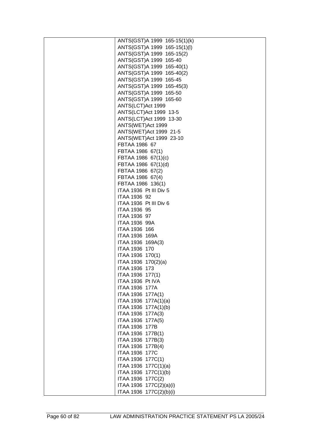| ANTS(GST)A 1999 165-15(1)(k)                 |
|----------------------------------------------|
| ANTS(GST)A 1999 165-15(1)(I)                 |
| ANTS(GST)A 1999 165-15(2)                    |
| ANTS(GST)A 1999 165-40                       |
| ANTS(GST)A 1999 165-40(1)                    |
| ANTS(GST)A 1999 165-40(2)                    |
| ANTS(GST)A 1999 165-45                       |
| ANTS(GST)A 1999 165-45(3)                    |
| ANTS(GST)A 1999 165-50                       |
| ANTS(GST)A 1999 165-60                       |
| ANTS(LCT)Act 1999                            |
| ANTS(LCT)Act 1999 13-5                       |
| ANTS(LCT)Act 1999 13-30                      |
| ANTS(WET)Act 1999                            |
| ANTS(WET)Act 1999 21-5                       |
| ANTS(WET)Act 1999 23-10                      |
| FBTAA 1986 67                                |
| FBTAA 1986 67(1)                             |
| FBTAA 1986 67(1)(c)                          |
| FBTAA 1986 67(1)(d)                          |
| FBTAA 1986 67(2)                             |
| FBTAA 1986 67(4)                             |
| FBTAA 1986 136(1)                            |
| ITAA 1936 Pt III Div 5                       |
| ITAA 1936 92                                 |
| ITAA 1936 Pt III Div 6                       |
| ITAA 1936 95                                 |
| ITAA 1936 97                                 |
| <b>ITAA 1936 99A</b>                         |
| ITAA 1936 166                                |
| ITAA 1936 169A                               |
| ITAA 1936 169A(3)                            |
| ITAA 1936 170                                |
| ITAA 1936 170(1)                             |
| ITAA 1936 170(2)(a)                          |
|                                              |
| ITAA 1936 173<br>ITAA 1936 177(1)            |
| ITAA 1936 Pt IVA                             |
| ITAA 1936 177A                               |
| ITAA 1936 177A(1)                            |
|                                              |
| ITAA 1936 177A(1)(a)<br>ITAA 1936 177A(1)(b) |
| ITAA 1936 177A(3)                            |
|                                              |
| ITAA 1936 177A(5)                            |
| ITAA 1936 177B                               |
| ITAA 1936 177B(1)                            |
| ITAA 1936 177B(3)                            |
| ITAA 1936 177B(4)<br>ITAA 1936 177C          |
|                                              |
| ITAA 1936 177C(1)                            |
| ITAA 1936 177C(1)(a)                         |
| ITAA 1936 177C(1)(b)                         |
| ITAA 1936 177C(2)                            |
| ITAA 1936 177C(2)(a)(i)                      |
| ITAA 1936 177C(2)(b)(i)                      |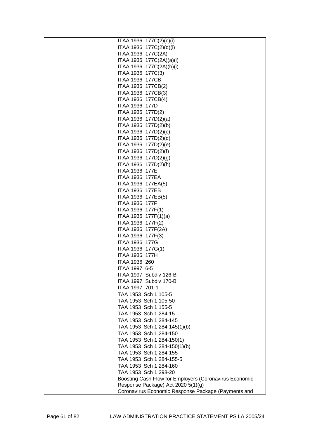| ITAA 1936 177C(2)(c)(i)<br>ITAA 1936 177C(2)(d)(i)<br>ITAA 1936 177C(2A)<br>ITAA 1936 177C(2A)(a)(i)<br>ITAA 1936 177C(2A)(b)(i) |
|----------------------------------------------------------------------------------------------------------------------------------|
|                                                                                                                                  |
|                                                                                                                                  |
|                                                                                                                                  |
|                                                                                                                                  |
| ITAA 1936 177C(3)                                                                                                                |
| ITAA 1936 177CB                                                                                                                  |
| ITAA 1936 177CB(2)                                                                                                               |
| ITAA 1936 177CB(3)                                                                                                               |
| ITAA 1936 177CB(4)                                                                                                               |
| ITAA 1936 177D                                                                                                                   |
| ITAA 1936 177D(2)                                                                                                                |
| ITAA 1936 177D(2)(a)                                                                                                             |
| ITAA 1936 177D(2)(b)                                                                                                             |
| ITAA 1936 177D(2)(c)                                                                                                             |
|                                                                                                                                  |
| ITAA 1936 177D(2)(d)                                                                                                             |
| ITAA 1936 177D(2)(e)                                                                                                             |
| ITAA 1936 177D(2)(f)                                                                                                             |
| ITAA 1936 177D(2)(g)                                                                                                             |
| ITAA 1936 177D(2)(h)                                                                                                             |
| ITAA 1936 177E                                                                                                                   |
| ITAA 1936 177EA                                                                                                                  |
| ITAA 1936 177EA(5)                                                                                                               |
| ITAA 1936 177EB                                                                                                                  |
| ITAA 1936 177EB(5)                                                                                                               |
| ITAA 1936 177F                                                                                                                   |
| ITAA 1936 177F(1)                                                                                                                |
| ITAA 1936 177F(1)(a)                                                                                                             |
| ITAA 1936 177F(2)                                                                                                                |
| ITAA 1936 177F(2A)                                                                                                               |
| ITAA 1936 177F(3)                                                                                                                |
| ITAA 1936 177G                                                                                                                   |
| ITAA 1936 177G(1)                                                                                                                |
| ITAA 1936 177H                                                                                                                   |
| ITAA 1936 260                                                                                                                    |
| ITAA 1997 6-5                                                                                                                    |
| ITAA 1997 Subdiv 126-B                                                                                                           |
| ITAA 1997 Subdiv 170-B                                                                                                           |
| ITAA 1997 701-1                                                                                                                  |
| TAA 1953 Sch 1 105-5                                                                                                             |
| TAA 1953 Sch 1 105-50                                                                                                            |
| TAA 1953 Sch 1 155-5                                                                                                             |
| TAA 1953 Sch 1 284-15                                                                                                            |
| TAA 1953 Sch 1 284-145                                                                                                           |
| TAA 1953 Sch 1 284-145(1)(b)                                                                                                     |
| TAA 1953 Sch 1 284-150                                                                                                           |
| TAA 1953 Sch 1 284-150(1)                                                                                                        |
| TAA 1953 Sch 1 284-150(1)(b)                                                                                                     |
| TAA 1953 Sch 1 284-155                                                                                                           |
| TAA 1953 Sch 1 284-155-5                                                                                                         |
| TAA 1953 Sch 1 284-160                                                                                                           |
| TAA 1953 Sch 1 298-20                                                                                                            |
| Boosting Cash Flow for Employers (Coronavirus Economic                                                                           |
| Response Package) Act 2020 5(1)(g)                                                                                               |
| Coronavirus Economic Response Package (Payments and                                                                              |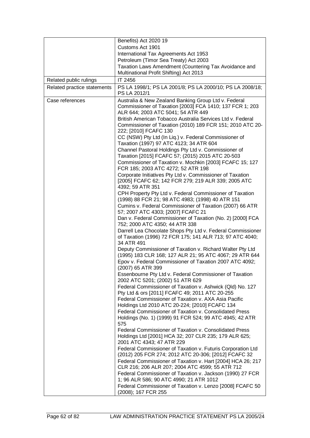|                             | Benefits) Act 2020 19                                                                                                                                                                                                                                                                                      |  |  |
|-----------------------------|------------------------------------------------------------------------------------------------------------------------------------------------------------------------------------------------------------------------------------------------------------------------------------------------------------|--|--|
|                             | Customs Act 1901                                                                                                                                                                                                                                                                                           |  |  |
|                             | International Tax Agreements Act 1953                                                                                                                                                                                                                                                                      |  |  |
|                             | Petroleum (Timor Sea Treaty) Act 2003                                                                                                                                                                                                                                                                      |  |  |
|                             | Taxation Laws Amendment (Countering Tax Avoidance and                                                                                                                                                                                                                                                      |  |  |
|                             | Multinational Profit Shifting) Act 2013                                                                                                                                                                                                                                                                    |  |  |
| Related public rulings      | IT 2456                                                                                                                                                                                                                                                                                                    |  |  |
| Related practice statements | PS LA 1998/1; PS LA 2001/8; PS LA 2000/10; PS LA 2008/18;<br>PS LA 2012/1                                                                                                                                                                                                                                  |  |  |
| Case references             | Australia & New Zealand Banking Group Ltd v. Federal<br>Commissioner of Taxation [2003] FCA 1410; 137 FCR 1; 203<br>ALR 644; 2003 ATC 5041; 54 ATR 449<br>British American Tobacco Australia Services Ltd v. Federal<br>Commissioner of Taxation (2010) 189 FCR 151; 2010 ATC 20-<br>222; [2010] FCAFC 130 |  |  |
|                             | CC (NSW) Pty Ltd (In Liq.) v. Federal Commissioner of<br>Taxation (1997) 97 ATC 4123; 34 ATR 604                                                                                                                                                                                                           |  |  |
|                             | Channel Pastoral Holdings Pty Ltd v. Commissioner of<br>Taxation [2015] FCAFC 57; (2015) 2015 ATC 20-503                                                                                                                                                                                                   |  |  |
|                             | Commissioner of Taxation v. Mochkin [2003] FCAFC 15; 127<br>FCR 185; 2003 ATC 4272; 52 ATR 198                                                                                                                                                                                                             |  |  |
|                             | Corporate Initiatives Pty Ltd v. Commissioner of Taxation<br>[2005] FCAFC 62; 142 FCR 279; 219 ALR 339; 2005 ATC<br>4392; 59 ATR 351                                                                                                                                                                       |  |  |
|                             | CPH Property Pty Ltd v. Federal Commissioner of Taxation<br>(1998) 88 FCR 21; 98 ATC 4983; (1998) 40 ATR 151                                                                                                                                                                                               |  |  |
|                             | Cumins v. Federal Commissioner of Taxation (2007) 66 ATR<br>57; 2007 ATC 4303; [2007] FCAFC 21                                                                                                                                                                                                             |  |  |
|                             | Dan v. Federal Commissioner of Taxation (No. 2) [2000] FCA<br>752; 2000 ATC 4350; 44 ATR 338                                                                                                                                                                                                               |  |  |
|                             | Darrell Lea Chocolate Shops Pty Ltd v. Federal Commissioner<br>of Taxation (1996) 72 FCR 175; 141 ALR 713; 97 ATC 4040;<br>34 ATR 491                                                                                                                                                                      |  |  |
|                             | Deputy Commissioner of Taxation v. Richard Walter Pty Ltd<br>(1995) 183 CLR 168; 127 ALR 21; 95 ATC 4067; 29 ATR 644<br>Epov v. Federal Commissioner of Taxation 2007 ATC 4092;<br>(2007) 65 ATR 399                                                                                                       |  |  |
|                             | Essenbourne Pty Ltd v. Federal Commissioner of Taxation<br>2002 ATC 5201; (2002) 51 ATR 629                                                                                                                                                                                                                |  |  |
|                             | Federal Commissioner of Taxation v. Ashwick (Qld) No. 127<br>Pty Ltd & ors [2011] FCAFC 49; 2011 ATC 20-255                                                                                                                                                                                                |  |  |
|                             | Federal Commissioner of Taxation v. AXA Asia Pacific<br>Holdings Ltd 2010 ATC 20-224; [2010] FCAFC 134                                                                                                                                                                                                     |  |  |
|                             | Federal Commissioner of Taxation v. Consolidated Press<br>Holdings (No. 1) (1999) 91 FCR 524; 99 ATC 4945; 42 ATR<br>575                                                                                                                                                                                   |  |  |
|                             | Federal Commissioner of Taxation v. Consolidated Press<br>Holdings Ltd [2001] HCA 32; 207 CLR 235; 179 ALR 625;<br>2001 ATC 4343; 47 ATR 229                                                                                                                                                               |  |  |
|                             | Federal Commissioner of Taxation v. Futuris Corporation Ltd<br>(2012) 205 FCR 274; 2012 ATC 20-306; [2012] FCAFC 32                                                                                                                                                                                        |  |  |
|                             | Federal Commissioner of Taxation v. Hart [2004] HCA 26; 217<br>CLR 216; 206 ALR 207; 2004 ATC 4599; 55 ATR 712                                                                                                                                                                                             |  |  |
|                             | Federal Commissioner of Taxation v. Jackson (1990) 27 FCR<br>1; 96 ALR 586; 90 ATC 4990; 21 ATR 1012                                                                                                                                                                                                       |  |  |
|                             | Federal Commissioner of Taxation v. Lenzo [2008] FCAFC 50<br>(2008); 167 FCR 255                                                                                                                                                                                                                           |  |  |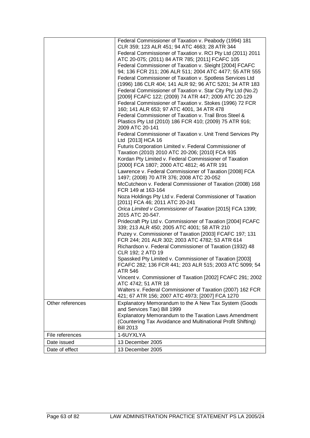|                  | Federal Commissioner of Taxation v. Peabody (1994) 181<br>CLR 359; 123 ALR 451; 94 ATC 4663; 28 ATR 344                                   |
|------------------|-------------------------------------------------------------------------------------------------------------------------------------------|
|                  | Federal Commissioner of Taxation v. RCI Pty Ltd (2011) 2011<br>ATC 20-075; (2011) 84 ATR 785; [2011] FCAFC 105                            |
|                  | Federal Commissioner of Taxation v. Sleight [2004] FCAFC                                                                                  |
|                  | 94; 136 FCR 211; 206 ALR 511; 2004 ATC 4477; 55 ATR 555                                                                                   |
|                  | Federal Commissioner of Taxation v. Spotless Services Ltd<br>(1996) 186 CLR 404; 141 ALR 92; 96 ATC 5201; 34 ATR 183                      |
|                  | Federal Commissioner of Taxation v. Star City Pty Ltd (No.2)<br>[2009] FCAFC 122; (2009) 74 ATR 447; 2009 ATC 20-129                      |
|                  | Federal Commissioner of Taxation v. Stokes (1996) 72 FCR<br>160; 141 ALR 653; 97 ATC 4001, 34 ATR 478                                     |
|                  | Federal Commissioner of Taxation v. Trail Bros Steel &                                                                                    |
|                  | Plastics Pty Ltd (2010) 186 FCR 410; (2009) 75 ATR 916;<br>2009 ATC 20-141                                                                |
|                  | Federal Commissioner of Taxation v. Unit Trend Services Pty<br>Ltd [2013] HCA 16                                                          |
|                  | Futuris Corporation Limited v. Federal Commissioner of<br>Taxation (2010) 2010 ATC 20-206; [2010] FCA 935                                 |
|                  | Kordan Pty Limited v. Federal Commissioner of Taxation                                                                                    |
|                  | [2000] FCA 1807; 2000 ATC 4812; 46 ATR 191                                                                                                |
|                  | Lawrence v. Federal Commissioner of Taxation [2008] FCA<br>1497; (2008) 70 ATR 376; 2008 ATC 20-052                                       |
|                  | McCutcheon v. Federal Commissioner of Taxation (2008) 168<br>FCR 149 at 163-164                                                           |
|                  | Noza Holdings Pty Ltd v. Federal Commissioner of Taxation<br>[2011] FCA 46; 2011 ATC 20-241                                               |
|                  | Orica Limited v Commissioner of Taxation [2015] FCA 1399;<br>2015 ATC 20-547.                                                             |
|                  | Pridecraft Pty Ltd v. Commissioner of Taxation [2004] FCAFC<br>339; 213 ALR 450; 2005 ATC 4001; 58 ATR 210                                |
|                  | Puzey v. Commissioner of Taxation [2003] FCAFC 197; 131                                                                                   |
|                  | FCR 244; 201 ALR 302; 2003 ATC 4782; 53 ATR 614<br>Richardson v. Federal Commissioner of Taxation (1932) 48                               |
|                  | CLR 192; 2 ATD 19                                                                                                                         |
|                  | Spassked Pty Limited v. Commissioner of Taxation [2003]<br>FCAFC 282; 136 FCR 441; 203 ALR 515; 2003 ATC 5099; 54                         |
|                  | ATR 546<br>Vincent v. Commissioner of Taxation [2002] FCAFC 291; 2002<br>ATC 4742; 51 ATR 18                                              |
|                  | Walters v. Federal Commissioner of Taxation (2007) 162 FCR<br>421; 67 ATR 156; 2007 ATC 4973; [2007] FCA 1270                             |
| Other references | Explanatory Memorandum to the A New Tax System (Goods                                                                                     |
|                  | and Services Tax) Bill 1999                                                                                                               |
|                  | Explanatory Memorandum to the Taxation Laws Amendment<br>(Countering Tax Avoidance and Multinational Profit Shifting)<br><b>Bill 2013</b> |
| File references  | 1-6UYXLYA                                                                                                                                 |
| Date issued      | 13 December 2005                                                                                                                          |
| Date of effect   | 13 December 2005                                                                                                                          |
|                  |                                                                                                                                           |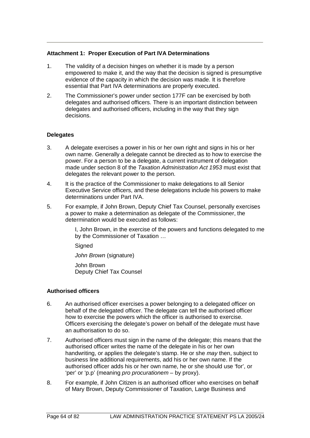## **Attachment 1: Proper Execution of Part IVA Determinations**

- 1. The validity of a decision hinges on whether it is made by a person empowered to make it, and the way that the decision is signed is presumptive evidence of the capacity in which the decision was made. It is therefore essential that Part IVA determinations are properly executed.
- 2. The Commissioner's power under section 177F can be exercised by both delegates and authorised officers. There is an important distinction between delegates and authorised officers, including in the way that they sign decisions.

## **Delegates**

- 3. A delegate exercises a power in his or her own right and signs in his or her own name. Generally a delegate cannot be directed as to how to exercise the power. For a person to be a delegate, a current instrument of delegation made under section 8 of the *Taxation Administration Act 1953* must exist that delegates the relevant power to the person.
- 4. It is the practice of the Commissioner to make delegations to all Senior Executive Service officers, and these delegations include his powers to make determinations under Part IVA.
- 5. For example, if John Brown, Deputy Chief Tax Counsel, personally exercises a power to make a determination as delegate of the Commissioner, the determination would be executed as follows:

I, John Brown, in the exercise of the powers and functions delegated to me by the Commissioner of Taxation …

**Signed** 

*John Brown* (signature)

John Brown Deputy Chief Tax Counsel

# **Authorised officers**

- 6. An authorised officer exercises a power belonging to a delegated officer on behalf of the delegated officer. The delegate can tell the authorised officer how to exercise the powers which the officer is authorised to exercise. Officers exercising the delegate's power on behalf of the delegate must have an authorisation to do so.
- 7. Authorised officers must sign in the name of the delegate; this means that the authorised officer writes the name of the delegate in his or her own handwriting, or applies the delegate's stamp. He or she *may* then, subject to business line additional requirements, add his or her own name. If the authorised officer adds his or her own name, he or she should use 'for', or 'per' or 'p.p' (meaning *pro procurationem* – by proxy).
- 8. For example, if John Citizen is an authorised officer who exercises on behalf of Mary Brown, Deputy Commissioner of Taxation, Large Business and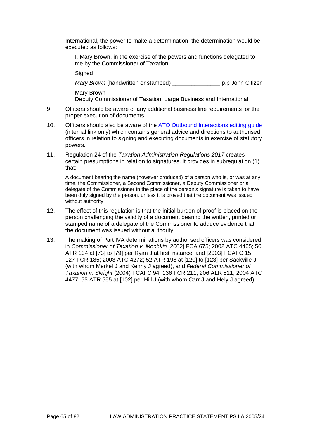International, the power to make a determination, the determination would be executed as follows:

I, Mary Brown, in the exercise of the powers and functions delegated to me by the Commissioner of Taxation ...

**Signed** 

*Mary Brown* (handwritten or stamped) \_\_\_\_\_\_\_\_\_\_\_\_\_\_\_ p.p John Citizen

Mary Brown Deputy Commissioner of Taxation, Large Business and International

- 9. Officers should be aware of any additional business line requirements for the proper execution of documents.
- 10. Officers should also be aware of the [ATO Outbound Interactions editing guide](http://myato/Communications/Style/Pages/Writing%20emails,-letters-and-salutations.aspx) (internal link only) which contains general advice and directions to authorised officers in relation to signing and executing documents in exercise of statutory powers.
- 11. Regulation 24 of the *Taxation Administration Regulations 2017* creates certain presumptions in relation to signatures. It provides in subregulation (1) that:

A document bearing the name (however produced) of a person who is, or was at any time, the Commissioner, a Second Commissioner, a Deputy Commissioner or a delegate of the Commissioner in the place of the person's signature is taken to have been duly signed by the person, unless it is proved that the document was issued without authority.

- 12. The effect of this regulation is that the initial burden of proof is placed on the person challenging the validity of a document bearing the written, printed or stamped name of a delegate of the Commissioner to adduce evidence that the document was issued without authority.
- 13. The making of Part IVA determinations by authorised officers was considered in *Commissioner of Taxation v. Mochkin* [2002] FCA 675; 2002 ATC 4465; 50 ATR 134 at [73] to [79] per Ryan J at first instance; and [2003] FCAFC 15; 127 FCR 185; 2003 ATC 4272; 52 ATR 198 at [120] to [123] per Sackville J (with whom Merkel J and Kenny J agreed), and *Federal Commissioner of Taxation v. Sleight* (2004) FCAFC 94; 136 FCR 211; 206 ALR 511; 2004 ATC 4477; 55 ATR 555 at [102] per Hill J (with whom Carr J and Hely J agreed).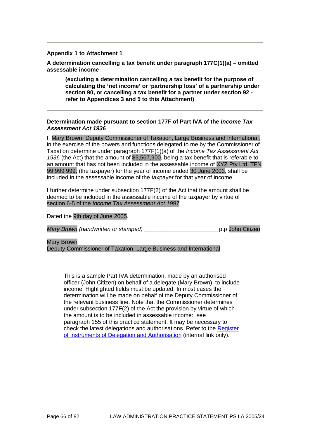#### **Appendix 1 to Attachment 1**

**A determination cancelling a tax benefit under paragraph 177C(1)(a) – omitted assessable income**

**(excluding a determination cancelling a tax benefit for the purpose of calculating the 'net income' or 'partnership loss' of a partnership under section 90, or cancelling a tax benefit for a partner under section 92 refer to Appendices 3 and 5 to this Attachment)**

## **Determination made pursuant to section 177F of Part IVA of the** *Income Tax Assessment Act 1936*

I, Mary Brown, Deputy Commissioner of Taxation, Large Business and International, in the exercise of the powers and functions delegated to me by the Commissioner of Taxation determine under paragraph 177F(1)(a) of the *Income Tax Assessment Act 1936* (the Act) that the amount of \$3,567,900, being a tax benefit that is referable to an amount that has not been included in the assessable income of XYZ Pty Ltd, TFN 99 999 999, (the taxpayer) for the year of income ended 30 June 2003, shall be included in the assessable income of the taxpayer for that year of income.

I further determine under subsection 177F(2) of the Act that the amount shall be deemed to be included in the assessable income of the taxpayer by virtue of section 6-5 of the *Income Tax Assessment Act 1997.*

Dated the 9th day of June 2005.

*Mary Brown (handwritten or stamped)* \_\_\_\_\_\_\_\_\_\_\_\_\_\_\_\_\_\_\_\_\_\_\_ p.p John Citizen

Mary Brown

Deputy Commissioner of Taxation, Large Business and International

This is a sample Part IVA determination, made by an authorised officer (John Citizen) on behalf of a delegate (Mary Brown), to include income. Highlighted fields must be updated. In most cases the determination will be made on behalf of the Deputy Commissioner of the relevant business line. Note that the Commissioner determines under subsection 177F(2) of the Act the provision by virtue of which the amount is to be included in assessable income: see paragraph 155 of this practice statement. It may be necessary to check the latest delegations and authorisations. Refer to the [Register](http://sharepoint/GASites/GeneralCounsel/SitePages/Delegations%20and%20Authorisations.aspx)  [of Instruments of Delegation and Authorisation](http://sharepoint/GASites/GeneralCounsel/SitePages/Delegations%20and%20Authorisations.aspx) (internal link only).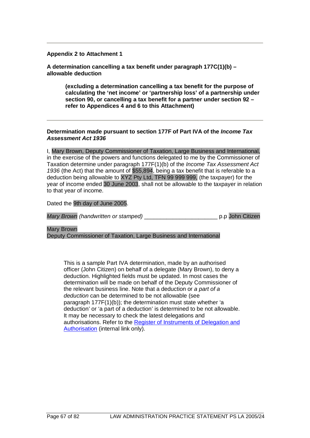#### **Appendix 2 to Attachment 1**

**A determination cancelling a tax benefit under paragraph 177C(1)(b) – allowable deduction**

**(excluding a determination cancelling a tax benefit for the purpose of calculating the 'net income' or 'partnership loss' of a partnership under section 90, or cancelling a tax benefit for a partner under section 92 – refer to Appendices 4 and 6 to this Attachment)**

#### **Determination made pursuant to section 177F of Part IVA of the** *Income Tax Assessment Act 1936*

I, Mary Brown, Deputy Commissioner of Taxation, Large Business and International, in the exercise of the powers and functions delegated to me by the Commissioner of Taxation determine under paragraph 177F(1)(b) of the *Income Tax Assessment Act 1936* (the Act) that the amount of \$55,894, being a tax benefit that is referable to a deduction being allowable to XYZ Pty Ltd, TFN 99 999 999, (the taxpayer) for the year of income ended 30 June 2003, shall not be allowable to the taxpayer in relation to that year of income.

#### Dated the 9th day of June 2005.

*Mary Brown (handwritten or stamped)* \_\_\_\_\_\_\_\_\_\_\_\_\_\_\_\_\_\_\_\_\_\_\_ p.p John Citizen

Mary Brown Deputy Commissioner of Taxation, Large Business and International

This is a sample Part IVA determination, made by an authorised officer (John Citizen) on behalf of a delegate (Mary Brown), to deny a deduction. Highlighted fields must be updated. In most cases the determination will be made on behalf of the Deputy Commissioner of the relevant business line. Note that a deduction or *a part of a deduction* can be determined to be not allowable (see paragraph 177F(1)(b)); the determination must state whether 'a deduction' or 'a part of a deduction' is determined to be not allowable. It may be necessary to check the latest delegations and authorisations. Refer to the [Register of Instruments of Delegation and](http://sharepoint/GASites/GeneralCounsel/Shared%20Documents/Register%20of%20Instruments%20Current%20and%20Superseded.xlsx)  [Authorisation](http://sharepoint/GASites/GeneralCounsel/Shared%20Documents/Register%20of%20Instruments%20Current%20and%20Superseded.xlsx) (internal link only).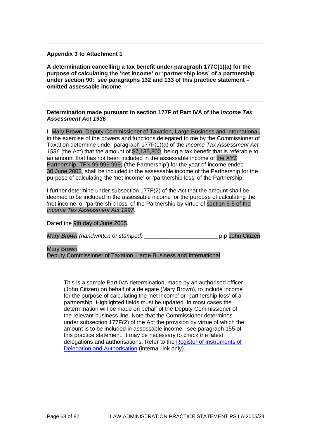## **Appendix 3 to Attachment 1**

**A determination cancelling a tax benefit under paragraph 177C(1)(a) for the purpose of calculating the 'net income' or 'partnership loss' of a partnership under section 90: see paragraphs 132 and 133 of this practice statement – omitted assessable income**

#### **Determination made pursuant to section 177F of Part IVA of the** *Income Tax Assessment Act 1936*

I, Mary Brown, Deputy Commissioner of Taxation, Large Business and International, in the exercise of the powers and functions delegated to me by the Commissioner of Taxation determine under paragraph 177F(1)(a) of the *Income Tax Assessment Act 1936* (the Act) that the amount of \$7,135,800, being a tax benefit that is referable to an amount that has not been included in the assessable income of the XYZ Partnership, TFN 99 999 999, ('the Partnership') for the year of income ended 30 June 2003, shall be included in the assessable income of the Partnership for the purpose of calculating the 'net income' or 'partnership loss' of the Partnership.

I further determine under subsection 177F(2) of the Act that the amount shall be deemed to be included in the assessable income for the purpose of calculating the 'net income' or 'partnership loss' of the Partnership by virtue of section 6-5 of the *Income Tax Assessment Act 1997.*

Dated the 9th day of June 2005.

|  | Mary Brown (handwritten or stamped) |  |  | p.p John Citizen |
|--|-------------------------------------|--|--|------------------|
|--|-------------------------------------|--|--|------------------|

Mary Brown Deputy Commissioner of Taxation, Large Business and International

This is a sample Part IVA determination, made by an authorised officer (John Citizen) on behalf of a delegate (Mary Brown), to include income for the purpose of calculating the 'net income' or 'partnership loss' of a partnership. Highlighted fields must be updated. In most cases the determination will be made on behalf of the Deputy Commissioner of the relevant business line. Note that the Commissioner determines under subsection 177F(2) of the Act the provision by virtue of which the amount is to be included in assessable income: see paragraph 155 of this practice statement. It may be necessary to check the latest delegations and authorisations. Refer to the [Register of Instruments](http://sharepoint/GASites/GeneralCounsel/SitePages/Delegations%20and%20Authorisations.aspx) of [Delegation and Authorisation](http://sharepoint/GASites/GeneralCounsel/SitePages/Delegations%20and%20Authorisations.aspx) (internal link only).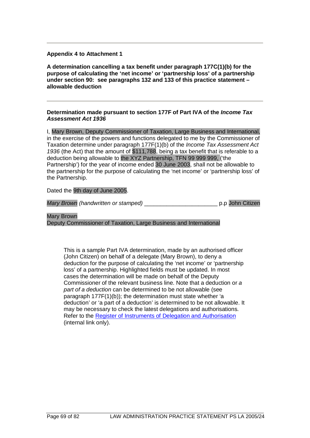## **Appendix 4 to Attachment 1**

**A determination cancelling a tax benefit under paragraph 177C(1)(b) for the purpose of calculating the 'net income' or 'partnership loss' of a partnership under section 90: see paragraphs 132 and 133 of this practice statement – allowable deduction**

## **Determination made pursuant to section 177F of Part IVA of the** *Income Tax Assessment Act 1936*

I, Mary Brown, Deputy Commissioner of Taxation, Large Business and International, in the exercise of the powers and functions delegated to me by the Commissioner of Taxation determine under paragraph 177F(1)(b) of the *Income Tax Assessment Act 1936* (the Act) that the amount of \$111,788, being a tax benefit that is referable to a deduction being allowable to the XYZ Partnership, TFN 99 999 999, ('the Partnership') for the year of income ended 30 June 2003, shall not be allowable to the partnership for the purpose of calculating the 'net income' or 'partnership loss' of the Partnership.

## Dated the 9th day of June 2005.

*Mary Brown (handwritten or stamped)* \_\_\_\_\_\_\_\_\_\_\_\_\_\_\_\_\_\_\_\_\_\_\_ p.p John Citizen

#### Mary Brown

Deputy Commissioner of Taxation, Large Business and International

This is a sample Part IVA determination, made by an authorised officer (John Citizen) on behalf of a delegate (Mary Brown), to deny a deduction for the purpose of calculating the 'net income' or 'partnership loss' of a partnership. Highlighted fields must be updated. In most cases the determination will be made on behalf of the Deputy Commissioner of the relevant business line. Note that a deduction or *a part of a deduction* can be determined to be not allowable (see paragraph 177F(1)(b)); the determination must state whether 'a deduction' or 'a part of a deduction' is determined to be not allowable. It may be necessary to check the latest delegations and authorisations. Refer to the [Register of Instruments of Delegation and Authorisation](http://sharepoint/GASites/GeneralCounsel/Shared%20Documents/Register%20of%20Instruments%20Current%20and%20Superseded.xlsx) (internal link only).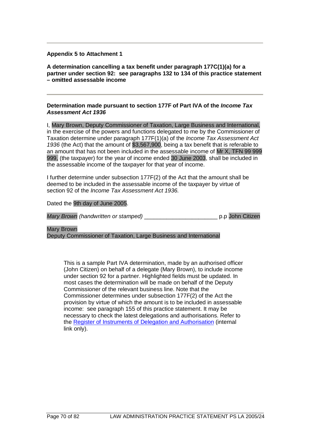#### **Appendix 5 to Attachment 1**

**A determination cancelling a tax benefit under paragraph 177C(1)(a) for a partner under section 92: see paragraphs 132 to 134 of this practice statement – omitted assessable income**

## **Determination made pursuant to section 177F of Part IVA of the** *Income Tax Assessment Act 1936*

I, Mary Brown, Deputy Commissioner of Taxation, Large Business and International, in the exercise of the powers and functions delegated to me by the Commissioner of Taxation determine under paragraph 177F(1)(a) of the *Income Tax Assessment Act 1936* (the Act) that the amount of \$3,567,900, being a tax benefit that is referable to an amount that has not been included in the assessable income of Mr X, TFN 99 999 999, (the taxpayer) for the year of income ended 30 June 2003, shall be included in the assessable income of the taxpayer for that year of income.

I further determine under subsection 177F(2) of the Act that the amount shall be deemed to be included in the assessable income of the taxpayer by virtue of section 92 of the *Income Tax Assessment Act 1936.*

#### Dated the 9th day of June 2005.

*Mary Brown (handwritten or stamped)* \_\_\_\_\_\_\_\_\_\_\_\_\_\_\_\_\_\_\_\_\_\_\_ p.p John Citizen

Mary Brown Deputy Commissioner of Taxation, Large Business and International

This is a sample Part IVA determination, made by an authorised officer (John Citizen) on behalf of a delegate (Mary Brown), to include income under section 92 for a partner. Highlighted fields must be updated. In most cases the determination will be made on behalf of the Deputy Commissioner of the relevant business line. Note that the Commissioner determines under subsection 177F(2) of the Act the provision by virtue of which the amount is to be included in assessable income: see paragraph 155 of this practice statement. It may be necessary to check the latest delegations and authorisations. Refer to the [Register of Instruments of Delegation and Authorisation](http://sharepoint/GASites/GeneralCounsel/Shared%20Documents/Register%20of%20Instruments%20Current%20and%20Superseded.xlsx) (internal link only).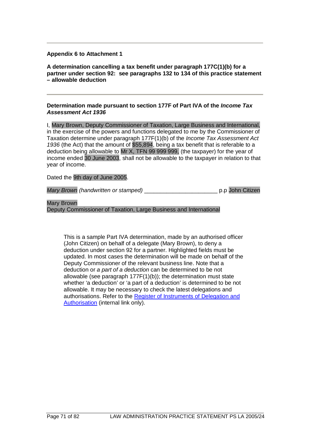## **Appendix 6 to Attachment 1**

**A determination cancelling a tax benefit under paragraph 177C(1)(b) for a partner under section 92: see paragraphs 132 to 134 of this practice statement – allowable deduction**

## **Determination made pursuant to section 177F of Part IVA of the** *Income Tax Assessment Act 1936*

I, Mary Brown, Deputy Commissioner of Taxation, Large Business and International, in the exercise of the powers and functions delegated to me by the Commissioner of Taxation determine under paragraph 177F(1)(b) of the *Income Tax Assessment Act 1936* (the Act) that the amount of \$55,894, being a tax benefit that is referable to a deduction being allowable to Mr X, TFN 99 999 999, (the taxpayer) for the year of income ended 30 June 2003, shall not be allowable to the taxpayer in relation to that year of income.

#### Dated the 9th day of June 2005.

*Mary Brown (handwritten or stamped)* \_\_\_\_\_\_\_\_\_\_\_\_\_\_\_\_\_\_\_\_\_\_\_ p.p John Citizen

Mary Brown

Deputy Commissioner of Taxation, Large Business and International

This is a sample Part IVA determination, made by an authorised officer (John Citizen) on behalf of a delegate (Mary Brown), to deny a deduction under section 92 for a partner. Highlighted fields must be updated. In most cases the determination will be made on behalf of the Deputy Commissioner of the relevant business line. Note that a deduction or *a part of a deduction* can be determined to be not allowable (see paragraph 177F(1)(b)); the determination must state whether 'a deduction' or 'a part of a deduction' is determined to be not allowable. It may be necessary to check the latest delegations and authorisations. Refer to the [Register of Instruments of Delegation and](http://sharepoint/GASites/GeneralCounsel/Shared%20Documents/Register%20of%20Instruments%20Current%20and%20Superseded.xlsx)  [Authorisation](http://sharepoint/GASites/GeneralCounsel/Shared%20Documents/Register%20of%20Instruments%20Current%20and%20Superseded.xlsx) (internal link only).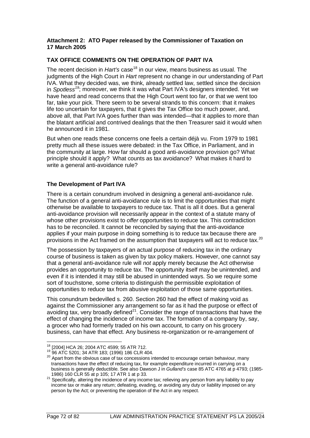#### **Attachment 2: ATO Paper released by the Commissioner of Taxation on 17 March 2005**

# **TAX OFFICE COMMENTS ON THE OPERATION OF PART IVA**

The recent decision in *Hart's* case<sup>[18](#page-72-0)</sup> in our view, means business as usual. The judgments of the High Court in *Hart* represent no change in our understanding of Part IVA. What they decided was, we think, already settled law, settled since the decision in *Spotless[19](#page-72-1)*; moreover, we think it was what Part IVA's designers intended. Yet we have heard and read concerns that the High Court went too far, or that we went too far, take your pick. There seem to be several strands to this concern: that it makes life too uncertain for taxpayers, that it gives the Tax Office too much power, and, above all, that Part IVA goes further than was intended—that it applies to more than the blatant artificial and contrived dealings that the then Treasurer said it would when he announced it in 1981.

But when one reads these concerns one feels a certain déjà vu. From 1979 to 1981 pretty much all these issues were debated: in the Tax Office, in Parliament, and in the community at large. How far should a good anti-avoidance provision go? What principle should it apply? What counts as tax avoidance? What makes it hard to write a general anti-avoidance rule?

### **The Development of Part IVA**

There is a certain conundrum involved in designing a general anti-avoidance rule. The function of a general anti-avoidance rule is to limit the opportunities that might otherwise be available to taxpayers to reduce tax. That is all it does. But a general anti-avoidance provision will necessarily appear in the context of a statute many of whose other provisions exist to *offer* opportunities to reduce tax. This contradiction has to be reconciled. It cannot be reconciled by saying that the anti-avoidance applies if your main purpose in doing something is to reduce tax because there are provisions in the Act framed on the assumption that taxpayers will act to reduce tax.[20](#page-72-2)

The possession by taxpayers of an actual purpose of reducing tax in the ordinary course of business is taken as given by tax policy makers. However, one cannot say that a general anti-avoidance rule will *not* apply merely because the Act otherwise provides an opportunity to reduce tax. The opportunity itself may be unintended, and even if it is intended it may still be abused in unintended ways. So we require some sort of touchstone, some criteria to distinguish the permissible exploitation of opportunities to reduce tax from abusive exploitation of those same opportunities.

This conundrum bedevilled s. 260. Section 260 had the effect of making void as against the Commissioner any arrangement so far as it had the purpose or effect of avoiding tax, very broadly defined<sup>[21](#page-72-3)</sup>. Consider the range of transactions that have the effect of changing the incidence of income tax. The formation of a company by, say, a grocer who had formerly traded on his own account, to carry on his grocery business, can have that effect. Any business re-organization or re-arrangement of

<span id="page-72-2"></span>

<span id="page-72-1"></span><span id="page-72-0"></span><sup>&</sup>lt;sup>18</sup> [2004] HCA 26; 2004 ATC 4599; 55 ATR 712.<br><sup>19</sup> 96 ATC 5201; 34 ATR 183; (1996) 186 CLR 404.<br><sup>20</sup> Apart from the obvious case of tax concessions intended to encourage certain behaviour, many transactions have the effect of reducing tax, for example expenditure incurred in carrying on a business is generally deductible. See also Dawson J in *Gulland's* case 85 ATC 4765 at p 4793; (1985- 1986) 160 CLR 55 at p 105; 17 ATR 1 at p 33.<br><sup>21</sup> Specifically, altering the incidence of any income tax; relieving any person from any liability to pay

<span id="page-72-3"></span>income tax or make any return; defeating, evading, or avoiding any duty or liability imposed on any person by the Act; or preventing the operation of the Act in any respect.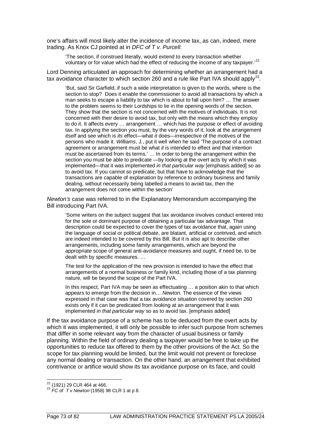one's affairs will most likely alter the incidence of income tax, as can, indeed, mere trading. As Knox CJ pointed at in *DFC of T v. Purcell*:

'The section, if construed literally, would extend to every transaction whether voluntary or for value which had the effect of reducing the income of any taxpayer.'<sup>[22](#page-73-0)</sup>

Lord Denning articulated an approach for determining whether an arrangement had a tax avoidance character to which section 260 and a rule like Part IVA should apply<sup>[23](#page-73-1)</sup>.

'But, said Sir Garfield, if such a wide interpretation is given to the words, where is the section to stop? Does it enable the commissioner to avoid all transactions by which a man seeks to escape a liability to tax which is about to fall upon him? … The answer to the problem seems to their Lordships to lie in the opening words of the section. They show that the section is not concerned with the motives of individuals. It is not concerned with their desire to avoid tax, but only with the means which they employ to do it. It affects every … arrangement … which has the purpose or effect of avoiding tax. In applying the section you must, by the very words of it, look at the arrangement *itself* and see which is *its* effect—what *it* does—irrespective of the motives of the persons who made it. *Williams*, J., put it well when he said 'The purpose of a contract agreement or arrangement must be what *it* is intended to effect and that intention must be ascertained from its terms.' … In order to bring the arrangement within the section you must be able to predicate —by looking at the overt acts by which it was implemented—that it was implemented *in that particular way* [emphasis added] so as to avoid tax. If you cannot so predicate, but that have to acknowledge that the transactions are capable of explanation by reference to ordinary business and family dealing, without necessarily being labelled a means to avoid tax, then the arrangement does not come within the section'

*Newton's* case was referred to in the Explanatory Memorandum accompanying the Bill introducing Part IVA.

'Some writers on the subject suggest that tax avoidance involves conduct entered into for the sole or dominant purpose of obtaining a particular tax advantage. That description could be expected to cover the types of tax avoidance that, again using the language of social or political debate, are blatant, artificial or contrived, and which are indeed intended to be covered by this Bill. But it is also apt to describe other arrangements, including some family arrangements, which are beyond the appropriate scope of general anti-avoidance measures and ought, if need be, to be dealt with by specific measures. …

The test for the application of the new provision is intended to have the effect that arrangements of a normal business or family kind, including those of a tax planning nature, will be beyond the scope of the Part IVA.

In this respect, Part IVA may be seen as effectuating ... a position akin to that which appears to emerge from the decision in… *Newton*. The essence of the views expressed in that case was that a tax avoidance situation covered by section 260 exists only if it can be predicated from looking at an arrangement that it was implemented *in that particular way* so as to avoid tax. [emphasis added]

If the tax avoidance purpose of a scheme has to be deduced from the overt acts by which it was implemented, it will only be possible to infer such purpose from schemes that differ in some relevant way from the character of usual business or family planning. Within the field of ordinary dealing a taxpayer would be free to take up the opportunities to reduce tax offered to them by the other provisions of the Act. So the scope for tax planning would be limited, but the limit would not prevent or foreclose any normal dealing or transaction. On the other hand, an arrangement that exhibited contrivance or artifice would show its tax avoidance purpose on its face, and could

<span id="page-73-1"></span><span id="page-73-0"></span><sup>22</sup> (1921) 29 CLR 464 at 466. <sup>23</sup> *FC of T v Newton* (1958) 98 CLR 1 at p 8.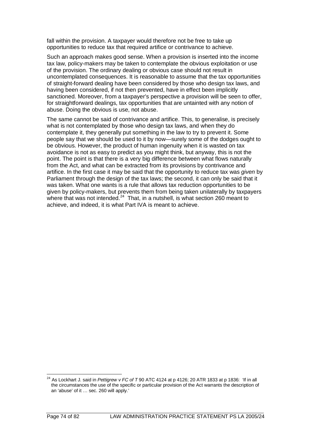fall within the provision. A taxpayer would therefore not be free to take up opportunities to reduce tax that required artifice or contrivance to achieve.

Such an approach makes good sense. When a provision is inserted into the income tax law, policy-makers may be taken to contemplate the obvious exploitation or use of the provision. The ordinary dealing or obvious case should not result in uncontemplated consequences. It is reasonable to assume that the tax opportunities of straight-forward dealing have been considered by those who design tax laws, and having been considered, if not then prevented, have in effect been implicitly sanctioned. Moreover, from a taxpayer's perspective a provision will be seen to offer, for straightforward dealings, tax opportunities that are untainted with any notion of abuse. Doing the obvious is use, not abuse.

The same cannot be said of contrivance and artifice. This, to generalise, is precisely what is not contemplated by those who design tax laws, and when they do contemplate it, they generally put something in the law to try to prevent it. Some people say that we should be used to it by now—surely some of the dodges ought to be obvious. However, the product of human ingenuity when it is wasted on tax avoidance is not as easy to predict as you might think, but anyway, this is not the point. The point is that there is a very big difference between what flows naturally from the Act, and what can be extracted from its provisions by contrivance and artifice. In the first case it may be said that the opportunity to reduce tax was *given* by Parliament through the design of the tax laws; the second, it can only be said that it was taken. What one wants is a rule that allows tax reduction opportunities to be given by policy-makers, but prevents them from being taken unilaterally by taxpayers where that was not intended.<sup>24</sup> That, in a nutshell, is what section 260 meant to achieve, and indeed, it is what Part IVA is meant to achieve.

<span id="page-74-0"></span><sup>24</sup> As Lockhart J. said in *Pettigrew v FC of T* 90 ATC 4124 at p 4126; 20 ATR 1833 at p 1836: 'If in all the circumstances the use of the specific or particular provision of the Act warrants the description of an 'abuse' of it … sec. 260 will apply.'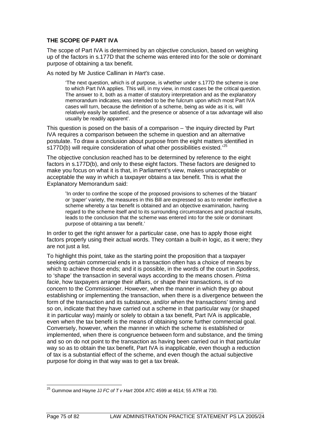## **THE SCOPE OF PART IVA**

The scope of Part IVA is determined by an objective conclusion, based on weighing up of the factors in s.177D that the scheme was entered into for the sole or dominant purpose of obtaining a tax benefit.

As noted by Mr Justice Callinan in *Hart's* case.

'The next question, which is of purpose, is whether under s.177D the scheme is one to which Part IVA applies. This will, in my view, in most cases be the critical question. The answer to it, both as a matter of statutory interpretation and as the explanatory memorandum indicates, was intended to be the fulcrum upon which most Part IVA cases will turn, because the definition of a scheme, being as wide as it is, will relatively easily be satisfied, and the presence or absence of a tax advantage will also usually be readily apparent'.

This question is posed on the basis of a comparison – 'the inquiry directed by Part IVA requires a comparison between the scheme in question and an alternative postulate. To draw a conclusion about purpose from the eight matters identified in s177D(b) will require consideration of what other possibilities existed.<sup>[25](#page-75-0)</sup>

The objective conclusion reached has to be determined by reference to the eight factors in s.177D(b), and only to these eight factors. These factors are designed to make you focus on what it is that, in Parliament's view, makes unacceptable or acceptable the way in which a taxpayer obtains a tax benefit. This is what the Explanatory Memorandum said:

'In order to confine the scope of the proposed provisions to schemes of the 'blatant' or 'paper' variety, the measures in this Bill are expressed so as to render ineffective a scheme whereby a tax benefit is obtained and an objective examination, having regard to the scheme itself and to its surrounding circumstances and practical results, leads to the conclusion that the scheme was entered into for the sole or dominant purpose of obtaining a tax benefit.'

In order to get the right answer for a particular case, one has to apply those eight factors properly using their actual words. They contain a built-in logic, as it were; they are not just a list.

To highlight this point, take as the starting point the proposition that a taxpayer seeking certain commercial ends in a transaction often has a choice of means by which to achieve those ends; and it is possible, in the words of the court in *Spotless*, to 'shape' the transaction in several ways according to the means chosen. *Prima facie*, how taxpayers arrange their affairs, or shape their transactions, is of no concern to the Commissioner. However, when the manner in which they go about establishing or implementing the transaction, when there is a divergence between the form of the transaction and its substance, and/or when the transactions' timing and so on, indicate that they have carried out a scheme in that particular way (or shaped it in particular way) mainly or solely to obtain a tax benefit, Part IVA is applicable, even when the tax benefit is the means of obtaining some further commercial goal. Conversely, however, when the manner in which the scheme is established or implemented, when there is congruence between form and substance, and the timing and so on do not point to the transaction as having been carried out in that particular way so as to obtain the tax benefit, Part IVA is inapplicable, even though a reduction of tax is a substantial effect of the scheme, and even though the actual subjective purpose for doing in that way was to get a tax break.

<span id="page-75-0"></span><sup>25</sup> Gummow and Hayne JJ *FC of T v Hart* 2004 ATC 4599 at 4614; 55 ATR at 730.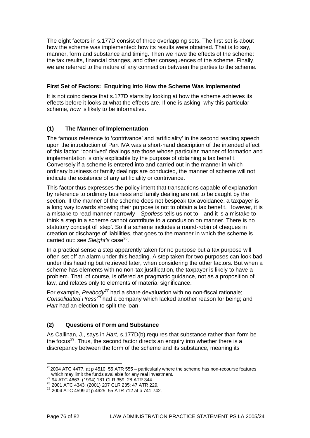The eight factors in s.177D consist of three overlapping sets. The first set is about how the scheme was implemented: how its results were obtained. That is to say, manner, form and substance and timing. Then we have the effects of the scheme: the tax results, financial changes, and other consequences of the scheme. Finally, we are referred to the nature of any connection between the parties to the scheme.

## **First Set of Factors: Enquiring into How the Scheme Was Implemented**

It is not coincidence that s.177D starts by looking at how the scheme achieves its effects before it looks at what the effects are. If one is asking, why this particular scheme, *how* is likely to be informative.

# **(1) The Manner of Implementation**

The famous reference to 'contrivance' and 'artificiality' in the second reading speech upon the introduction of Part IVA was a short-hand description of the intended effect of this factor: 'contrived' dealings are those whose particular manner of formation and implementation is only explicable by the purpose of obtaining a tax benefit. Conversely if a scheme is entered into and carried out in the manner in which ordinary business or family dealings are conducted, the manner of scheme will not indicate the existence of any artificiality or contrivance.

This factor thus expresses the policy intent that transactions capable of explanation by reference to ordinary business and family dealing are not to be caught by the section. If the manner of the scheme does not bespeak tax avoidance, a taxpayer is a long way towards showing their purpose is not to obtain a tax benefit. However, it is a mistake to read manner narrowly—*Spotless* tells us not to—and it is a mistake to think a step in a scheme cannot contribute to a conclusion on manner. There is no statutory concept of 'step'. So if a scheme includes a round-robin of cheques in creation or discharge of liabilities, that goes to the manner in which the scheme is carried out: see *Sleight's* case<sup>26</sup>.

In a practical sense a step apparently taken for no purpose but a tax purpose will often set off an alarm under this heading. A step taken for two purposes can look bad under this heading but retrieved later, when considering the other factors. But when a scheme has elements with no non-tax justification, the taxpayer is likely to have a problem. That, of course, is offered as pragmatic guidance, not as a proposition of law, and relates only to elements of material significance.

For example, *Peabody[27](#page-76-1)* had a share devaluation with no non-fiscal rationale; *Consolidated Press[28](#page-76-2)* had a company which lacked another reason for being; and *Hart* had an election to split the loan.

## **(2) Questions of Form and Substance**

As Callinan, J., says in *Hart*, s.177D(b) requires that substance rather than form be the focus<sup>29</sup>. Thus, the second factor directs an enquiry into whether there is a discrepancy between the form of the scheme and its substance, meaning its

<span id="page-76-0"></span> $26$ 2004 ATC 4477, at p 4510; 55 ATR 555 – particularly where the scheme has non-recourse features which may limit the funds available for any real investment.<br>
<sup>27</sup> 94 ATC 4663; (1994) 181 CLR 359; 28 ATR 344.<br>
<sup>28</sup> 2001 ATC 4343; (2001) 207 CLR 235; 47 ATR 229.<br>
<sup>29</sup> 2004 ATC 4599 at p.4625; 55 ATR 712 at p 741-742.

<span id="page-76-2"></span><span id="page-76-1"></span>

<span id="page-76-3"></span>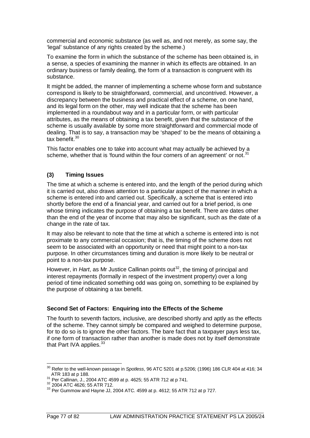commercial and economic substance (as well as, and not merely, as some say, the 'legal' substance of any rights created by the scheme.)

To examine the form in which the substance of the scheme has been obtained is, in a sense, a species of examining the manner in which its effects are obtained. In an ordinary business or family dealing, the form of a transaction is congruent with its substance.

It might be added, the manner of implementing a scheme whose form and substance correspond is likely to be straightforward, commercial, and uncontrived. However, a discrepancy between the business and practical effect of a scheme, on one hand, and its legal form on the other, may well indicate that the scheme has been implemented in a roundabout way and in a particular form, or with particular attributes, as the means of obtaining a tax benefit, given that the substance of the scheme is usually available by some more straightforward and commercial mode of dealing. That is to say, a transaction may be 'shaped' to be the means of obtaining a tax benefit. $30$ 

This factor enables one to take into account what may actually be achieved by a scheme, whether that is 'found within the four corners of an agreement' or not.<sup>[31](#page-77-1)</sup>

## **(3) Timing Issues**

The time at which a scheme is entered into, and the length of the period during which it is carried out, also draws attention to a particular aspect of the manner in which a scheme is entered into and carried out. Specifically, a scheme that is entered into shortly before the end of a financial year, and carried out for a brief period, is one whose timing indicates the purpose of obtaining a tax benefit. There are dates other than the end of the year of income that may also be significant, such as the date of a change in the rate of tax.

It may also be relevant to note that the time at which a scheme is entered into is not proximate to any commercial occasion; that is, the timing of the scheme does not seem to be associated with an opportunity or need that might point to a non-tax purpose. In other circumstances timing and duration is more likely to be neutral or point to a non-tax purpose.

However, in *Hart*, as Mr Justice Callinan points out<sup>32</sup>, the timing of principal and interest repayments (formally in respect of the investment property) over a long period of time indicated something odd was going on, something to be explained by the purpose of obtaining a tax benefit.

## **Second Set of Factors: Enquiring into the Effects of the Scheme**

The fourth to seventh factors, inclusive, are described shortly and aptly as the effects of the scheme. They cannot simply be compared and weighed to determine purpose, for to do so is to ignore the other factors. The bare fact that a taxpayer pays less tax, if one form of transaction rather than another is made does not by itself demonstrate that Part IVA applies.<sup>[33](#page-77-3)</sup>

<span id="page-77-0"></span><sup>30</sup> Refer to the well-known passage in *Spotless*, 96 ATC 5201 at p.5206; (1996) 186 CLR 404 at 416; 34

<span id="page-77-3"></span>

<span id="page-77-2"></span><span id="page-77-1"></span>ATR 183 at p 188.<br>
<sup>31</sup> Per Callinan, J., 2004 ATC 4599 at p. 4625; 55 ATR 712 at p 741.<br>
<sup>32</sup> 2004 ATC 4626; 55 ATR 712.<br>
<sup>33</sup> Per Gummow and Hayne JJ, 2004 ATC. 4599 at p. 4612; 55 ATR 712 at p 727.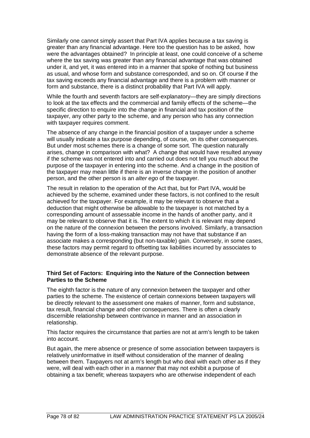Similarly one cannot simply assert that Part IVA applies because a tax saving is greater than any financial advantage. Here too the question has to be asked, how were the advantages obtained? In principle at least, one could conceive of a scheme where the tax saving was greater than any financial advantage that was obtained under it, and yet, it was entered into in a manner that spoke of nothing but business as usual, and whose form and substance corresponded, and so on. Of course if the tax saving exceeds any financial advantage and there is a problem with manner or form and substance, there is a distinct probability that Part IVA will apply.

While the fourth and seventh factors are self-explanatory—they are simply directions to look at the tax effects and the commercial and family effects of the scheme—the specific direction to enquire into the change in financial and tax position of the taxpayer, any other party to the scheme, and any person who has any connection with taxpayer requires comment.

The absence of any change in the financial position of a taxpayer under a scheme will usually indicate a tax purpose depending, of course, on its other consequences. But under most schemes there is a change of some sort. The question naturally arises, change in comparison with what? A change that would have resulted anyway if the scheme was not entered into and carried out does not tell you much about the purpose of the taxpayer in entering into the scheme. And a change in the position of the taxpayer may mean little if there is an inverse change in the position of another person, and the other person is an *alter ego* of the taxpayer.

The result in relation to the operation of the Act that, but for Part IVA, would be achieved by the scheme, examined under these factors, is not confined to the result achieved for the taxpayer. For example, it may be relevant to observe that a deduction that might otherwise be allowable to the taxpayer is not matched by a corresponding amount of assessable income in the hands of another party, and it may be relevant to observe that it is. The extent to which it is relevant may depend on the nature of the connexion between the persons involved. Similarly, a transaction having the form of a loss-making transaction may not have that substance if an associate makes a corresponding (but non-taxable) gain. Conversely, in some cases, these factors may permit regard to offsetting tax liabilities incurred by associates to demonstrate absence of the relevant purpose.

### **Third Set of Factors: Enquiring into the Nature of the Connection between Parties to the Scheme**

The eighth factor is the nature of any connexion between the taxpayer and other parties to the scheme. The existence of certain connexions between taxpayers will be directly relevant to the assessment one makes of manner, form and substance, tax result, financial change and other consequences. There is often a clearly discernible relationship between contrivance in manner and an association in relationship.

This factor requires the circumstance that parties are not at arm's length to be taken into account.

But again, the mere absence or presence of some association between taxpayers is relatively uninformative in itself without consideration of the manner of dealing between them. Taxpayers not at arm's length but who deal with each other as if they were, will deal with each other in a *manner* that may not exhibit a purpose of obtaining a tax benefit; whereas taxpayers who are otherwise independent of each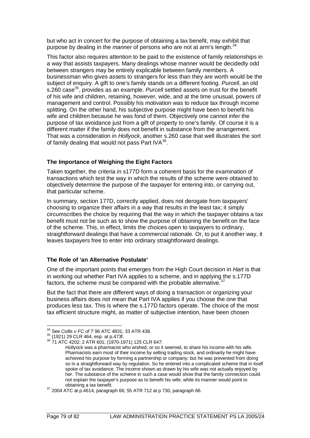but who act in concert for the purpose of obtaining a tax benefit, may exhibit that purpose by dealing in the *manner* of persons who are not at arm's length.<sup>[34](#page-79-0)</sup>

This factor also requires attention to be paid to the existence of family relationships in a way that assists taxpayers. Many dealings whose manner would be decidedly odd between strangers may be entirely explicable between family members. A businessman who gives assets to strangers for less than they are worth would be the subject of enquiry. A gift to one's family stands on a different footing. *Purcell*, an old s.260 case<sup>[35](#page-79-1)</sup>, provides as an example. *Purcell* settled assets on trust for the benefit of his wife and children, retaining, however, wide, and at the time unusual, powers of management and control. Possibly his motivation was to reduce tax through income splitting. On the other hand, his subjective purpose might have been to benefit his wife and children because he was fond of them. Objectively one cannot infer the purpose of tax avoidance just from a gift of property to one's family. Of course it is a different matter if the family does not benefit in substance from the arrangement. That was a consideration in *Hollyock*, another s.260 case that well illustrates the sort of family dealing that would not pass Part IVA<sup>[36](#page-79-2)</sup>.

### **The Importance of Weighing the Eight Factors**

Taken together, the criteria in s177D form a coherent basis for the examination of transactions which test the way in which the results of the scheme were obtained to objectively determine the purpose of the taxpayer for entering into, or carrying out, that particular scheme.

In summary, section 177D, correctly applied, does not derogate from taxpayers' choosing to organize their affairs in a way that results in the least tax; it simply circumscribes the choice by requiring that the way in which the taxpayer obtains a tax benefit must not be such as to show the purpose of obtaining the benefit on the face of the scheme. This, in effect, limits the choices open to taxpayers to ordinary, straightforward dealings that have a commercial rationale. Or, to put it another way, it leaves taxpayers free to enter into ordinary straightforward dealings.

## **The Role of 'an Alternative Postulate'**

One of the important points that emerges from the High Court decision in *Hart* is that in working out whether Part IVA applies to a scheme, and in applying the s.177D factors, the scheme must be compared with the probable alternative.<sup>[37](#page-79-3)</sup>

But the fact that there are different ways of doing a transaction or organizing your business affairs does not mean that Part IVA applies if you choose the one that produces less tax. This is where the s.177D factors operate. The choice of the most tax efficient structure might, as matter of subjective intention, have been chosen

<span id="page-79-1"></span><span id="page-79-0"></span><sup>&</sup>lt;sup>34</sup> See *Collis v FC of T* 96 ATC 4831; 33 ATR 438.<br><sup>35</sup> (1921) 29 CLR 464, esp. at p.473f.<br><sup>36</sup> 71 ATC 4202: 2 ATR 601; (1970-1971) 125 CLR 647:

<span id="page-79-2"></span>

Hollyock was a pharmacist who wished, or so it seemed, to share his income with his wife. Pharmacists earn most of their income by selling trading stock, and ordinarily he might have achieved his purpose by forming a partnership or company; but he was prevented from doing so in a straightforward way by regulation. So he entered into a complicated scheme that in itself spoke of tax avoidance. The income shown as drawn by his wife was not actually enjoyed by her. The substance of the scheme in such a case would show that the family connection could not explain the taxpayer's purpose as to benefit his wife; while its manner would point to

<span id="page-79-3"></span>obtaining a tax benefit.<br><sup>37</sup> 2004 ATC at p.4614, paragraph 66; 55 ATR 712 at p 730, paragraph 66.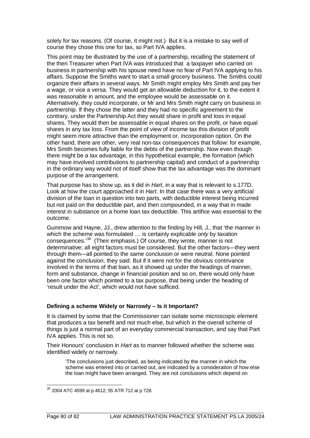solely for tax reasons. (Of course, it might not.) But it is a mistake to say well of course they chose this one for tax, so Part IVA applies.

This point may be illustrated by the use of a partnership, recalling the statement of the then Treasurer when Part IVA was introduced that a taxpayer who carried on business in partnership with his spouse need have no fear of Part IVA applying to his affairs. Suppose the Smiths want to start a small grocery business. The Smiths could organize their affairs in several ways. Mr Smith might employ Mrs Smith and pay her a wage, or vice a versa. They would get an allowable deduction for it, to the extent it was reasonable in amount, and the employee would be assessable on it. Alternatively, they could incorporate, or Mr and Mrs Smith might carry on business in partnership. If they chose the latter and they had no specific agreement to the contrary, under the Partnership Act they would share in profit and loss in equal shares. They would then be assessable in equal shares on the profit, or have equal shares in any tax loss. From the point of view of income tax this division of profit might seem more attractive than the employment or, incorporation option. On the other hand, there are other, very real non-tax consequences that follow: for example, Mrs Smith becomes fully liable for the debts of the partnership. Now even though there might be a tax advantage, in this hypothetical example, the formation (which may have involved contributions to partnership capital) and conduct of a partnership in the ordinary way would not of itself show that the tax advantage was the dominant purpose of the arrangement.

That purpose has to show up, as it did in *Hart*, in a way that is relevant to s.177D. Look at how the court approached it in *Hart*. In that case there was a very artificial division of the loan in question into two parts, with deductible interest being incurred but not paid on the deductible part, and then compounded, in a way that in made interest in substance on a home loan tax deductible. This artifice was essential to the outcome.

Gummow and Hayne, JJ., drew attention to the finding by Hill, J., that 'the manner in which the scheme was formulated … is certainly explicable *only* by taxation consequences.' [38](#page-80-0) (Their emphasis.) Of course, they wrote, manner is not determinative; all eight factors must be considered. But the other factors—they went through them—all pointed to the same conclusion or were neutral. None pointed against the conclusion, they said. But if it were not for the obvious contrivance involved in the terms of that loan, as it showed up under the headings of manner, form and substance, change in financial position and so on, there would only have been one factor which pointed to a tax purpose, that being under the heading of 'result under the Act', which would not have sufficed.

#### **Defining a scheme Widely or Narrowly – Is it Important?**

It is claimed by some that the Commissioner can isolate some microscopic element that produces a tax benefit and not much else, but which in the overall scheme of things is just a normal part of an everyday commercial transaction, and say that Part IVA applies. This is not so.

Their Honours' conclusion in *Hart* as to manner followed whether the scheme was identified widely or narrowly.

'The conclusions just described, as being indicated by the manner in which the scheme was entered into or carried out, are indicated by a consideration of how else the loan might have been arranged. They are not conclusions which depend on

<span id="page-80-0"></span><sup>38</sup> 2004 ATC 4599 at p.4612; 55 ATR 712 at p 728.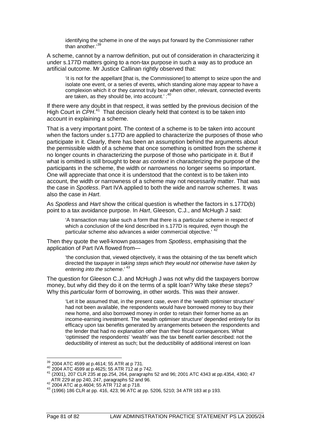identifying the scheme in one of the ways put forward by the Commissioner rather than another.' [39](#page-81-0)

A scheme, cannot by a narrow definition, put out of consideration in characterizing it under s.177D matters going to a non-tax purpose in such a way as to produce an artificial outcome. Mr Justice Callinan rightly observed that:

'it is not for the appellant [that is, the Commissioner] to attempt to seize upon the and isolate one event, or a series of events, which standing alone may appear to have a complexion which it or they cannot truly bear when other, relevant, connected events are taken, as they should be, into account.': [40](#page-81-1)

If there were any doubt in that respect, it was settled by the previous decision of the High Court in *CPH*. [41](#page-81-2) That decision clearly held that context is to be taken into account in explaining a scheme.

That is a very important point. The context of a scheme is to be taken into account when the factors under s.177D are applied to characterize the purposes of those who participate in it. Clearly, there has been an assumption behind the arguments about the permissible width of a scheme that once something is omitted from the scheme it no longer counts in characterizing the purpose of those who participate in it. But if what is omitted is still brought to bear *as context* in characterizing the purpose of the participants in the scheme, the width or narrowness no longer seems so important. One will appreciate that once it is understood that the context is to be taken into account, the width or narrowness of a scheme may not necessarily matter. That was the case in *Spotless*. Part IVA applied to both the wide and narrow schemes. It was also the case in *Hart*.

As *Spotless* and *Hart* show the critical question is whether the factors in s.177D(b) point to a tax avoidance purpose. In *Hart*, Gleeson, C.J., and McHugh J said:

'A transaction may take such a form that there is a particular scheme in respect of which a conclusion of the kind described in s.177D is required, even though the particular scheme also advances a wider commercial objective.' <sup>[42](#page-81-3)</sup>

Then they quote the well-known passages from *Spotless*, emphasising that the application of Part IVA flowed from—

'the conclusion that, viewed objectively, it was the obtaining of the tax benefit which directed the taxpayer in *taking steps which they would not otherwise have taken by entering into the scheme*.' [43](#page-81-4)

The question for Gleeson C.J. and McHugh J was not why did the taxpayers borrow money, but why did they do it on the terms of a split loan? Why take *these* steps? Why this *particular* form of borrowing, in other words. This was their answer.

'Let it be assumed that, in the present case, even if the 'wealth optimiser structure' had not been available, the respondents would have borrowed money to buy their new home, and also borrowed money in order to retain their former home as an income-earning investment. The 'wealth optimiser structure' depended entirely for its efficacy upon tax benefits generated by arrangements between the respondents and the lender that had no explanation other than their fiscal consequences. What 'optimised' the respondents' 'wealth' was the tax benefit earlier described: not the deductibility of interest as such; but the deductibility of additional interest on loan

<span id="page-81-1"></span><span id="page-81-0"></span><sup>&</sup>lt;sup>39</sup> 2004 ATC 4599 at p.4614; 55 ATR at p 731.<br><sup>40</sup> 2004 ATC 4599 at p.4625; 55 ATR 712 at p 742.<br><sup>41</sup> (2001), 207 CLR 235 at pp.254, 264, paragraphs 52 and 96; 2001 ATC 4343 at pp.4354, 4360; 47<br>
<br>
<br>
<br>

<span id="page-81-4"></span><span id="page-81-3"></span><span id="page-81-2"></span>ATR 229 at pp 240, 247, paragraphs 52 and 55.<br>
42 2004 ATC at p.4604; 55 ATR 712 at p 718.<br>
<sup>43</sup> (1996) 186 CLR at pp. 416, 423; 96 ATC at pp. 5206, 5210; 34 ATR 183 at p 193.